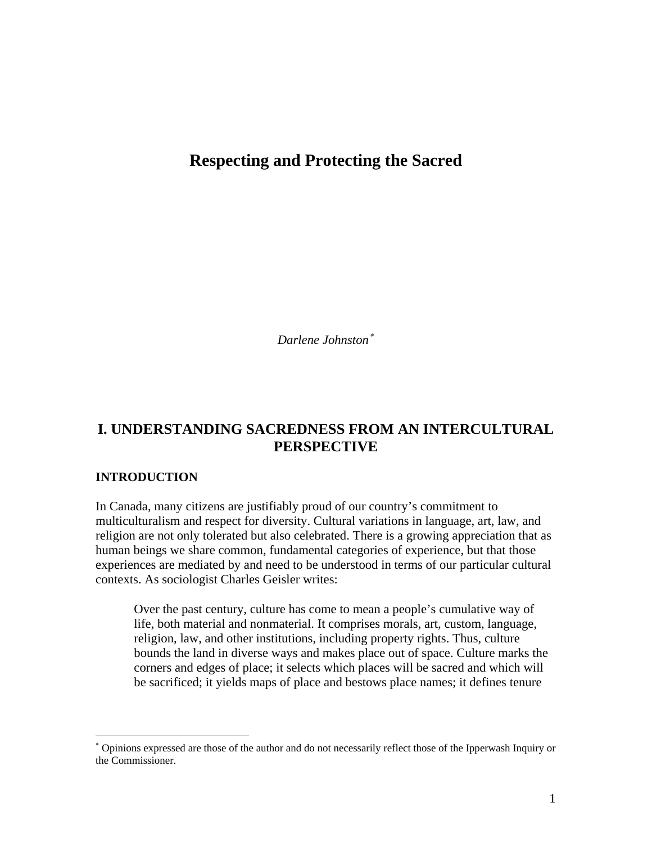# **Respecting and Protecting the Sacred**

*Darlene Johnston*<sup>∗</sup>

# **I. UNDERSTANDING SACREDNESS FROM AN INTERCULTURAL PERSPECTIVE**

### **INTRODUCTION**

In Canada, many citizens are justifiably proud of our country's commitment to multiculturalism and respect for diversity. Cultural variations in language, art, law, and religion are not only tolerated but also celebrated. There is a growing appreciation that as human beings we share common, fundamental categories of experience, but that those experiences are mediated by and need to be understood in terms of our particular cultural contexts. As sociologist Charles Geisler writes:

Over the past century, culture has come to mean a people's cumulative way of life, both material and nonmaterial. It comprises morals, art, custom, language, religion, law, and other institutions, including property rights. Thus, culture bounds the land in diverse ways and makes place out of space. Culture marks the corners and edges of place; it selects which places will be sacred and which will be sacrificed; it yields maps of place and bestows place names; it defines tenure

<sup>∗</sup> Opinions expressed are those of the author and do not necessarily reflect those of the Ipperwash Inquiry or the Commissioner.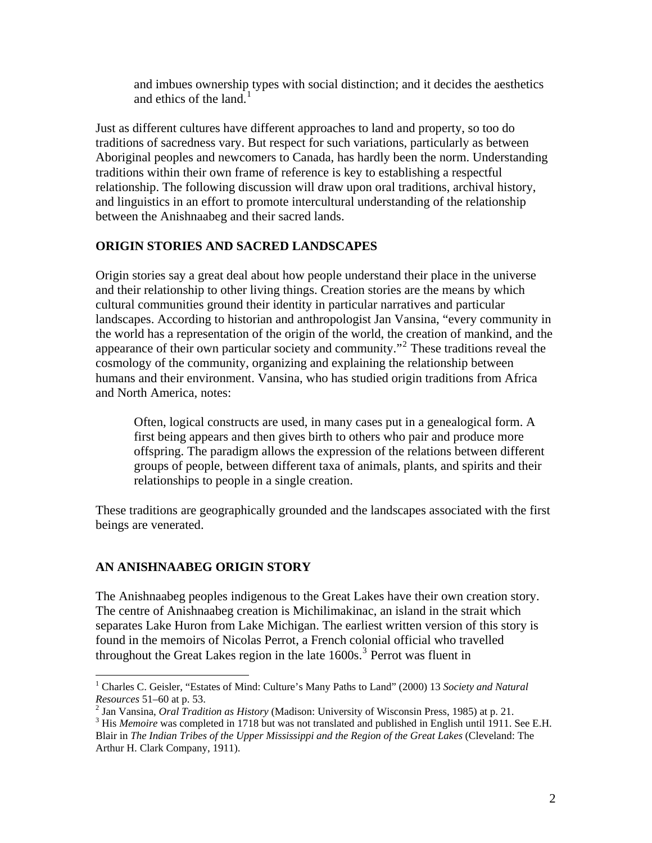and imbues ownership types with social distinction; and it decides the aesthetics and ethics of the land.<sup>[1](#page-1-0)</sup>

Just as different cultures have different approaches to land and property, so too do traditions of sacredness vary. But respect for such variations, particularly as between Aboriginal peoples and newcomers to Canada, has hardly been the norm. Understanding traditions within their own frame of reference is key to establishing a respectful relationship. The following discussion will draw upon oral traditions, archival history, and linguistics in an effort to promote intercultural understanding of the relationship between the Anishnaabeg and their sacred lands.

# **ORIGIN STORIES AND SACRED LANDSCAPES**

Origin stories say a great deal about how people understand their place in the universe and their relationship to other living things. Creation stories are the means by which cultural communities ground their identity in particular narratives and particular landscapes. According to historian and anthropologist Jan Vansina, "every community in the world has a representation of the origin of the world, the creation of mankind, and the appearance of their own particular society and community."<sup>[2](#page-1-1)</sup> These traditions reveal the cosmology of the community, organizing and explaining the relationship between humans and their environment. Vansina, who has studied origin traditions from Africa and North America, notes:

Often, logical constructs are used, in many cases put in a genealogical form. A first being appears and then gives birth to others who pair and produce more offspring. The paradigm allows the expression of the relations between different groups of people, between different taxa of animals, plants, and spirits and their relationships to people in a single creation.

These traditions are geographically grounded and the landscapes associated with the first beings are venerated.

# **AN ANISHNAABEG ORIGIN STORY**

The Anishnaabeg peoples indigenous to the Great Lakes have their own creation story. The centre of Anishnaabeg creation is Michilimakinac, an island in the strait which separates Lake Huron from Lake Michigan. The earliest written version of this story is found in the memoirs of Nicolas Perrot, a French colonial official who travelled throughout the Great Lakes region in the late  $1600s$ .<sup>[3](#page-1-2)</sup> Perrot was fluent in

<span id="page-1-0"></span> <sup>1</sup> Charles C. Geisler, "Estates of Mind: Culture's Many Paths to Land" (2000) 13 *Society and Natural Resources* 51–60 at p. 53. 2

<sup>&</sup>lt;sup>2</sup> Jan Vansina, *Oral Tradition as History* (Madison: University of Wisconsin Press, 1985) at p. 21.

<span id="page-1-2"></span><span id="page-1-1"></span><sup>&</sup>lt;sup>3</sup> His *Memoire* was completed in 1718 but was not translated and published in English until 1911. See E.H.

Blair in *The Indian Tribes of the Upper Mississippi and the Region of the Great Lakes* (Cleveland: The Arthur H. Clark Company, 1911).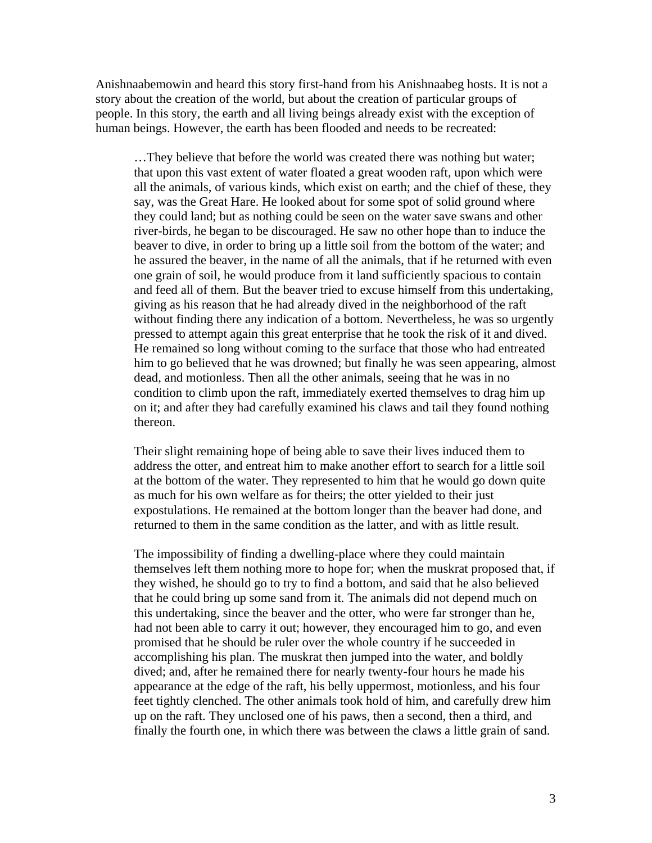Anishnaabemowin and heard this story first-hand from his Anishnaabeg hosts. It is not a story about the creation of the world, but about the creation of particular groups of people. In this story, the earth and all living beings already exist with the exception of human beings. However, the earth has been flooded and needs to be recreated:

…They believe that before the world was created there was nothing but water; that upon this vast extent of water floated a great wooden raft, upon which were all the animals, of various kinds, which exist on earth; and the chief of these, they say, was the Great Hare. He looked about for some spot of solid ground where they could land; but as nothing could be seen on the water save swans and other river-birds, he began to be discouraged. He saw no other hope than to induce the beaver to dive, in order to bring up a little soil from the bottom of the water; and he assured the beaver, in the name of all the animals, that if he returned with even one grain of soil, he would produce from it land sufficiently spacious to contain and feed all of them. But the beaver tried to excuse himself from this undertaking, giving as his reason that he had already dived in the neighborhood of the raft without finding there any indication of a bottom. Nevertheless, he was so urgently pressed to attempt again this great enterprise that he took the risk of it and dived. He remained so long without coming to the surface that those who had entreated him to go believed that he was drowned; but finally he was seen appearing, almost dead, and motionless. Then all the other animals, seeing that he was in no condition to climb upon the raft, immediately exerted themselves to drag him up on it; and after they had carefully examined his claws and tail they found nothing thereon.

Their slight remaining hope of being able to save their lives induced them to address the otter, and entreat him to make another effort to search for a little soil at the bottom of the water. They represented to him that he would go down quite as much for his own welfare as for theirs; the otter yielded to their just expostulations. He remained at the bottom longer than the beaver had done, and returned to them in the same condition as the latter, and with as little result.

The impossibility of finding a dwelling-place where they could maintain themselves left them nothing more to hope for; when the muskrat proposed that, if they wished, he should go to try to find a bottom, and said that he also believed that he could bring up some sand from it. The animals did not depend much on this undertaking, since the beaver and the otter, who were far stronger than he, had not been able to carry it out; however, they encouraged him to go, and even promised that he should be ruler over the whole country if he succeeded in accomplishing his plan. The muskrat then jumped into the water, and boldly dived; and, after he remained there for nearly twenty-four hours he made his appearance at the edge of the raft, his belly uppermost, motionless, and his four feet tightly clenched. The other animals took hold of him, and carefully drew him up on the raft. They unclosed one of his paws, then a second, then a third, and finally the fourth one, in which there was between the claws a little grain of sand.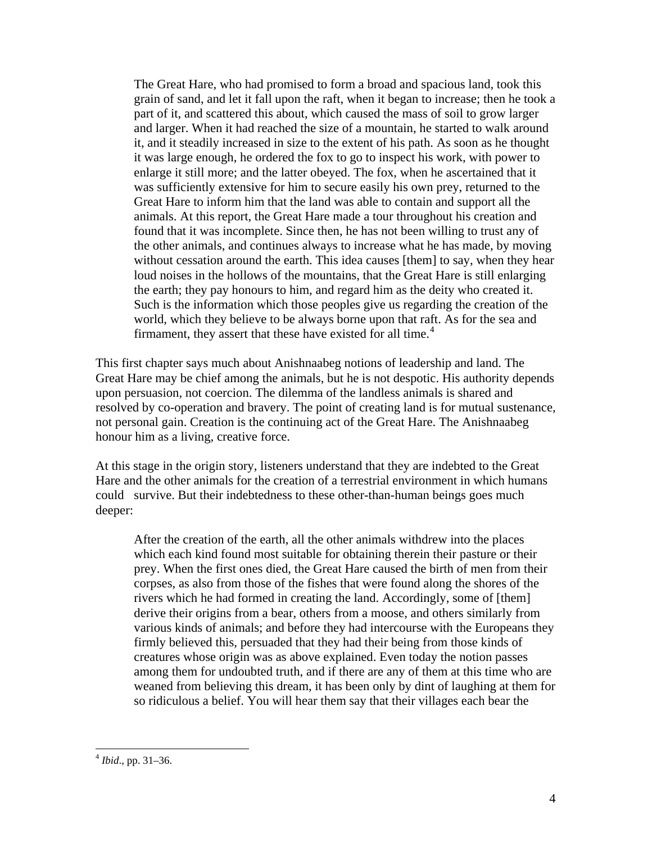The Great Hare, who had promised to form a broad and spacious land, took this grain of sand, and let it fall upon the raft, when it began to increase; then he took a part of it, and scattered this about, which caused the mass of soil to grow larger and larger. When it had reached the size of a mountain, he started to walk around it, and it steadily increased in size to the extent of his path. As soon as he thought it was large enough, he ordered the fox to go to inspect his work, with power to enlarge it still more; and the latter obeyed. The fox, when he ascertained that it was sufficiently extensive for him to secure easily his own prey, returned to the Great Hare to inform him that the land was able to contain and support all the animals. At this report, the Great Hare made a tour throughout his creation and found that it was incomplete. Since then, he has not been willing to trust any of the other animals, and continues always to increase what he has made, by moving without cessation around the earth. This idea causes [them] to say, when they hear loud noises in the hollows of the mountains, that the Great Hare is still enlarging the earth; they pay honours to him, and regard him as the deity who created it. Such is the information which those peoples give us regarding the creation of the world, which they believe to be always borne upon that raft. As for the sea and firmament, they assert that these have existed for all time. $4$ 

This first chapter says much about Anishnaabeg notions of leadership and land. The Great Hare may be chief among the animals, but he is not despotic. His authority depends upon persuasion, not coercion. The dilemma of the landless animals is shared and resolved by co-operation and bravery. The point of creating land is for mutual sustenance, not personal gain. Creation is the continuing act of the Great Hare. The Anishnaabeg honour him as a living, creative force.

At this stage in the origin story, listeners understand that they are indebted to the Great Hare and the other animals for the creation of a terrestrial environment in which humans could survive. But their indebtedness to these other-than-human beings goes much deeper:

After the creation of the earth, all the other animals withdrew into the places which each kind found most suitable for obtaining therein their pasture or their prey. When the first ones died, the Great Hare caused the birth of men from their corpses, as also from those of the fishes that were found along the shores of the rivers which he had formed in creating the land. Accordingly, some of [them] derive their origins from a bear, others from a moose, and others similarly from various kinds of animals; and before they had intercourse with the Europeans they firmly believed this, persuaded that they had their being from those kinds of creatures whose origin was as above explained. Even today the notion passes among them for undoubted truth, and if there are any of them at this time who are weaned from believing this dream, it has been only by dint of laughing at them for so ridiculous a belief. You will hear them say that their villages each bear the

<span id="page-3-0"></span><sup>4</sup> *Ibid*., pp. 31–36.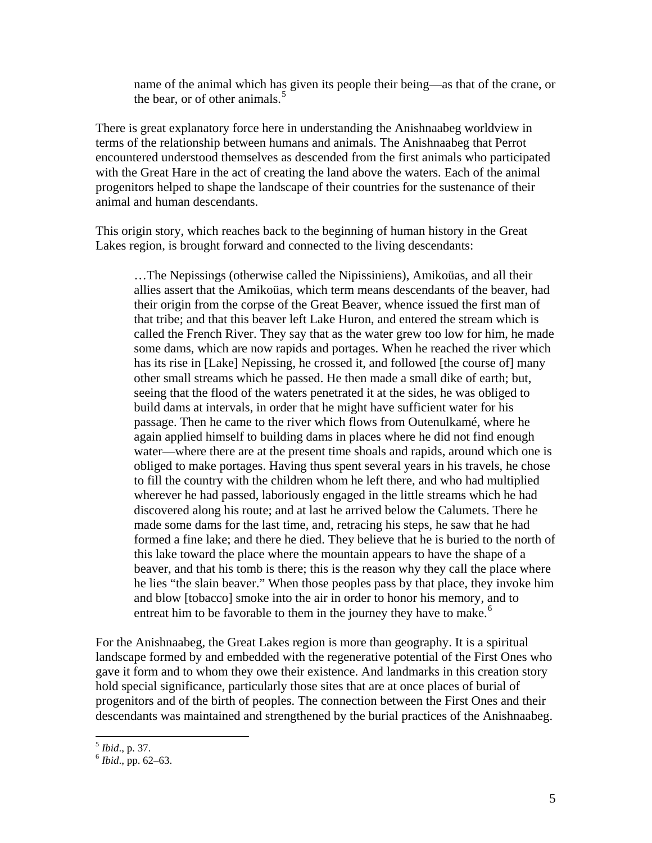name of the animal which has given its people their being—as that of the crane, or the bear, or of other animals.<sup>[5](#page-4-0)</sup>

There is great explanatory force here in understanding the Anishnaabeg worldview in terms of the relationship between humans and animals. The Anishnaabeg that Perrot encountered understood themselves as descended from the first animals who participated with the Great Hare in the act of creating the land above the waters. Each of the animal progenitors helped to shape the landscape of their countries for the sustenance of their animal and human descendants.

This origin story, which reaches back to the beginning of human history in the Great Lakes region, is brought forward and connected to the living descendants:

…The Nepissings (otherwise called the Nipissiniens), Amikoüas, and all their allies assert that the Amikoüas, which term means descendants of the beaver, had their origin from the corpse of the Great Beaver, whence issued the first man of that tribe; and that this beaver left Lake Huron, and entered the stream which is called the French River. They say that as the water grew too low for him, he made some dams, which are now rapids and portages. When he reached the river which has its rise in [Lake] Nepissing, he crossed it, and followed [the course of] many other small streams which he passed. He then made a small dike of earth; but, seeing that the flood of the waters penetrated it at the sides, he was obliged to build dams at intervals, in order that he might have sufficient water for his passage. Then he came to the river which flows from Outenulkamé, where he again applied himself to building dams in places where he did not find enough water—where there are at the present time shoals and rapids, around which one is obliged to make portages. Having thus spent several years in his travels, he chose to fill the country with the children whom he left there, and who had multiplied wherever he had passed, laboriously engaged in the little streams which he had discovered along his route; and at last he arrived below the Calumets. There he made some dams for the last time, and, retracing his steps, he saw that he had formed a fine lake; and there he died. They believe that he is buried to the north of this lake toward the place where the mountain appears to have the shape of a beaver, and that his tomb is there; this is the reason why they call the place where he lies "the slain beaver." When those peoples pass by that place, they invoke him and blow [tobacco] smoke into the air in order to honor his memory, and to entreat him to be favorable to them in the journey they have to make.<sup>[6](#page-4-1)</sup>

For the Anishnaabeg, the Great Lakes region is more than geography. It is a spiritual landscape formed by and embedded with the regenerative potential of the First Ones who gave it form and to whom they owe their existence. And landmarks in this creation story hold special significance, particularly those sites that are at once places of burial of progenitors and of the birth of peoples. The connection between the First Ones and their descendants was maintained and strengthened by the burial practices of the Anishnaabeg.

<span id="page-4-0"></span> $<sup>5</sup>$  Ibid., p. 37.</sup>

<span id="page-4-1"></span> $<sup>6</sup> Ibid., pp. 62–63.$ </sup>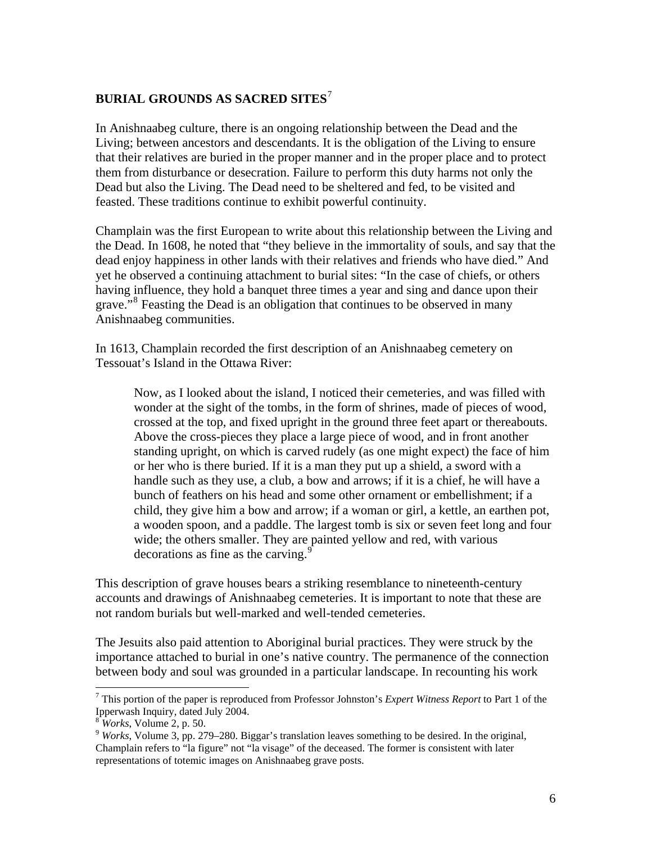### **BURIAL GROUNDS AS SACRED SITES**[7](#page-5-0)

In Anishnaabeg culture, there is an ongoing relationship between the Dead and the Living; between ancestors and descendants. It is the obligation of the Living to ensure that their relatives are buried in the proper manner and in the proper place and to protect them from disturbance or desecration. Failure to perform this duty harms not only the Dead but also the Living. The Dead need to be sheltered and fed, to be visited and feasted. These traditions continue to exhibit powerful continuity.

Champlain was the first European to write about this relationship between the Living and the Dead. In 1608, he noted that "they believe in the immortality of souls, and say that the dead enjoy happiness in other lands with their relatives and friends who have died." And yet he observed a continuing attachment to burial sites: "In the case of chiefs, or others having influence, they hold a banquet three times a year and sing and dance upon their grave."<sup>[8](#page-5-1)</sup> Feasting the Dead is an obligation that continues to be observed in many Anishnaabeg communities.

In 1613, Champlain recorded the first description of an Anishnaabeg cemetery on Tessouat's Island in the Ottawa River:

Now, as I looked about the island, I noticed their cemeteries, and was filled with wonder at the sight of the tombs, in the form of shrines, made of pieces of wood, crossed at the top, and fixed upright in the ground three feet apart or thereabouts. Above the cross-pieces they place a large piece of wood, and in front another standing upright, on which is carved rudely (as one might expect) the face of him or her who is there buried. If it is a man they put up a shield, a sword with a handle such as they use, a club, a bow and arrows; if it is a chief, he will have a bunch of feathers on his head and some other ornament or embellishment; if a child, they give him a bow and arrow; if a woman or girl, a kettle, an earthen pot, a wooden spoon, and a paddle. The largest tomb is six or seven feet long and four wide; the others smaller. They are painted yellow and red, with various decorations as fine as the carving.<sup>[9](#page-5-2)</sup>

This description of grave houses bears a striking resemblance to nineteenth-century accounts and drawings of Anishnaabeg cemeteries. It is important to note that these are not random burials but well-marked and well-tended cemeteries.

The Jesuits also paid attention to Aboriginal burial practices. They were struck by the importance attached to burial in one's native country. The permanence of the connection between body and soul was grounded in a particular landscape. In recounting his work

<span id="page-5-0"></span><sup>7</sup> This portion of the paper is reproduced from Professor Johnston's *Expert Witness Report* to Part 1 of the Ipperwash Inquiry, dated July 2004.<br><sup>8</sup> Works, Volume 2, p. 50.

<span id="page-5-1"></span>

<span id="page-5-2"></span> $9$  *Works*, Volume 3, pp. 279–280. Biggar's translation leaves something to be desired. In the original, Champlain refers to "la figure" not "la visage" of the deceased. The former is consistent with later representations of totemic images on Anishnaabeg grave posts.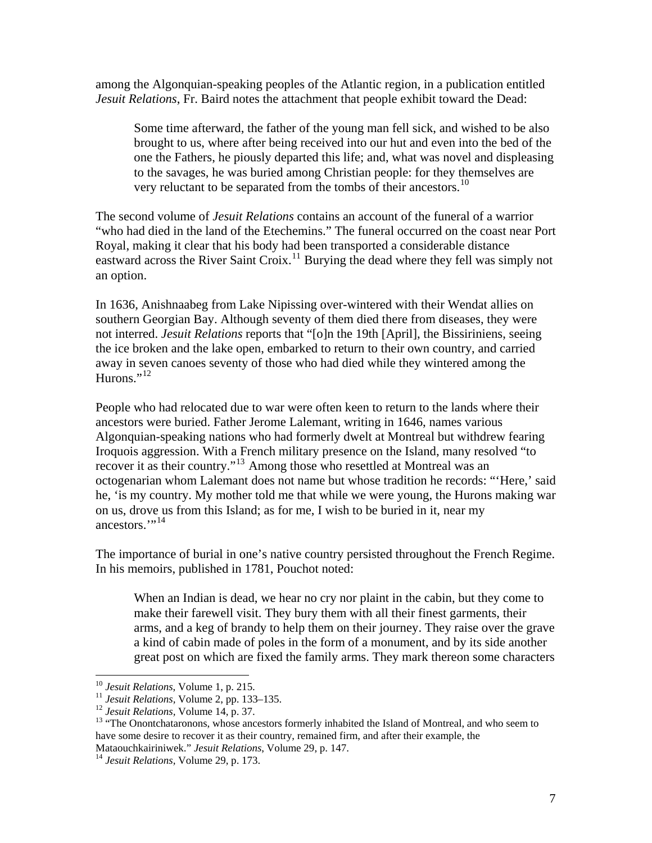among the Algonquian-speaking peoples of the Atlantic region, in a publication entitled *Jesuit Relations*, Fr. Baird notes the attachment that people exhibit toward the Dead:

Some time afterward, the father of the young man fell sick, and wished to be also brought to us, where after being received into our hut and even into the bed of the one the Fathers, he piously departed this life; and, what was novel and displeasing to the savages, he was buried among Christian people: for they themselves are very reluctant to be separated from the tombs of their ancestors.<sup>[10](#page-6-0)</sup>

The second volume of *Jesuit Relations* contains an account of the funeral of a warrior "who had died in the land of the Etechemins." The funeral occurred on the coast near Port Royal, making it clear that his body had been transported a considerable distance eastward across the River Saint Croix.<sup>[11](#page-6-1)</sup> Burying the dead where they fell was simply not an option.

In 1636, Anishnaabeg from Lake Nipissing over-wintered with their Wendat allies on southern Georgian Bay. Although seventy of them died there from diseases, they were not interred. *Jesuit Relations* reports that "[o]n the 19th [April], the Bissiriniens, seeing the ice broken and the lake open, embarked to return to their own country, and carried away in seven canoes seventy of those who had died while they wintered among the Hurons."<sup>[12](#page-6-2)</sup>

People who had relocated due to war were often keen to return to the lands where their ancestors were buried. Father Jerome Lalemant, writing in 1646, names various Algonquian-speaking nations who had formerly dwelt at Montreal but withdrew fearing Iroquois aggression. With a French military presence on the Island, many resolved "to recover it as their country."[13](#page-6-3) Among those who resettled at Montreal was an octogenarian whom Lalemant does not name but whose tradition he records: "'Here,' said he, 'is my country. My mother told me that while we were young, the Hurons making war on us, drove us from this Island; as for me, I wish to be buried in it, near my ancestors."<sup>[14](#page-6-4)</sup>

The importance of burial in one's native country persisted throughout the French Regime. In his memoirs, published in 1781, Pouchot noted:

When an Indian is dead, we hear no cry nor plaint in the cabin, but they come to make their farewell visit. They bury them with all their finest garments, their arms, and a keg of brandy to help them on their journey. They raise over the grave a kind of cabin made of poles in the form of a monument, and by its side another great post on which are fixed the family arms. They mark thereon some characters

<span id="page-6-0"></span> $^{10}$  Jesuit Relations, Volume 1, p. 215.

<span id="page-6-3"></span><span id="page-6-2"></span>

<span id="page-6-1"></span><sup>&</sup>lt;sup>11</sup> Jesuit Relations, Volume 2, pp. 133–135.<br><sup>12</sup> Jesuit Relations, Volume 14, p. 37.<br><sup>13</sup> "The Onontchataronons, whose ancestors formerly inhabited the Island of Montreal, and who seem to have some desire to recover it as their country, remained firm, and after their example, the Mataouchkairiniwek." *Jesuit Relations*, Volume 29, p. 147. 14 *Jesuit Relations,* Volume 29, p. 173.

<span id="page-6-4"></span>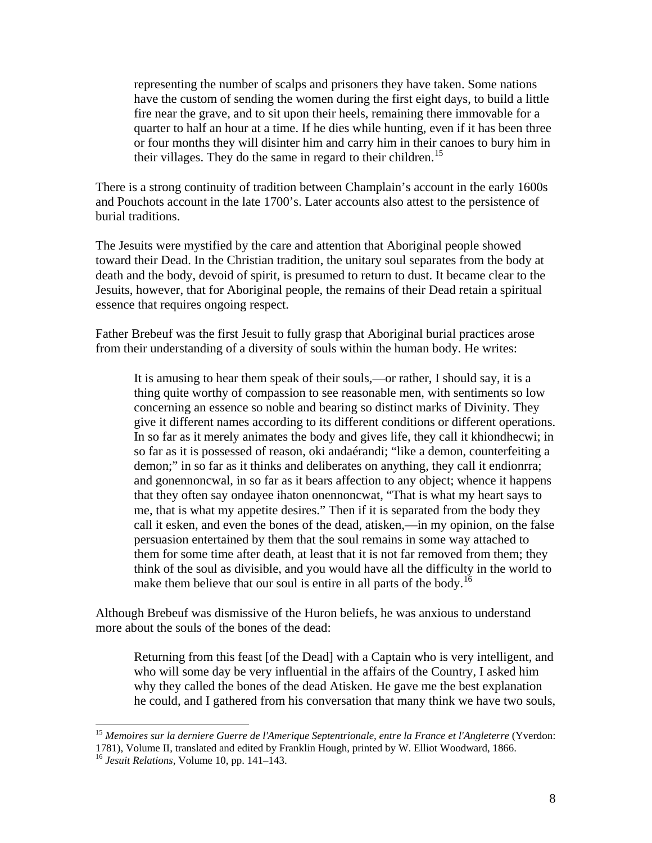representing the number of scalps and prisoners they have taken. Some nations have the custom of sending the women during the first eight days, to build a little fire near the grave, and to sit upon their heels, remaining there immovable for a quarter to half an hour at a time. If he dies while hunting, even if it has been three or four months they will disinter him and carry him in their canoes to bury him in their villages. They do the same in regard to their children.<sup>[15](#page-7-0)</sup>

There is a strong continuity of tradition between Champlain's account in the early 1600s and Pouchots account in the late 1700's. Later accounts also attest to the persistence of burial traditions.

The Jesuits were mystified by the care and attention that Aboriginal people showed toward their Dead. In the Christian tradition, the unitary soul separates from the body at death and the body, devoid of spirit, is presumed to return to dust. It became clear to the Jesuits, however, that for Aboriginal people, the remains of their Dead retain a spiritual essence that requires ongoing respect.

Father Brebeuf was the first Jesuit to fully grasp that Aboriginal burial practices arose from their understanding of a diversity of souls within the human body. He writes:

It is amusing to hear them speak of their souls,—or rather, I should say, it is a thing quite worthy of compassion to see reasonable men, with sentiments so low concerning an essence so noble and bearing so distinct marks of Divinity. They give it different names according to its different conditions or different operations. In so far as it merely animates the body and gives life, they call it khiondhecwi; in so far as it is possessed of reason, oki andaérandi; "like a demon, counterfeiting a demon;" in so far as it thinks and deliberates on anything, they call it endionrra; and gonennoncwal, in so far as it bears affection to any object; whence it happens that they often say ondayee ihaton onennoncwat, "That is what my heart says to me, that is what my appetite desires." Then if it is separated from the body they call it esken, and even the bones of the dead, atisken,—in my opinion, on the false persuasion entertained by them that the soul remains in some way attached to them for some time after death, at least that it is not far removed from them; they think of the soul as divisible, and you would have all the difficulty in the world to make them believe that our soul is entire in all parts of the body.<sup>[16](#page-7-1)</sup>

Although Brebeuf was dismissive of the Huron beliefs, he was anxious to understand more about the souls of the bones of the dead:

Returning from this feast [of the Dead] with a Captain who is very intelligent, and who will some day be very influential in the affairs of the Country, I asked him why they called the bones of the dead Atisken. He gave me the best explanation he could, and I gathered from his conversation that many think we have two souls,

<span id="page-7-0"></span><sup>15</sup> *Memoires sur la derniere Guerre de l'Amerique Septentrionale, entre la France et l'Angleterre* (Yverdon: 1781), Volume II, translated and edited by Franklin Hough, printed by W. Elliot Woodward, 1866.

<span id="page-7-1"></span><sup>16</sup> *Jesuit Relations,* Volume 10, pp. 141–143.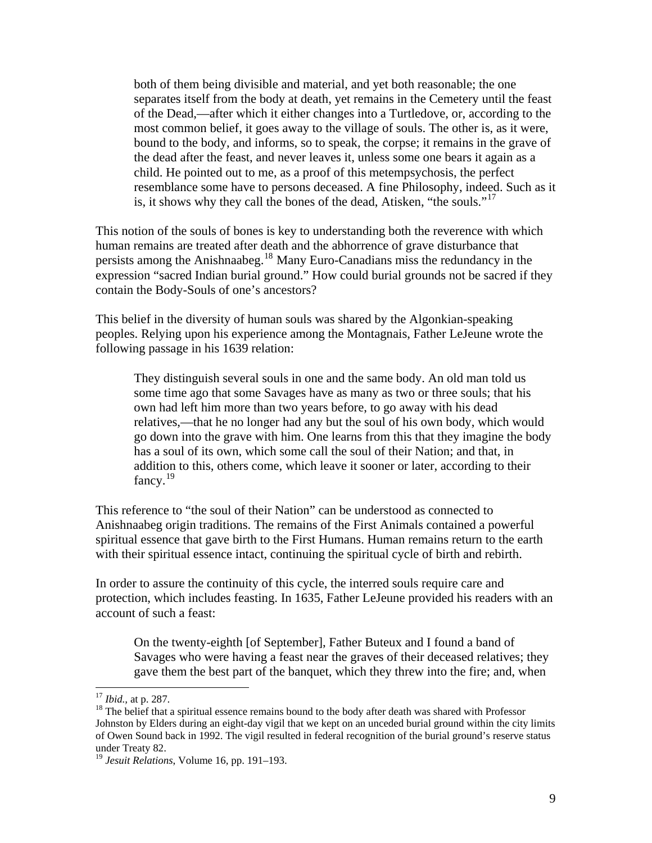both of them being divisible and material, and yet both reasonable; the one separates itself from the body at death, yet remains in the Cemetery until the feast of the Dead,—after which it either changes into a Turtledove, or, according to the most common belief, it goes away to the village of souls. The other is, as it were, bound to the body, and informs, so to speak, the corpse; it remains in the grave of the dead after the feast, and never leaves it, unless some one bears it again as a child. He pointed out to me, as a proof of this metempsychosis, the perfect resemblance some have to persons deceased. A fine Philosophy, indeed. Such as it is, it shows why they call the bones of the dead, Atisken, "the souls."<sup>[17](#page-8-0)</sup>

This notion of the souls of bones is key to understanding both the reverence with which human remains are treated after death and the abhorrence of grave disturbance that persists among the Anishnaabeg.[18](#page-8-1) Many Euro-Canadians miss the redundancy in the expression "sacred Indian burial ground." How could burial grounds not be sacred if they contain the Body-Souls of one's ancestors?

This belief in the diversity of human souls was shared by the Algonkian-speaking peoples. Relying upon his experience among the Montagnais, Father LeJeune wrote the following passage in his 1639 relation:

They distinguish several souls in one and the same body. An old man told us some time ago that some Savages have as many as two or three souls; that his own had left him more than two years before, to go away with his dead relatives,—that he no longer had any but the soul of his own body, which would go down into the grave with him. One learns from this that they imagine the body has a soul of its own, which some call the soul of their Nation; and that, in addition to this, others come, which leave it sooner or later, according to their  $fancy.<sup>19</sup>$  $fancy.<sup>19</sup>$  $fancy.<sup>19</sup>$ 

This reference to "the soul of their Nation" can be understood as connected to Anishnaabeg origin traditions. The remains of the First Animals contained a powerful spiritual essence that gave birth to the First Humans. Human remains return to the earth with their spiritual essence intact, continuing the spiritual cycle of birth and rebirth.

In order to assure the continuity of this cycle, the interred souls require care and protection, which includes feasting. In 1635, Father LeJeune provided his readers with an account of such a feast:

On the twenty-eighth [of September], Father Buteux and I found a band of Savages who were having a feast near the graves of their deceased relatives; they gave them the best part of the banquet, which they threw into the fire; and, when

<span id="page-8-0"></span> $17$  *Ibid.*, at p. 287.

<span id="page-8-1"></span><sup>&</sup>lt;sup>18</sup> The belief that a spiritual essence remains bound to the body after death was shared with Professor Johnston by Elders during an eight-day vigil that we kept on an unceded burial ground within the city limits of Owen Sound back in 1992. The vigil resulted in federal recognition of the burial ground's reserve status under Treaty 82.

<span id="page-8-2"></span><sup>19</sup> *Jesuit Relations*, Volume 16, pp. 191–193.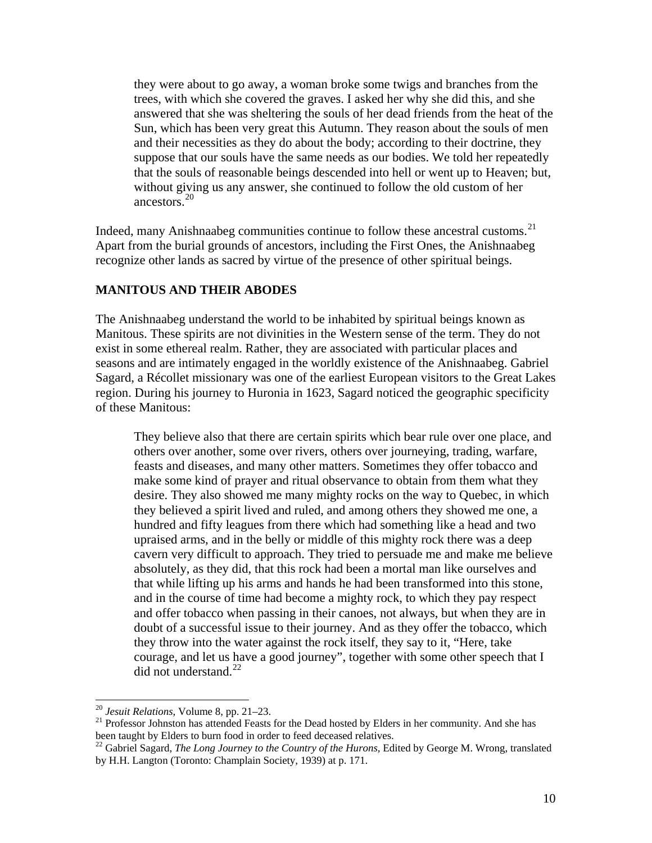they were about to go away, a woman broke some twigs and branches from the trees, with which she covered the graves. I asked her why she did this, and she answered that she was sheltering the souls of her dead friends from the heat of the Sun, which has been very great this Autumn. They reason about the souls of men and their necessities as they do about the body; according to their doctrine, they suppose that our souls have the same needs as our bodies. We told her repeatedly that the souls of reasonable beings descended into hell or went up to Heaven; but, without giving us any answer, she continued to follow the old custom of her ancestors.[20](#page-9-0)

Indeed, many Anishnaabeg communities continue to follow these ancestral customs.[21](#page-9-1) Apart from the burial grounds of ancestors, including the First Ones, the Anishnaabeg recognize other lands as sacred by virtue of the presence of other spiritual beings.

#### **MANITOUS AND THEIR ABODES**

The Anishnaabeg understand the world to be inhabited by spiritual beings known as Manitous. These spirits are not divinities in the Western sense of the term. They do not exist in some ethereal realm. Rather, they are associated with particular places and seasons and are intimately engaged in the worldly existence of the Anishnaabeg. Gabriel Sagard, a Récollet missionary was one of the earliest European visitors to the Great Lakes region. During his journey to Huronia in 1623, Sagard noticed the geographic specificity of these Manitous:

They believe also that there are certain spirits which bear rule over one place, and others over another, some over rivers, others over journeying, trading, warfare, feasts and diseases, and many other matters. Sometimes they offer tobacco and make some kind of prayer and ritual observance to obtain from them what they desire. They also showed me many mighty rocks on the way to Quebec, in which they believed a spirit lived and ruled, and among others they showed me one, a hundred and fifty leagues from there which had something like a head and two upraised arms, and in the belly or middle of this mighty rock there was a deep cavern very difficult to approach. They tried to persuade me and make me believe absolutely, as they did, that this rock had been a mortal man like ourselves and that while lifting up his arms and hands he had been transformed into this stone, and in the course of time had become a mighty rock, to which they pay respect and offer tobacco when passing in their canoes, not always, but when they are in doubt of a successful issue to their journey. And as they offer the tobacco, which they throw into the water against the rock itself, they say to it, "Here, take courage, and let us have a good journey", together with some other speech that I did not understand. $^{22}$  $^{22}$  $^{22}$ 

<span id="page-9-0"></span><sup>&</sup>lt;sup>20</sup> Jesuit Relations, Volume 8, pp. 21-23.

<span id="page-9-1"></span><sup>&</sup>lt;sup>21</sup> Professor Johnston has attended Feasts for the Dead hosted by Elders in her community. And she has been taught by Elders to burn food in order to feed deceased relatives.

<span id="page-9-2"></span><sup>&</sup>lt;sup>22</sup> Gabriel Sagard, *The Long Journey to the Country of the Hurons*, Edited by George M. Wrong, translated by H.H. Langton (Toronto: Champlain Society, 1939) at p. 171.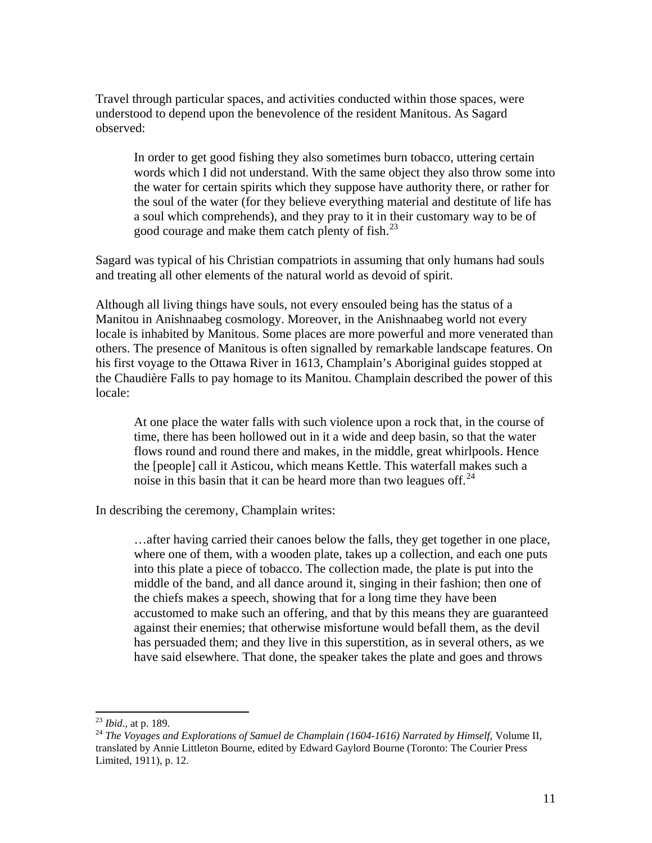Travel through particular spaces, and activities conducted within those spaces, were understood to depend upon the benevolence of the resident Manitous. As Sagard observed:

In order to get good fishing they also sometimes burn tobacco, uttering certain words which I did not understand. With the same object they also throw some into the water for certain spirits which they suppose have authority there, or rather for the soul of the water (for they believe everything material and destitute of life has a soul which comprehends), and they pray to it in their customary way to be of good courage and make them catch plenty of fish.<sup>[23](#page-10-0)</sup>

Sagard was typical of his Christian compatriots in assuming that only humans had souls and treating all other elements of the natural world as devoid of spirit.

Although all living things have souls, not every ensouled being has the status of a Manitou in Anishnaabeg cosmology. Moreover, in the Anishnaabeg world not every locale is inhabited by Manitous. Some places are more powerful and more venerated than others. The presence of Manitous is often signalled by remarkable landscape features. On his first voyage to the Ottawa River in 1613, Champlain's Aboriginal guides stopped at the Chaudière Falls to pay homage to its Manitou. Champlain described the power of this locale:

At one place the water falls with such violence upon a rock that, in the course of time, there has been hollowed out in it a wide and deep basin, so that the water flows round and round there and makes, in the middle, great whirlpools. Hence the [people] call it Asticou, which means Kettle. This waterfall makes such a noise in this basin that it can be heard more than two leagues off. $^{24}$  $^{24}$  $^{24}$ 

In describing the ceremony, Champlain writes:

…after having carried their canoes below the falls, they get together in one place, where one of them, with a wooden plate, takes up a collection, and each one puts into this plate a piece of tobacco. The collection made, the plate is put into the middle of the band, and all dance around it, singing in their fashion; then one of the chiefs makes a speech, showing that for a long time they have been accustomed to make such an offering, and that by this means they are guaranteed against their enemies; that otherwise misfortune would befall them, as the devil has persuaded them; and they live in this superstition, as in several others, as we have said elsewhere. That done, the speaker takes the plate and goes and throws

<span id="page-10-0"></span> $^{23}$  *Ibid.*, at p. 189.

<span id="page-10-1"></span><sup>&</sup>lt;sup>24</sup> *The Voyages and Explorations of Samuel de Champlain (1604-1616) Narrated by Himself*, Volume II, translated by Annie Littleton Bourne, edited by Edward Gaylord Bourne (Toronto: The Courier Press Limited, 1911), p. 12.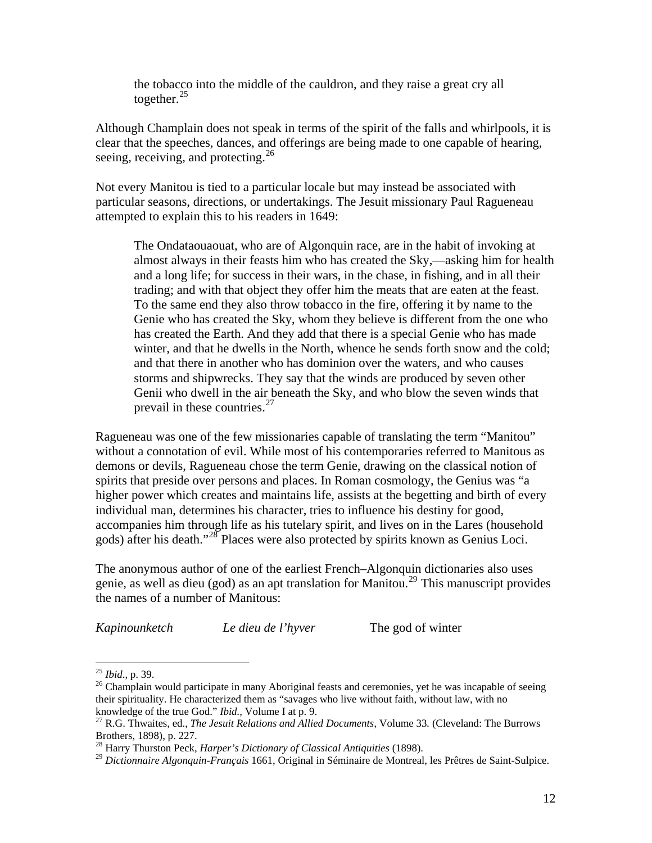the tobacco into the middle of the cauldron, and they raise a great cry all together. $25$ 

Although Champlain does not speak in terms of the spirit of the falls and whirlpools, it is clear that the speeches, dances, and offerings are being made to one capable of hearing, seeing, receiving, and protecting.<sup>[26](#page-11-1)</sup>

Not every Manitou is tied to a particular locale but may instead be associated with particular seasons, directions, or undertakings. The Jesuit missionary Paul Ragueneau attempted to explain this to his readers in 1649:

The Ondataouaouat, who are of Algonquin race, are in the habit of invoking at almost always in their feasts him who has created the Sky,—asking him for health and a long life; for success in their wars, in the chase, in fishing, and in all their trading; and with that object they offer him the meats that are eaten at the feast. To the same end they also throw tobacco in the fire, offering it by name to the Genie who has created the Sky, whom they believe is different from the one who has created the Earth. And they add that there is a special Genie who has made winter, and that he dwells in the North, whence he sends forth snow and the cold; and that there in another who has dominion over the waters, and who causes storms and shipwrecks. They say that the winds are produced by seven other Genii who dwell in the air beneath the Sky, and who blow the seven winds that prevail in these countries.<sup>[27](#page-11-2)</sup>

Ragueneau was one of the few missionaries capable of translating the term "Manitou" without a connotation of evil. While most of his contemporaries referred to Manitous as demons or devils, Ragueneau chose the term Genie, drawing on the classical notion of spirits that preside over persons and places. In Roman cosmology, the Genius was "a higher power which creates and maintains life, assists at the begetting and birth of every individual man, determines his character, tries to influence his destiny for good, accompanies him through life as his tutelary spirit, and lives on in the Lares (household gods) after his death."[28](#page-11-3) Places were also protected by spirits known as Genius Loci.

The anonymous author of one of the earliest French–Algonquin dictionaries also uses genie, as well as dieu (god) as an apt translation for Manitou.<sup>[29](#page-11-4)</sup> This manuscript provides the names of a number of Manitous:

*Kapinounketch Le dieu de l'hyver* The god of winter

<span id="page-11-0"></span> $^{25}$  *Ibid.*, p. 39.

<span id="page-11-1"></span><sup>&</sup>lt;sup>26</sup> Champlain would participate in many Aboriginal feasts and ceremonies, yet he was incapable of seeing their spirituality. He characterized them as "savages who live without faith, without law, with no knowledge of the true God." *Ibid.*, Volume I at p. 9.<br><sup>27</sup> R.G. Thwaites, ed., *The Jesuit Relations and Allied Documents*, Volume 33. (Cleveland: The Burrows

<span id="page-11-2"></span>Brothers, 1898), p. 227.

<span id="page-11-3"></span><sup>28</sup> Harry Thurston Peck, *Harper's Dictionary of Classical Antiquities* (1898).

<span id="page-11-4"></span><sup>29</sup> *Dictionnaire Algonquin-Français* 1661, Original in Séminaire de Montreal, les Prêtres de Saint-Sulpice.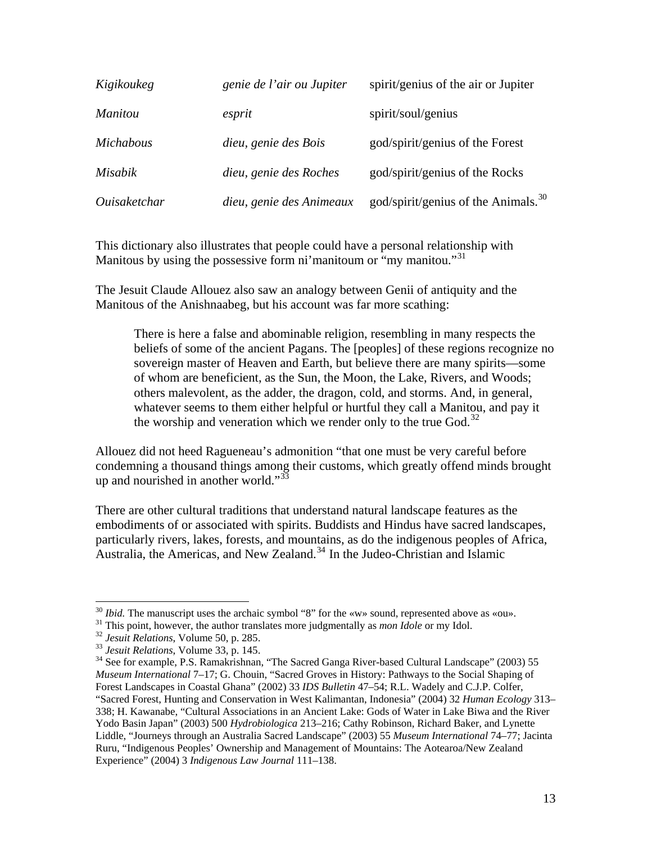| Kigikoukeg                 | genie de l'air ou Jupiter | spirit/genius of the air or Jupiter       |
|----------------------------|---------------------------|-------------------------------------------|
| <i>Manitou</i>             | esprit                    | spirit/soul/genius                        |
| <b>Michabous</b>           | dieu, genie des Bois      | god/spirit/genius of the Forest           |
| <b>Misabik</b>             | dieu, genie des Roches    | god/spirit/genius of the Rocks            |
| <i><b>Ouisaketchar</b></i> | dieu, genie des Animeaux  | god/spirit/genius of the Animals. $^{30}$ |

This dictionary also illustrates that people could have a personal relationship with Manitous by using the possessive form ni'manitoum or "my manitou."<sup>[31](#page-12-1)</sup>

The Jesuit Claude Allouez also saw an analogy between Genii of antiquity and the Manitous of the Anishnaabeg, but his account was far more scathing:

There is here a false and abominable religion, resembling in many respects the beliefs of some of the ancient Pagans. The [peoples] of these regions recognize no sovereign master of Heaven and Earth, but believe there are many spirits—some of whom are beneficient, as the Sun, the Moon, the Lake, Rivers, and Woods; others malevolent, as the adder, the dragon, cold, and storms. And, in general, whatever seems to them either helpful or hurtful they call a Manitou, and pay it the worship and veneration which we render only to the true  $God.<sup>32</sup>$  $God.<sup>32</sup>$  $God.<sup>32</sup>$ 

Allouez did not heed Ragueneau's admonition "that one must be very careful before condemning a thousand things among their customs, which greatly offend minds brought up and nourished in another world."<sup>[33](#page-12-3)</sup>

There are other cultural traditions that understand natural landscape features as the embodiments of or associated with spirits. Buddists and Hindus have sacred landscapes, particularly rivers, lakes, forests, and mountains, as do the indigenous peoples of Africa, Australia, the Americas, and New Zealand.<sup>[34](#page-12-4)</sup> In the Judeo-Christian and Islamic

 $30$  *Ibid*. The manuscript uses the archaic symbol "8" for the «w» sound, represented above as «ou».

<span id="page-12-1"></span><span id="page-12-0"></span><sup>&</sup>lt;sup>31</sup> This point, however, the author translates more judgmentally as *mon Idole* or my Idol.<br><sup>32</sup> *Jesuit Relations*, Volume 50, p. 285.<br><sup>33</sup> *Jesuit Relations*, Volume 33, p. 145.<br><sup>34</sup> See for example, P.S. Ramakrishnan,

<span id="page-12-2"></span>

<span id="page-12-4"></span><span id="page-12-3"></span>*Museum International* 7–17; G. Chouin, "Sacred Groves in History: Pathways to the Social Shaping of Forest Landscapes in Coastal Ghana" (2002) 33 *IDS Bulletin* 47–54; R.L. Wadely and C.J.P. Colfer, "Sacred Forest, Hunting and Conservation in West Kalimantan, Indonesia" (2004) 32 *Human Ecology* 313– 338; H. Kawanabe, "Cultural Associations in an Ancient Lake: Gods of Water in Lake Biwa and the River Yodo Basin Japan" (2003) 500 *Hydrobiologica* 213–216; Cathy Robinson, Richard Baker, and Lynette Liddle, "Journeys through an Australia Sacred Landscape" (2003) 55 *Museum International* 74–77; Jacinta Ruru, "Indigenous Peoples' Ownership and Management of Mountains: The Aotearoa/New Zealand Experience" (2004) 3 *Indigenous Law Journal* 111–138.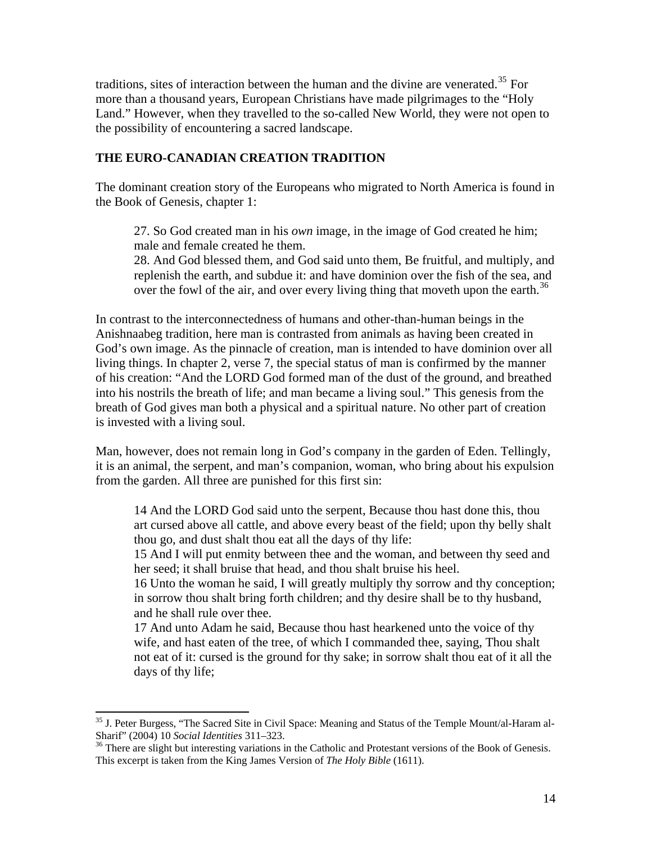traditions, sites of interaction between the human and the divine are venerated.<sup>[35](#page-13-0)</sup> For more than a thousand years, European Christians have made pilgrimages to the "Holy Land." However, when they travelled to the so-called New World, they were not open to the possibility of encountering a sacred landscape.

### **THE EURO-CANADIAN CREATION TRADITION**

The dominant creation story of the Europeans who migrated to North America is found in the Book of Genesis, chapter 1:

27. So God created man in his *own* image, in the image of God created he him; male and female created he them.

28. And God blessed them, and God said unto them, Be fruitful, and multiply, and replenish the earth, and subdue it: and have dominion over the fish of the sea, and over the fowl of the air, and over every living thing that moveth upon the earth.<sup>[36](#page-13-1)</sup>

In contrast to the interconnectedness of humans and other-than-human beings in the Anishnaabeg tradition, here man is contrasted from animals as having been created in God's own image. As the pinnacle of creation, man is intended to have dominion over all living things. In chapter 2, verse 7, the special status of man is confirmed by the manner of his creation: "And the LORD God formed man of the dust of the ground, and breathed into his nostrils the breath of life; and man became a living soul." This genesis from the breath of God gives man both a physical and a spiritual nature. No other part of creation is invested with a living soul.

Man, however, does not remain long in God's company in the garden of Eden. Tellingly, it is an animal, the serpent, and man's companion, woman, who bring about his expulsion from the garden. All three are punished for this first sin:

14 And the LORD God said unto the serpent, Because thou hast done this, thou art cursed above all cattle, and above every beast of the field; upon thy belly shalt thou go, and dust shalt thou eat all the days of thy life:

15 And I will put enmity between thee and the woman, and between thy seed and her seed; it shall bruise that head, and thou shalt bruise his heel.

16 Unto the woman he said, I will greatly multiply thy sorrow and thy conception; in sorrow thou shalt bring forth children; and thy desire shall be to thy husband, and he shall rule over thee.

17 And unto Adam he said, Because thou hast hearkened unto the voice of thy wife, and hast eaten of the tree, of which I commanded thee, saying, Thou shalt not eat of it: cursed is the ground for thy sake; in sorrow shalt thou eat of it all the days of thy life;

<span id="page-13-0"></span><sup>&</sup>lt;sup>35</sup> J. Peter Burgess, "The Sacred Site in Civil Space: Meaning and Status of the Temple Mount/al-Haram al-Sharif" (2004) 10 *Social Identities* 311–323.<br><sup>36</sup> There are slight but interesting variations in the Catholic and Protestant versions of the Book of Genesis.

<span id="page-13-1"></span>This excerpt is taken from the King James Version of *The Holy Bible* (1611).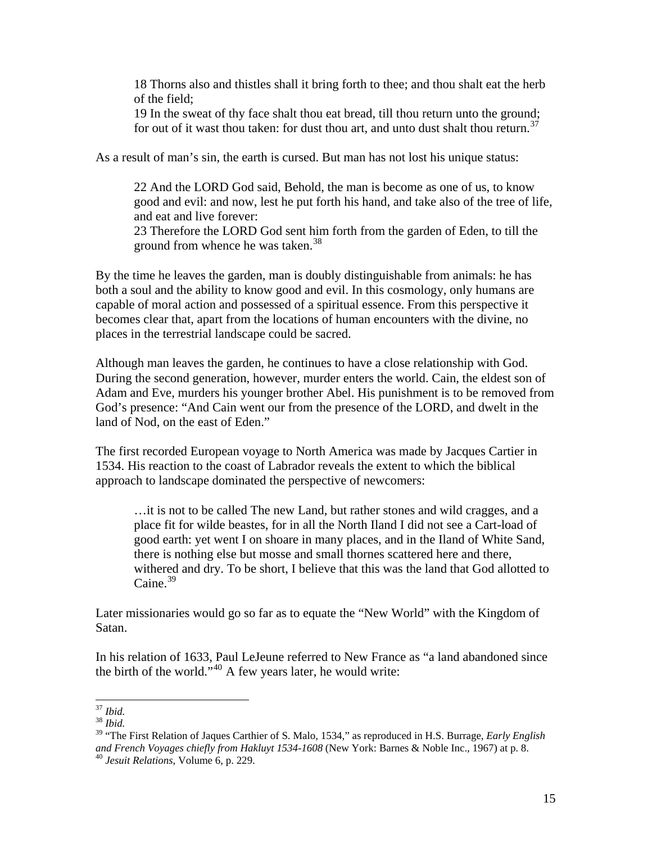18 Thorns also and thistles shall it bring forth to thee; and thou shalt eat the herb of the field;

19 In the sweat of thy face shalt thou eat bread, till thou return unto the ground; for out of it wast thou taken: for dust thou art, and unto dust shalt thou return.<sup>[37](#page-14-0)</sup>

As a result of man's sin, the earth is cursed. But man has not lost his unique status:

22 And the LORD God said, Behold, the man is become as one of us, to know good and evil: and now, lest he put forth his hand, and take also of the tree of life, and eat and live forever:

23 Therefore the LORD God sent him forth from the garden of Eden, to till the ground from whence he was taken.<sup>[38](#page-14-1)</sup>

By the time he leaves the garden, man is doubly distinguishable from animals: he has both a soul and the ability to know good and evil. In this cosmology, only humans are capable of moral action and possessed of a spiritual essence. From this perspective it becomes clear that, apart from the locations of human encounters with the divine, no places in the terrestrial landscape could be sacred.

Although man leaves the garden, he continues to have a close relationship with God. During the second generation, however, murder enters the world. Cain, the eldest son of Adam and Eve, murders his younger brother Abel. His punishment is to be removed from God's presence: "And Cain went our from the presence of the LORD, and dwelt in the land of Nod, on the east of Eden."

The first recorded European voyage to North America was made by Jacques Cartier in 1534. His reaction to the coast of Labrador reveals the extent to which the biblical approach to landscape dominated the perspective of newcomers:

…it is not to be called The new Land, but rather stones and wild cragges, and a place fit for wilde beastes, for in all the North Iland I did not see a Cart-load of good earth: yet went I on shoare in many places, and in the Iland of White Sand, there is nothing else but mosse and small thornes scattered here and there, withered and dry. To be short, I believe that this was the land that God allotted to Caine.<sup>[39](#page-14-2)</sup>

Later missionaries would go so far as to equate the "New World" with the Kingdom of Satan.

In his relation of 1633, Paul LeJeune referred to New France as "a land abandoned since the birth of the world."<sup>[40](#page-14-3)</sup> A few years later, he would write:

<span id="page-14-0"></span> $37$  Ibid.

<span id="page-14-1"></span><sup>37</sup> *Ibid.* <sup>38</sup> *Ibid.*

<span id="page-14-3"></span><span id="page-14-2"></span><sup>39 &</sup>quot;The First Relation of Jaques Carthier of S. Malo, 1534," as reproduced in H.S. Burrage, *Early English and French Voyages chiefly from Hakluyt 1534-1608* (New York: Barnes & Noble Inc., 1967) at p. 8. 40 *Jesuit Relations*, Volume 6, p. 229.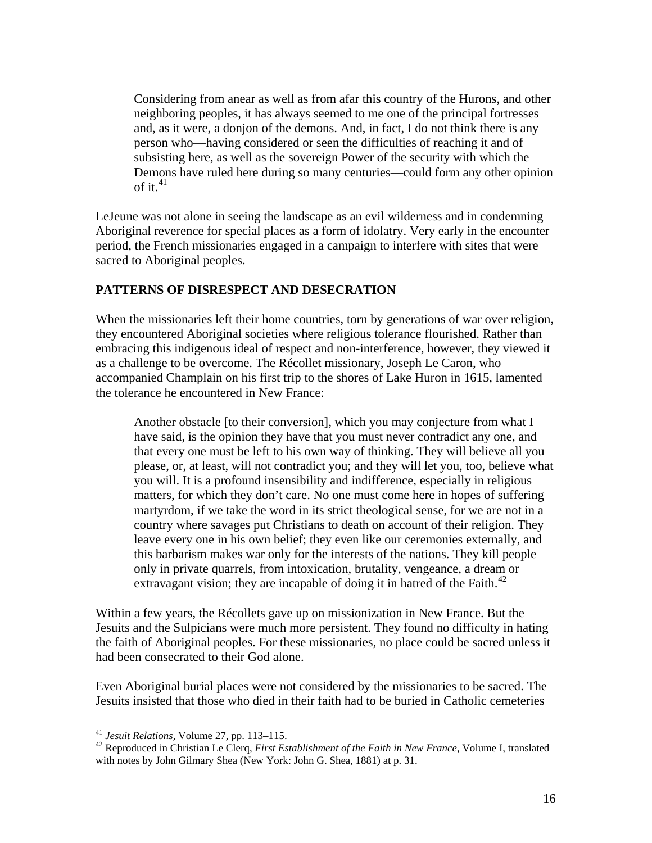Considering from anear as well as from afar this country of the Hurons, and other neighboring peoples, it has always seemed to me one of the principal fortresses and, as it were, a donjon of the demons. And, in fact, I do not think there is any person who—having considered or seen the difficulties of reaching it and of subsisting here, as well as the sovereign Power of the security with which the Demons have ruled here during so many centuries—could form any other opinion of it. $41$ 

LeJeune was not alone in seeing the landscape as an evil wilderness and in condemning Aboriginal reverence for special places as a form of idolatry. Very early in the encounter period, the French missionaries engaged in a campaign to interfere with sites that were sacred to Aboriginal peoples.

### **PATTERNS OF DISRESPECT AND DESECRATION**

When the missionaries left their home countries, torn by generations of war over religion, they encountered Aboriginal societies where religious tolerance flourished. Rather than embracing this indigenous ideal of respect and non-interference, however, they viewed it as a challenge to be overcome. The Récollet missionary, Joseph Le Caron, who accompanied Champlain on his first trip to the shores of Lake Huron in 1615, lamented the tolerance he encountered in New France:

Another obstacle [to their conversion], which you may conjecture from what I have said, is the opinion they have that you must never contradict any one, and that every one must be left to his own way of thinking. They will believe all you please, or, at least, will not contradict you; and they will let you, too, believe what you will. It is a profound insensibility and indifference, especially in religious matters, for which they don't care. No one must come here in hopes of suffering martyrdom, if we take the word in its strict theological sense, for we are not in a country where savages put Christians to death on account of their religion. They leave every one in his own belief; they even like our ceremonies externally, and this barbarism makes war only for the interests of the nations. They kill people only in private quarrels, from intoxication, brutality, vengeance, a dream or extravagant vision; they are incapable of doing it in hatred of the Faith.<sup>[42](#page-15-1)</sup>

Within a few years, the Récollets gave up on missionization in New France. But the Jesuits and the Sulpicians were much more persistent. They found no difficulty in hating the faith of Aboriginal peoples. For these missionaries, no place could be sacred unless it had been consecrated to their God alone.

Even Aboriginal burial places were not considered by the missionaries to be sacred. The Jesuits insisted that those who died in their faith had to be buried in Catholic cemeteries

<span id="page-15-0"></span><sup>&</sup>lt;sup>41</sup> Jesuit Relations, Volume 27, pp. 113-115.

<span id="page-15-1"></span><sup>&</sup>lt;sup>42</sup> Reproduced in Christian Le Clerq, *First Establishment of the Faith in New France*, Volume I, translated with notes by John Gilmary Shea (New York: John G. Shea, 1881) at p. 31.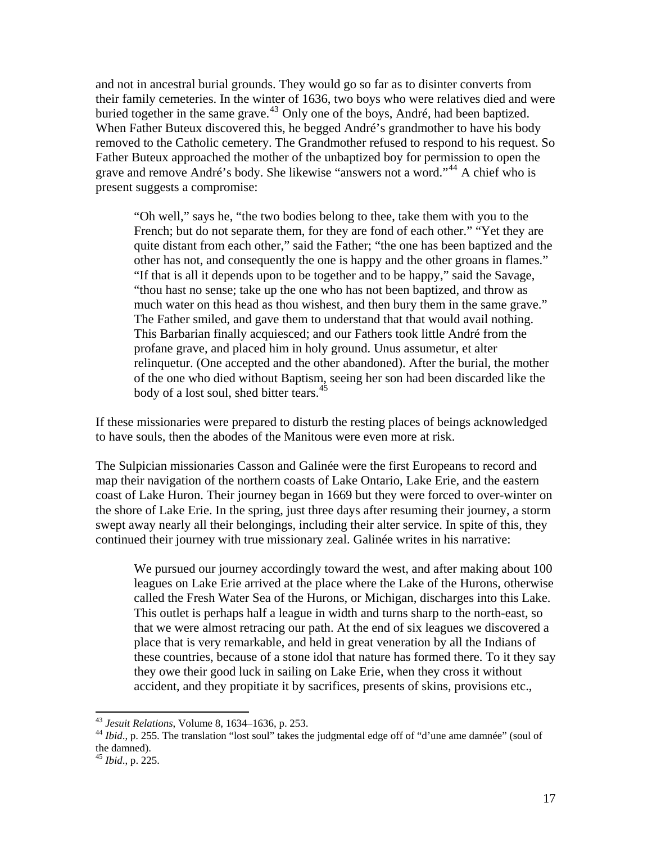and not in ancestral burial grounds. They would go so far as to disinter converts from their family cemeteries. In the winter of 1636, two boys who were relatives died and were buried together in the same grave.<sup>[43](#page-16-0)</sup> Only one of the boys, André, had been baptized. When Father Buteux discovered this, he begged André's grandmother to have his body removed to the Catholic cemetery. The Grandmother refused to respond to his request. So Father Buteux approached the mother of the unbaptized boy for permission to open the grave and remove André's body. She likewise "answers not a word."<sup>[44](#page-16-1)</sup> A chief who is present suggests a compromise:

"Oh well," says he, "the two bodies belong to thee, take them with you to the French; but do not separate them, for they are fond of each other." "Yet they are quite distant from each other," said the Father; "the one has been baptized and the other has not, and consequently the one is happy and the other groans in flames." "If that is all it depends upon to be together and to be happy," said the Savage, "thou hast no sense; take up the one who has not been baptized, and throw as much water on this head as thou wishest, and then bury them in the same grave." The Father smiled, and gave them to understand that that would avail nothing. This Barbarian finally acquiesced; and our Fathers took little André from the profane grave, and placed him in holy ground. Unus assumetur, et alter relinquetur. (One accepted and the other abandoned). After the burial, the mother of the one who died without Baptism, seeing her son had been discarded like the body of a lost soul, shed bitter tears.<sup>[45](#page-16-2)</sup>

If these missionaries were prepared to disturb the resting places of beings acknowledged to have souls, then the abodes of the Manitous were even more at risk.

The Sulpician missionaries Casson and Galinée were the first Europeans to record and map their navigation of the northern coasts of Lake Ontario, Lake Erie, and the eastern coast of Lake Huron. Their journey began in 1669 but they were forced to over-winter on the shore of Lake Erie. In the spring, just three days after resuming their journey, a storm swept away nearly all their belongings, including their alter service. In spite of this, they continued their journey with true missionary zeal. Galinée writes in his narrative:

We pursued our journey accordingly toward the west, and after making about 100 leagues on Lake Erie arrived at the place where the Lake of the Hurons, otherwise called the Fresh Water Sea of the Hurons, or Michigan, discharges into this Lake. This outlet is perhaps half a league in width and turns sharp to the north-east, so that we were almost retracing our path. At the end of six leagues we discovered a place that is very remarkable, and held in great veneration by all the Indians of these countries, because of a stone idol that nature has formed there. To it they say they owe their good luck in sailing on Lake Erie, when they cross it without accident, and they propitiate it by sacrifices, presents of skins, provisions etc.,

<span id="page-16-0"></span> $43$  Jesuit Relations, Volume 8, 1634–1636, p. 253.

<span id="page-16-1"></span><sup>&</sup>lt;sup>44</sup> *Ibid.*, p. 255. The translation "lost soul" takes the judgmental edge off of "d'une ame damnée" (soul of the damned).

<span id="page-16-2"></span><sup>45</sup> *Ibid*., p. 225.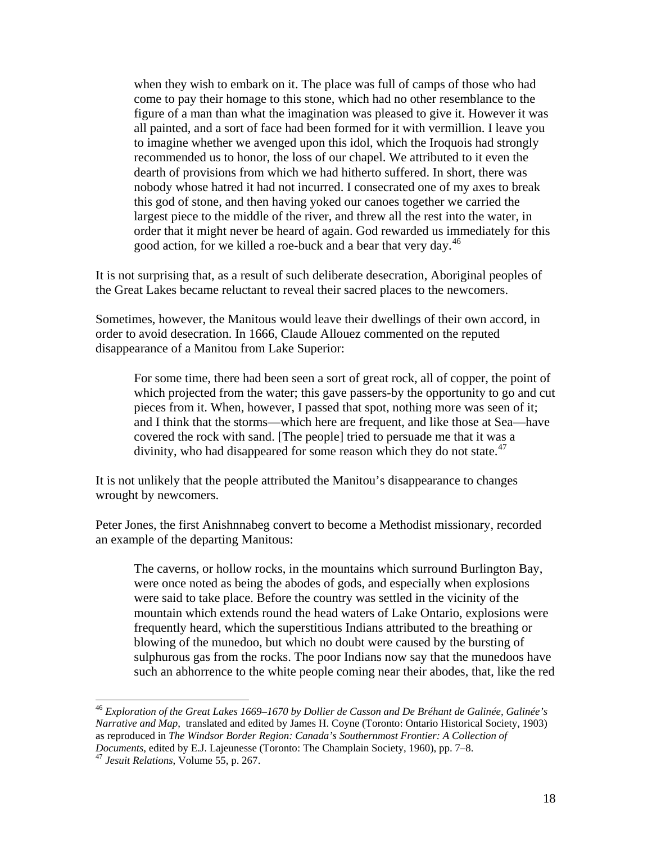when they wish to embark on it. The place was full of camps of those who had come to pay their homage to this stone, which had no other resemblance to the figure of a man than what the imagination was pleased to give it. However it was all painted, and a sort of face had been formed for it with vermillion. I leave you to imagine whether we avenged upon this idol, which the Iroquois had strongly recommended us to honor, the loss of our chapel. We attributed to it even the dearth of provisions from which we had hitherto suffered. In short, there was nobody whose hatred it had not incurred. I consecrated one of my axes to break this god of stone, and then having yoked our canoes together we carried the largest piece to the middle of the river, and threw all the rest into the water, in order that it might never be heard of again. God rewarded us immediately for this good action, for we killed a roe-buck and a bear that very day.<sup>[46](#page-17-0)</sup>

It is not surprising that, as a result of such deliberate desecration, Aboriginal peoples of the Great Lakes became reluctant to reveal their sacred places to the newcomers.

Sometimes, however, the Manitous would leave their dwellings of their own accord, in order to avoid desecration. In 1666, Claude Allouez commented on the reputed disappearance of a Manitou from Lake Superior:

For some time, there had been seen a sort of great rock, all of copper, the point of which projected from the water; this gave passers-by the opportunity to go and cut pieces from it. When, however, I passed that spot, nothing more was seen of it; and I think that the storms—which here are frequent, and like those at Sea—have covered the rock with sand. [The people] tried to persuade me that it was a divinity, who had disappeared for some reason which they do not state.<sup>[47](#page-17-1)</sup>

It is not unlikely that the people attributed the Manitou's disappearance to changes wrought by newcomers.

Peter Jones, the first Anishnnabeg convert to become a Methodist missionary, recorded an example of the departing Manitous:

The caverns, or hollow rocks, in the mountains which surround Burlington Bay, were once noted as being the abodes of gods, and especially when explosions were said to take place. Before the country was settled in the vicinity of the mountain which extends round the head waters of Lake Ontario, explosions were frequently heard, which the superstitious Indians attributed to the breathing or blowing of the munedoo, but which no doubt were caused by the bursting of sulphurous gas from the rocks. The poor Indians now say that the munedoos have such an abhorrence to the white people coming near their abodes, that, like the red

<span id="page-17-0"></span><sup>46</sup> *Exploration of the Great Lakes 1669–1670 by Dollier de Casson and De Bréhant de Galinée, Galinée's Narrative and Map*, translated and edited by James H. Coyne (Toronto: Ontario Historical Society, 1903) as reproduced in *The Windsor Border Region: Canada's Southernmost Frontier: A Collection of Documents*, edited by E.J. Lajeunesse (Toronto: The Champlain Society, 1960), pp. 7–8. 47 *Jesuit Relations*, Volume 55, p. 267.

<span id="page-17-1"></span>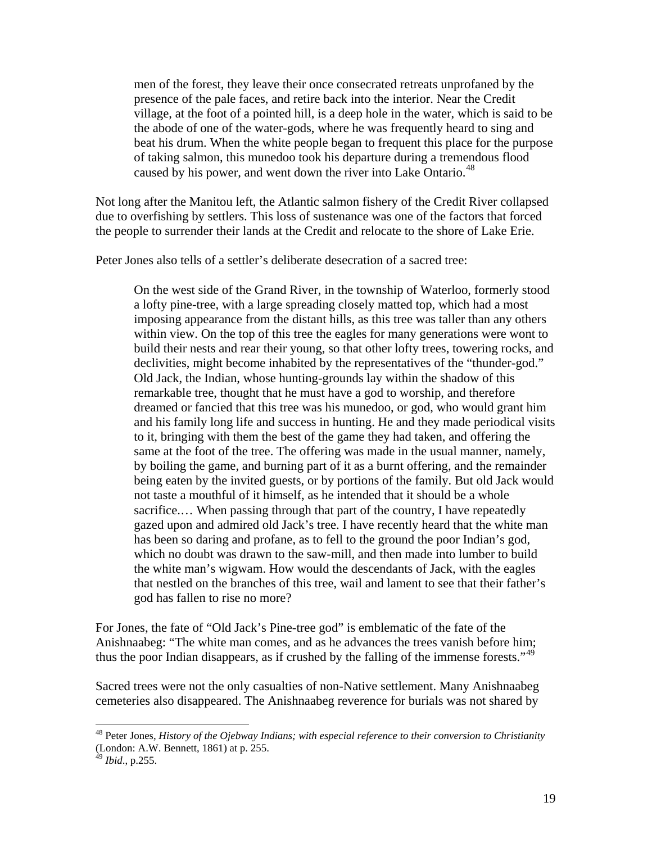men of the forest, they leave their once consecrated retreats unprofaned by the presence of the pale faces, and retire back into the interior. Near the Credit village, at the foot of a pointed hill, is a deep hole in the water, which is said to be the abode of one of the water-gods, where he was frequently heard to sing and beat his drum. When the white people began to frequent this place for the purpose of taking salmon, this munedoo took his departure during a tremendous flood caused by his power, and went down the river into Lake Ontario.<sup>[48](#page-18-0)</sup>

Not long after the Manitou left, the Atlantic salmon fishery of the Credit River collapsed due to overfishing by settlers. This loss of sustenance was one of the factors that forced the people to surrender their lands at the Credit and relocate to the shore of Lake Erie.

Peter Jones also tells of a settler's deliberate desecration of a sacred tree:

On the west side of the Grand River, in the township of Waterloo, formerly stood a lofty pine-tree, with a large spreading closely matted top, which had a most imposing appearance from the distant hills, as this tree was taller than any others within view. On the top of this tree the eagles for many generations were wont to build their nests and rear their young, so that other lofty trees, towering rocks, and declivities, might become inhabited by the representatives of the "thunder-god." Old Jack, the Indian, whose hunting-grounds lay within the shadow of this remarkable tree, thought that he must have a god to worship, and therefore dreamed or fancied that this tree was his munedoo, or god, who would grant him and his family long life and success in hunting. He and they made periodical visits to it, bringing with them the best of the game they had taken, and offering the same at the foot of the tree. The offering was made in the usual manner, namely, by boiling the game, and burning part of it as a burnt offering, and the remainder being eaten by the invited guests, or by portions of the family. But old Jack would not taste a mouthful of it himself, as he intended that it should be a whole sacrifice.… When passing through that part of the country, I have repeatedly gazed upon and admired old Jack's tree. I have recently heard that the white man has been so daring and profane, as to fell to the ground the poor Indian's god, which no doubt was drawn to the saw-mill, and then made into lumber to build the white man's wigwam. How would the descendants of Jack, with the eagles that nestled on the branches of this tree, wail and lament to see that their father's god has fallen to rise no more?

For Jones, the fate of "Old Jack's Pine-tree god" is emblematic of the fate of the Anishnaabeg: "The white man comes, and as he advances the trees vanish before him; thus the poor Indian disappears, as if crushed by the falling of the immense forests."<sup>[49](#page-18-1)</sup>

Sacred trees were not the only casualties of non-Native settlement. Many Anishnaabeg cemeteries also disappeared. The Anishnaabeg reverence for burials was not shared by

<span id="page-18-0"></span><sup>48</sup> Peter Jones, *History of the Ojebway Indians; with especial reference to their conversion to Christianity* (London: A.W. Bennett, 1861) at p. 255.

<span id="page-18-1"></span><sup>49</sup> *Ibid*., p.255.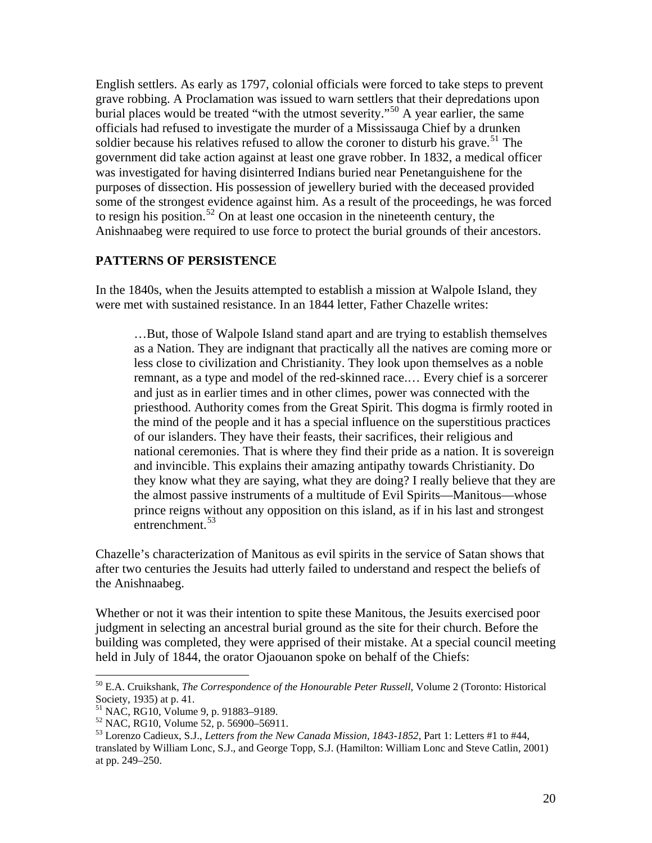English settlers. As early as 1797, colonial officials were forced to take steps to prevent grave robbing. A Proclamation was issued to warn settlers that their depredations upon burial places would be treated "with the utmost severity."<sup>[50](#page-19-0)</sup> A year earlier, the same officials had refused to investigate the murder of a Mississauga Chief by a drunken soldier because his relatives refused to allow the coroner to disturb his grave.<sup>[51](#page-19-1)</sup> The government did take action against at least one grave robber. In 1832, a medical officer was investigated for having disinterred Indians buried near Penetanguishene for the purposes of dissection. His possession of jewellery buried with the deceased provided some of the strongest evidence against him. As a result of the proceedings, he was forced to resign his position.<sup>[52](#page-19-2)</sup> On at least one occasion in the nineteenth century, the Anishnaabeg were required to use force to protect the burial grounds of their ancestors.

### **PATTERNS OF PERSISTENCE**

In the 1840s, when the Jesuits attempted to establish a mission at Walpole Island, they were met with sustained resistance. In an 1844 letter, Father Chazelle writes:

…But, those of Walpole Island stand apart and are trying to establish themselves as a Nation. They are indignant that practically all the natives are coming more or less close to civilization and Christianity. They look upon themselves as a noble remnant, as a type and model of the red-skinned race.… Every chief is a sorcerer and just as in earlier times and in other climes, power was connected with the priesthood. Authority comes from the Great Spirit. This dogma is firmly rooted in the mind of the people and it has a special influence on the superstitious practices of our islanders. They have their feasts, their sacrifices, their religious and national ceremonies. That is where they find their pride as a nation. It is sovereign and invincible. This explains their amazing antipathy towards Christianity. Do they know what they are saying, what they are doing? I really believe that they are the almost passive instruments of a multitude of Evil Spirits—Manitous—whose prince reigns without any opposition on this island, as if in his last and strongest entrenchment.<sup>[53](#page-19-3)</sup>

Chazelle's characterization of Manitous as evil spirits in the service of Satan shows that after two centuries the Jesuits had utterly failed to understand and respect the beliefs of the Anishnaabeg.

Whether or not it was their intention to spite these Manitous, the Jesuits exercised poor judgment in selecting an ancestral burial ground as the site for their church. Before the building was completed, they were apprised of their mistake. At a special council meeting held in July of 1844, the orator Ojaouanon spoke on behalf of the Chiefs:

<span id="page-19-0"></span><sup>50</sup> E.A. Cruikshank, *The Correspondence of the Honourable Peter Russell*, Volume 2 (Toronto: Historical Society, 1935) at p. 41.

<span id="page-19-1"></span><sup>51</sup> NAC, RG10, Volume 9, p. 91883–9189.

<span id="page-19-2"></span><sup>52</sup> NAC, RG10, Volume 52, p. 56900–56911.

<span id="page-19-3"></span><sup>53</sup> Lorenzo Cadieux, S.J., *Letters from the New Canada Mission, 1843-1852*, Part 1: Letters #1 to #44, translated by William Lonc, S.J., and George Topp, S.J. (Hamilton: William Lonc and Steve Catlin, 2001) at pp. 249–250.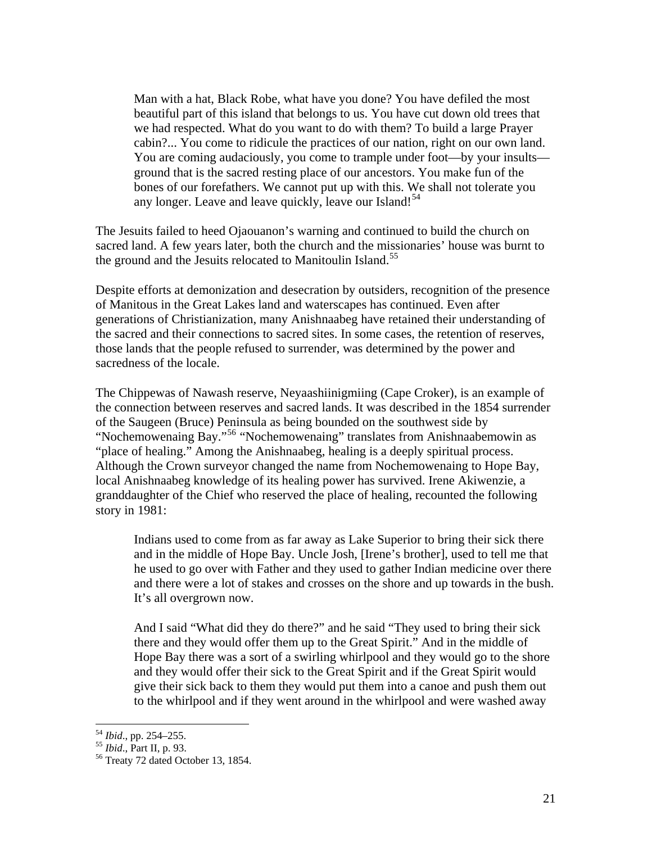Man with a hat, Black Robe, what have you done? You have defiled the most beautiful part of this island that belongs to us. You have cut down old trees that we had respected. What do you want to do with them? To build a large Prayer cabin?... You come to ridicule the practices of our nation, right on our own land. You are coming audaciously, you come to trample under foot—by your insults ground that is the sacred resting place of our ancestors. You make fun of the bones of our forefathers. We cannot put up with this. We shall not tolerate you any longer. Leave and leave quickly, leave our Island!<sup>[54](#page-20-0)</sup>

The Jesuits failed to heed Ojaouanon's warning and continued to build the church on sacred land. A few years later, both the church and the missionaries' house was burnt to the ground and the Jesuits relocated to Manitoulin Island.<sup>[55](#page-20-1)</sup>

Despite efforts at demonization and desecration by outsiders, recognition of the presence of Manitous in the Great Lakes land and waterscapes has continued. Even after generations of Christianization, many Anishnaabeg have retained their understanding of the sacred and their connections to sacred sites. In some cases, the retention of reserves, those lands that the people refused to surrender, was determined by the power and sacredness of the locale.

The Chippewas of Nawash reserve, Neyaashiinigmiing (Cape Croker), is an example of the connection between reserves and sacred lands. It was described in the 1854 surrender of the Saugeen (Bruce) Peninsula as being bounded on the southwest side by "Nochemowenaing Bay."[56](#page-20-2) "Nochemowenaing" translates from Anishnaabemowin as "place of healing." Among the Anishnaabeg, healing is a deeply spiritual process. Although the Crown surveyor changed the name from Nochemowenaing to Hope Bay, local Anishnaabeg knowledge of its healing power has survived. Irene Akiwenzie, a granddaughter of the Chief who reserved the place of healing, recounted the following story in 1981:

Indians used to come from as far away as Lake Superior to bring their sick there and in the middle of Hope Bay. Uncle Josh, [Irene's brother], used to tell me that he used to go over with Father and they used to gather Indian medicine over there and there were a lot of stakes and crosses on the shore and up towards in the bush. It's all overgrown now.

And I said "What did they do there?" and he said "They used to bring their sick there and they would offer them up to the Great Spirit." And in the middle of Hope Bay there was a sort of a swirling whirlpool and they would go to the shore and they would offer their sick to the Great Spirit and if the Great Spirit would give their sick back to them they would put them into a canoe and push them out to the whirlpool and if they went around in the whirlpool and were washed away

 $54$  *Ibid.*, pp. 254–255.

<span id="page-20-2"></span><span id="page-20-1"></span><span id="page-20-0"></span><sup>&</sup>lt;sup>55</sup> *Ibid.*, Part II, p. 93.<br><sup>56</sup> Treaty 72 dated October 13, 1854.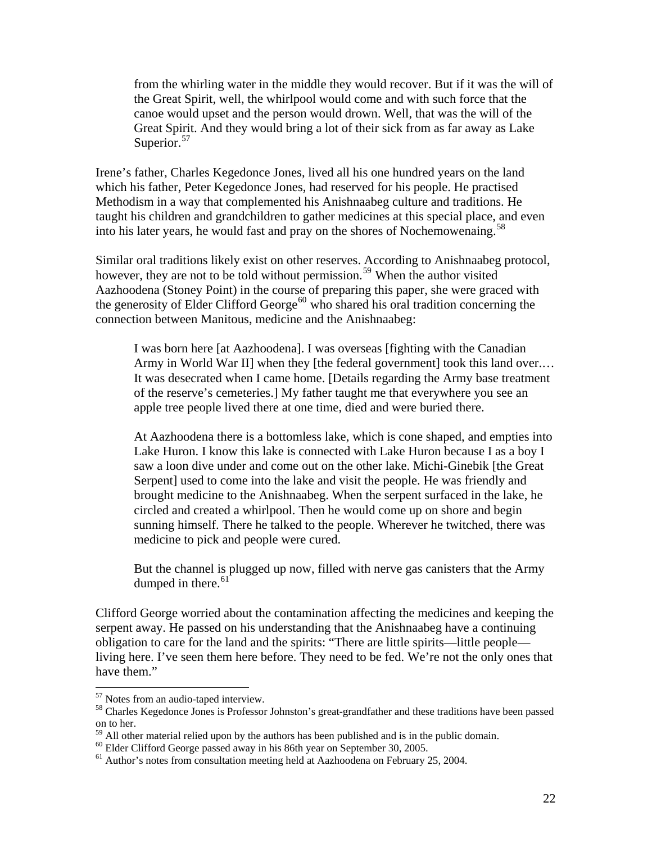from the whirling water in the middle they would recover. But if it was the will of the Great Spirit, well, the whirlpool would come and with such force that the canoe would upset and the person would drown. Well, that was the will of the Great Spirit. And they would bring a lot of their sick from as far away as Lake Superior.<sup>[57](#page-21-0)</sup>

Irene's father, Charles Kegedonce Jones, lived all his one hundred years on the land which his father, Peter Kegedonce Jones, had reserved for his people. He practised Methodism in a way that complemented his Anishnaabeg culture and traditions. He taught his children and grandchildren to gather medicines at this special place, and even into his later years, he would fast and pray on the shores of Nochemowenaing.<sup>[58](#page-21-1)</sup>

Similar oral traditions likely exist on other reserves. According to Anishnaabeg protocol, however, they are not to be told without permission.<sup>[59](#page-21-2)</sup> When the author visited Aazhoodena (Stoney Point) in the course of preparing this paper, she were graced with the generosity of Elder Clifford George<sup>[60](#page-21-3)</sup> who shared his oral tradition concerning the connection between Manitous, medicine and the Anishnaabeg:

I was born here [at Aazhoodena]. I was overseas [fighting with the Canadian Army in World War II] when they [the federal government] took this land over.… It was desecrated when I came home. [Details regarding the Army base treatment of the reserve's cemeteries.] My father taught me that everywhere you see an apple tree people lived there at one time, died and were buried there.

At Aazhoodena there is a bottomless lake, which is cone shaped, and empties into Lake Huron. I know this lake is connected with Lake Huron because I as a boy I saw a loon dive under and come out on the other lake. Michi-Ginebik [the Great Serpent] used to come into the lake and visit the people. He was friendly and brought medicine to the Anishnaabeg. When the serpent surfaced in the lake, he circled and created a whirlpool. Then he would come up on shore and begin sunning himself. There he talked to the people. Wherever he twitched, there was medicine to pick and people were cured.

But the channel is plugged up now, filled with nerve gas canisters that the Army dumped in there. $61$ 

Clifford George worried about the contamination affecting the medicines and keeping the serpent away. He passed on his understanding that the Anishnaabeg have a continuing obligation to care for the land and the spirits: "There are little spirits—little people living here. I've seen them here before. They need to be fed. We're not the only ones that have them."

<sup>&</sup>lt;sup>57</sup> Notes from an audio-taped interview.

<span id="page-21-1"></span><span id="page-21-0"></span><sup>&</sup>lt;sup>58</sup> Charles Kegedonce Jones is Professor Johnston's great-grandfather and these traditions have been passed on to her.

 $<sup>59</sup>$  All other material relied upon by the authors has been published and is in the public domain.</sup>

<span id="page-21-3"></span><span id="page-21-2"></span><sup>60</sup> Elder Clifford George passed away in his 86th year on September 30, 2005.

<span id="page-21-4"></span><sup>&</sup>lt;sup>61</sup> Author's notes from consultation meeting held at Aazhoodena on February 25, 2004.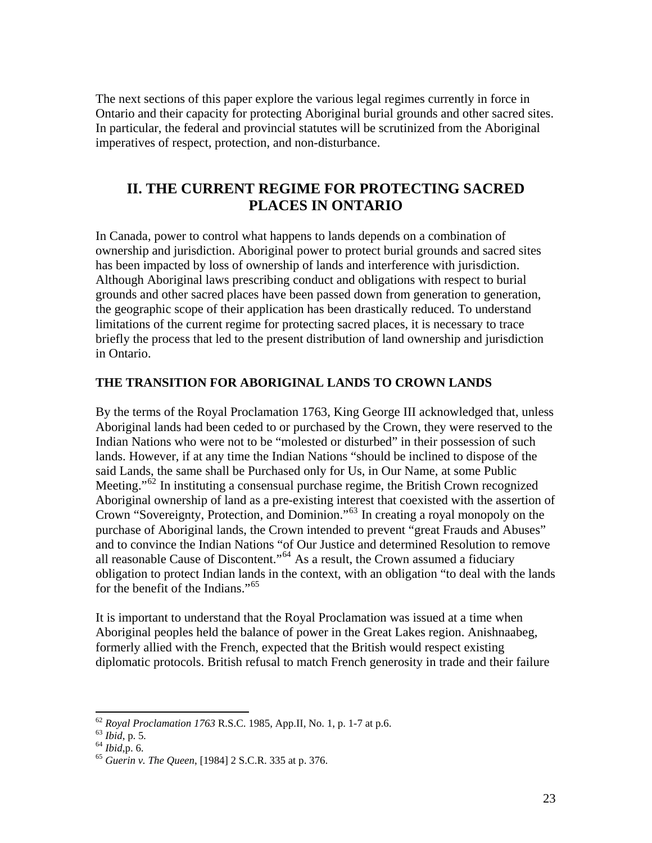The next sections of this paper explore the various legal regimes currently in force in Ontario and their capacity for protecting Aboriginal burial grounds and other sacred sites. In particular, the federal and provincial statutes will be scrutinized from the Aboriginal imperatives of respect, protection, and non-disturbance.

# **II. THE CURRENT REGIME FOR PROTECTING SACRED PLACES IN ONTARIO**

In Canada, power to control what happens to lands depends on a combination of ownership and jurisdiction. Aboriginal power to protect burial grounds and sacred sites has been impacted by loss of ownership of lands and interference with jurisdiction. Although Aboriginal laws prescribing conduct and obligations with respect to burial grounds and other sacred places have been passed down from generation to generation, the geographic scope of their application has been drastically reduced. To understand limitations of the current regime for protecting sacred places, it is necessary to trace briefly the process that led to the present distribution of land ownership and jurisdiction in Ontario.

### **THE TRANSITION FOR ABORIGINAL LANDS TO CROWN LANDS**

By the terms of the Royal Proclamation 1763, King George III acknowledged that, unless Aboriginal lands had been ceded to or purchased by the Crown, they were reserved to the Indian Nations who were not to be "molested or disturbed" in their possession of such lands. However, if at any time the Indian Nations "should be inclined to dispose of the said Lands, the same shall be Purchased only for Us, in Our Name, at some Public Meeting."<sup>[62](#page-22-0)</sup> In instituting a consensual purchase regime, the British Crown recognized Aboriginal ownership of land as a pre-existing interest that coexisted with the assertion of Crown "Sovereignty, Protection, and Dominion."[63](#page-22-1) In creating a royal monopoly on the purchase of Aboriginal lands, the Crown intended to prevent "great Frauds and Abuses" and to convince the Indian Nations "of Our Justice and determined Resolution to remove all reasonable Cause of Discontent."[64](#page-22-2) As a result, the Crown assumed a fiduciary obligation to protect Indian lands in the context, with an obligation "to deal with the lands for the benefit of the Indians."[65](#page-22-3)

It is important to understand that the Royal Proclamation was issued at a time when Aboriginal peoples held the balance of power in the Great Lakes region. Anishnaabeg, formerly allied with the French, expected that the British would respect existing diplomatic protocols. British refusal to match French generosity in trade and their failure

<span id="page-22-0"></span><sup>&</sup>lt;sup>62</sup> *Royal Proclamation 1763* R.S.C. 1985, App.II, No. 1, p. 1-7 at p.6. <sup>63</sup> *Ibid*, p. 5.<br><sup>64</sup> *Ibid*,p. 6. <sup>64</sup> *Ibid*,p. 6. <sup>65</sup> *Guerin v. The Queen*, [1984] 2 S.C.R. 335 at p. 376.

<span id="page-22-2"></span><span id="page-22-1"></span>

<span id="page-22-3"></span>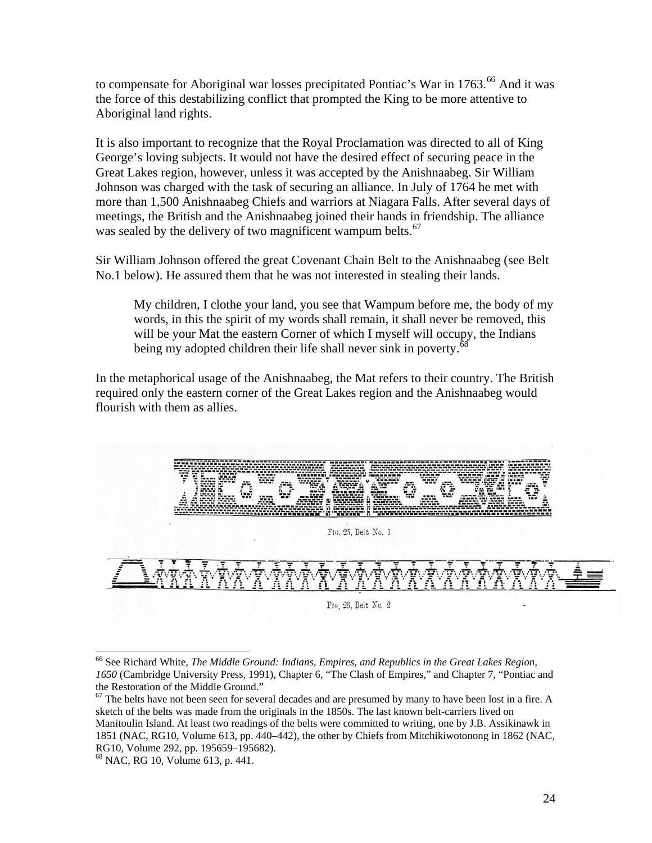to compensate for Aboriginal war losses precipitated Pontiac's War in 1763.<sup>[66](#page-23-0)</sup> And it was the force of this destabilizing conflict that prompted the King to be more attentive to Aboriginal land rights.

It is also important to recognize that the Royal Proclamation was directed to all of King George's loving subjects. It would not have the desired effect of securing peace in the Great Lakes region, however, unless it was accepted by the Anishnaabeg. Sir William Johnson was charged with the task of securing an alliance. In July of 1764 he met with more than 1,500 Anishnaabeg Chiefs and warriors at Niagara Falls. After several days of meetings, the British and the Anishnaabeg joined their hands in friendship. The alliance was sealed by the delivery of two magnificent wampum belts.<sup>[67](#page-23-1)</sup>

Sir William Johnson offered the great Covenant Chain Belt to the Anishnaabeg (see Belt No.1 below). He assured them that he was not interested in stealing their lands.

My children, I clothe your land, you see that Wampum before me, the body of my words, in this the spirit of my words shall remain, it shall never be removed, this will be your Mat the eastern Corner of which I myself will occupy, the Indians being my adopted children their life shall never sink in poverty.<sup>6</sup>

In the metaphorical usage of the Anishnaabeg, the Mat refers to their country. The British required only the eastern corner of the Great Lakes region and the Anishnaabeg would flourish with them as allies.



<span id="page-23-0"></span> 66 See Richard White, *The Middle Ground: Indians, Empires, and Republics in the Great Lakes Region, 1650* (Cambridge University Press, 1991), Chapter 6, "The Clash of Empires," and Chapter 7, "Pontiac and the Restoration of the Middle Ground."

<span id="page-23-1"></span> $67$  The belts have not been seen for several decades and are presumed by many to have been lost in a fire. A sketch of the belts was made from the originals in the 1850s. The last known belt-carriers lived on Manitoulin Island. At least two readings of the belts were committed to writing, one by J.B. Assikinawk in 1851 (NAC, RG10, Volume 613, pp. 440–442), the other by Chiefs from Mitchikiwotonong in 1862 (NAC, RG10, Volume 292, pp. 195659–195682).

<span id="page-23-2"></span><sup>68</sup> NAC, RG 10, Volume 613, p. 441.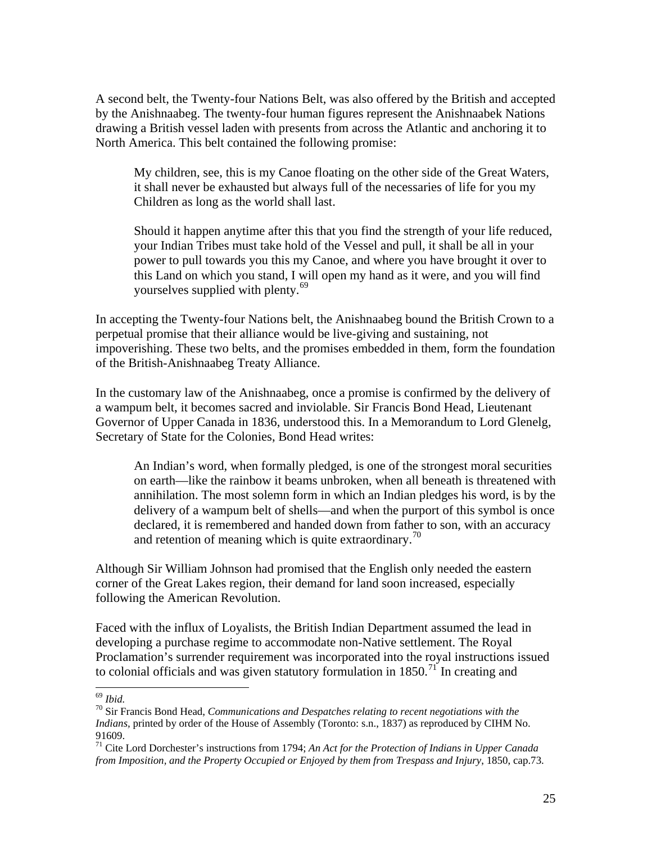A second belt, the Twenty-four Nations Belt, was also offered by the British and accepted by the Anishnaabeg. The twenty-four human figures represent the Anishnaabek Nations drawing a British vessel laden with presents from across the Atlantic and anchoring it to North America. This belt contained the following promise:

My children, see, this is my Canoe floating on the other side of the Great Waters, it shall never be exhausted but always full of the necessaries of life for you my Children as long as the world shall last.

Should it happen anytime after this that you find the strength of your life reduced, your Indian Tribes must take hold of the Vessel and pull, it shall be all in your power to pull towards you this my Canoe, and where you have brought it over to this Land on which you stand, I will open my hand as it were, and you will find yourselves supplied with plenty.<sup>[69](#page-24-0)</sup>

In accepting the Twenty-four Nations belt, the Anishnaabeg bound the British Crown to a perpetual promise that their alliance would be live-giving and sustaining, not impoverishing. These two belts, and the promises embedded in them, form the foundation of the British-Anishnaabeg Treaty Alliance.

In the customary law of the Anishnaabeg, once a promise is confirmed by the delivery of a wampum belt, it becomes sacred and inviolable. Sir Francis Bond Head, Lieutenant Governor of Upper Canada in 1836, understood this. In a Memorandum to Lord Glenelg, Secretary of State for the Colonies, Bond Head writes:

An Indian's word, when formally pledged, is one of the strongest moral securities on earth—like the rainbow it beams unbroken, when all beneath is threatened with annihilation. The most solemn form in which an Indian pledges his word, is by the delivery of a wampum belt of shells—and when the purport of this symbol is once declared, it is remembered and handed down from father to son, with an accuracy and retention of meaning which is quite extraordinary.<sup>[70](#page-24-1)</sup>

Although Sir William Johnson had promised that the English only needed the eastern corner of the Great Lakes region, their demand for land soon increased, especially following the American Revolution.

Faced with the influx of Loyalists, the British Indian Department assumed the lead in developing a purchase regime to accommodate non-Native settlement. The Royal Proclamation's surrender requirement was incorporated into the royal instructions issued to colonial officials and was given statutory formulation in  $1850$ .<sup>[71](#page-24-2)</sup> In creating and

<span id="page-24-0"></span> $^{69}$  Ibid.

<span id="page-24-1"></span><sup>&</sup>lt;sup>70</sup> Sir Francis Bond Head, *Communications and Despatches relating to recent negotiations with the Indians,* printed by order of the House of Assembly (Toronto: s.n., 1837) as reproduced by CIHM No. 91609.

<span id="page-24-2"></span><sup>71</sup> Cite Lord Dorchester's instructions from 1794; *An Act for the Protection of Indians in Upper Canada from Imposition, and the Property Occupied or Enjoyed by them from Trespass and Injury*, 1850, cap.73.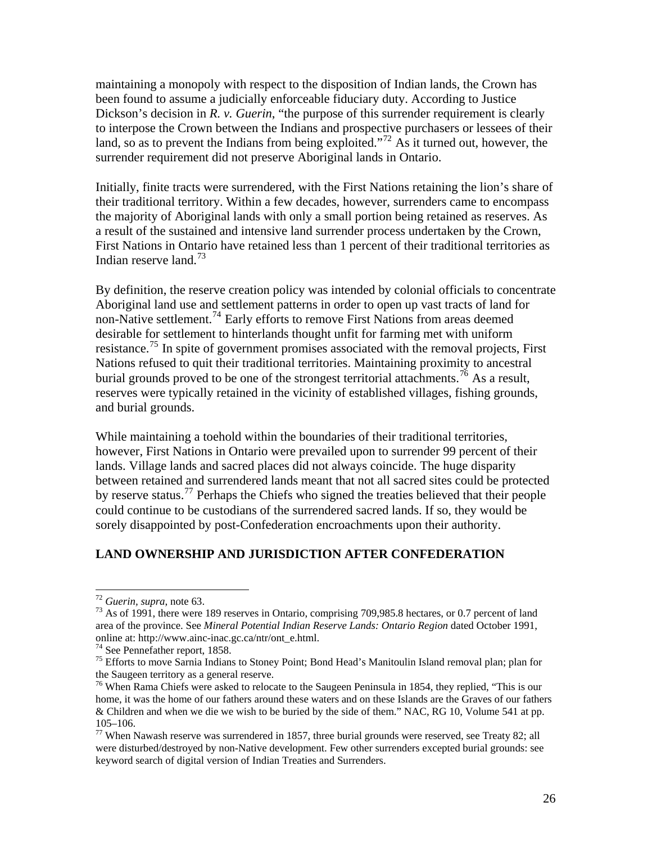maintaining a monopoly with respect to the disposition of Indian lands, the Crown has been found to assume a judicially enforceable fiduciary duty. According to Justice Dickson's decision in *R. v. Guerin*, "the purpose of this surrender requirement is clearly to interpose the Crown between the Indians and prospective purchasers or lessees of their land, so as to prevent the Indians from being exploited."<sup>[72](#page-25-0)</sup> As it turned out, however, the surrender requirement did not preserve Aboriginal lands in Ontario.

Initially, finite tracts were surrendered, with the First Nations retaining the lion's share of their traditional territory. Within a few decades, however, surrenders came to encompass the majority of Aboriginal lands with only a small portion being retained as reserves. As a result of the sustained and intensive land surrender process undertaken by the Crown, First Nations in Ontario have retained less than 1 percent of their traditional territories as Indian reserve land.<sup>[73](#page-25-1)</sup>

By definition, the reserve creation policy was intended by colonial officials to concentrate Aboriginal land use and settlement patterns in order to open up vast tracts of land for non-Native settlement.<sup>[74](#page-25-2)</sup> Early efforts to remove First Nations from areas deemed desirable for settlement to hinterlands thought unfit for farming met with uniform resistance.<sup>[75](#page-25-3)</sup> In spite of government promises associated with the removal projects, First Nations refused to quit their traditional territories. Maintaining proximity to ancestral burial grounds proved to be one of the strongest territorial attachments.<sup>[76](#page-25-4)</sup> As a result, reserves were typically retained in the vicinity of established villages, fishing grounds, and burial grounds.

While maintaining a toehold within the boundaries of their traditional territories, however, First Nations in Ontario were prevailed upon to surrender 99 percent of their lands. Village lands and sacred places did not always coincide. The huge disparity between retained and surrendered lands meant that not all sacred sites could be protected by reserve status.<sup>[77](#page-25-5)</sup> Perhaps the Chiefs who signed the treaties believed that their people could continue to be custodians of the surrendered sacred lands. If so, they would be sorely disappointed by post-Confederation encroachments upon their authority.

#### **LAND OWNERSHIP AND JURISDICTION AFTER CONFEDERATION**

<span id="page-25-1"></span><span id="page-25-0"></span><sup>&</sup>lt;sup>72</sup> Guerin, supra, note 63.<br><sup>73</sup> As of 1991, there were 189 reserves in Ontario, comprising 709,985.8 hectares, or 0.7 percent of land area of the province. See *Mineral Potential Indian Reserve Lands: Ontario Region* dated October 1991, online at: http://www.ainc-inac.gc.ca/ntr/ont\_e.html.

<sup>74</sup> See Pennefather report, 1858.

<span id="page-25-3"></span><span id="page-25-2"></span><sup>&</sup>lt;sup>75</sup> Efforts to move Sarnia Indians to Stoney Point; Bond Head's Manitoulin Island removal plan; plan for the Saugeen territory as a general reserve.

<span id="page-25-4"></span><sup>&</sup>lt;sup>76</sup> When Rama Chiefs were asked to relocate to the Saugeen Peninsula in 1854, they replied, "This is our home, it was the home of our fathers around these waters and on these Islands are the Graves of our fathers & Children and when we die we wish to be buried by the side of them." NAC, RG 10, Volume 541 at pp. 105–106.

<span id="page-25-5"></span> $77$  When Nawash reserve was surrendered in 1857, three burial grounds were reserved, see Treaty 82; all were disturbed/destroyed by non-Native development. Few other surrenders excepted burial grounds: see keyword search of digital version of Indian Treaties and Surrenders.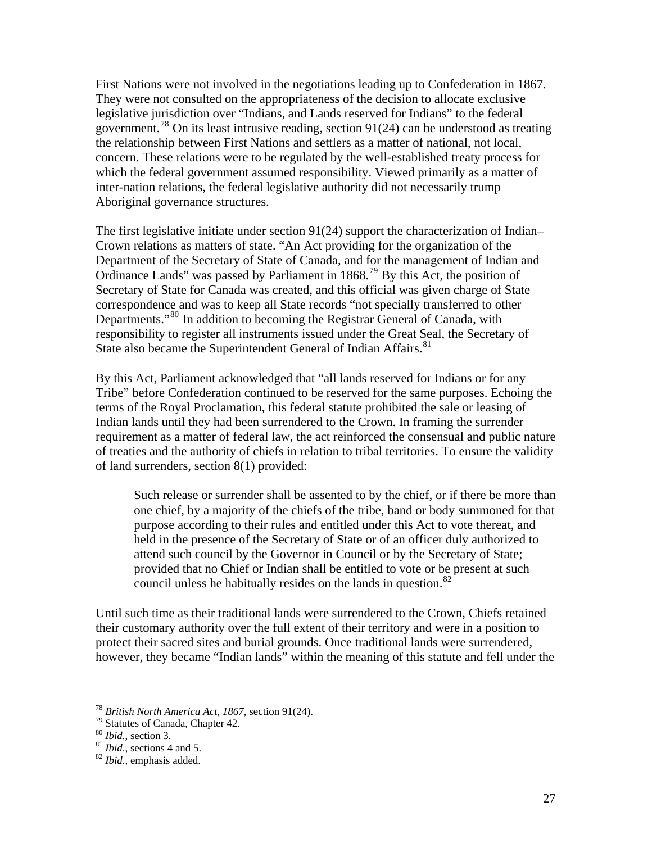First Nations were not involved in the negotiations leading up to Confederation in 1867. They were not consulted on the appropriateness of the decision to allocate exclusive legislative jurisdiction over "Indians, and Lands reserved for Indians" to the federal government.<sup>[78](#page-26-0)</sup> On its least intrusive reading, section 91(24) can be understood as treating the relationship between First Nations and settlers as a matter of national, not local, concern. These relations were to be regulated by the well-established treaty process for which the federal government assumed responsibility. Viewed primarily as a matter of inter-nation relations, the federal legislative authority did not necessarily trump Aboriginal governance structures.

The first legislative initiate under section  $91(24)$  support the characterization of Indian– Crown relations as matters of state. "An Act providing for the organization of the Department of the Secretary of State of Canada, and for the management of Indian and Ordinance Lands" was passed by Parliament in 1868.[79](#page-26-1) By this Act, the position of Secretary of State for Canada was created, and this official was given charge of State correspondence and was to keep all State records "not specially transferred to other Departments."<sup>[80](#page-26-2)</sup> In addition to becoming the Registrar General of Canada, with responsibility to register all instruments issued under the Great Seal, the Secretary of State also became the Superintendent General of Indian Affairs.<sup>[81](#page-26-3)</sup>

By this Act, Parliament acknowledged that "all lands reserved for Indians or for any Tribe" before Confederation continued to be reserved for the same purposes. Echoing the terms of the Royal Proclamation, this federal statute prohibited the sale or leasing of Indian lands until they had been surrendered to the Crown. In framing the surrender requirement as a matter of federal law, the act reinforced the consensual and public nature of treaties and the authority of chiefs in relation to tribal territories. To ensure the validity of land surrenders, section 8(1) provided:

Such release or surrender shall be assented to by the chief, or if there be more than one chief, by a majority of the chiefs of the tribe, band or body summoned for that purpose according to their rules and entitled under this Act to vote thereat, and held in the presence of the Secretary of State or of an officer duly authorized to attend such council by the Governor in Council or by the Secretary of State; provided that no Chief or Indian shall be entitled to vote or be present at such council unless he habitually resides on the lands in question.<sup>[82](#page-26-4)</sup>

Until such time as their traditional lands were surrendered to the Crown, Chiefs retained their customary authority over the full extent of their territory and were in a position to protect their sacred sites and burial grounds. Once traditional lands were surrendered, however, they became "Indian lands" within the meaning of this statute and fell under the

<span id="page-26-0"></span><sup>&</sup>lt;sup>78</sup> *British North America Act, 1867*, section 91(24).<br><sup>79</sup> Statutes of Canada, Chapter 42.<br><sup>80</sup> *Ibid.*, section 3.

<span id="page-26-1"></span>

<span id="page-26-3"></span><span id="page-26-2"></span> $81$  *Ibid.*, sections 4 and 5.  $82$  *Ibid.*, emphasis added.

<span id="page-26-4"></span>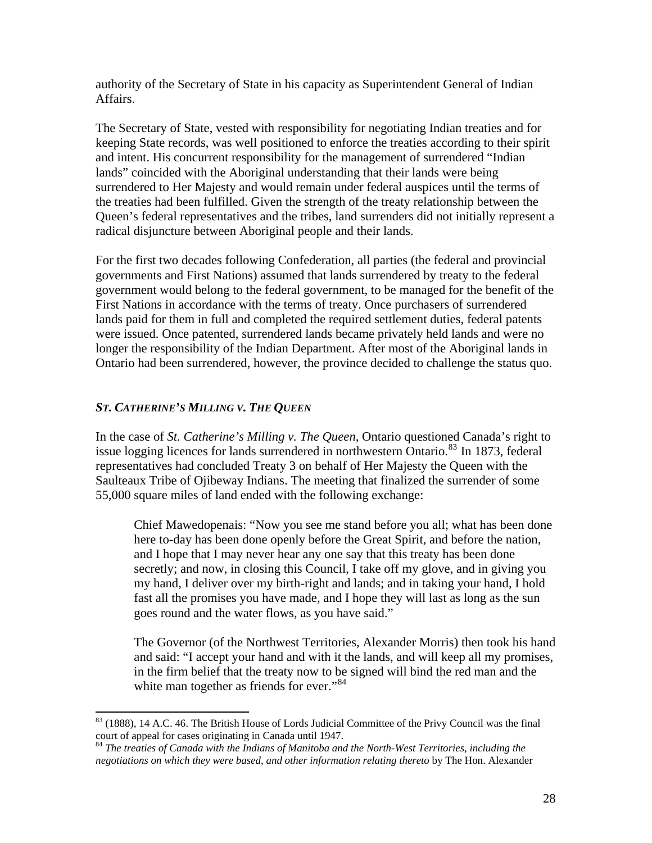authority of the Secretary of State in his capacity as Superintendent General of Indian Affairs.

The Secretary of State, vested with responsibility for negotiating Indian treaties and for keeping State records, was well positioned to enforce the treaties according to their spirit and intent. His concurrent responsibility for the management of surrendered "Indian lands" coincided with the Aboriginal understanding that their lands were being surrendered to Her Majesty and would remain under federal auspices until the terms of the treaties had been fulfilled. Given the strength of the treaty relationship between the Queen's federal representatives and the tribes, land surrenders did not initially represent a radical disjuncture between Aboriginal people and their lands.

For the first two decades following Confederation, all parties (the federal and provincial governments and First Nations) assumed that lands surrendered by treaty to the federal government would belong to the federal government, to be managed for the benefit of the First Nations in accordance with the terms of treaty. Once purchasers of surrendered lands paid for them in full and completed the required settlement duties, federal patents were issued. Once patented, surrendered lands became privately held lands and were no longer the responsibility of the Indian Department. After most of the Aboriginal lands in Ontario had been surrendered, however, the province decided to challenge the status quo.

# *ST. CATHERINE'S MILLING V. THE QUEEN*

In the case of *St. Catherine's Milling v. The Queen*, Ontario questioned Canada's right to issue logging licences for lands surrendered in northwestern Ontario.<sup>[83](#page-27-0)</sup> In 1873, federal representatives had concluded Treaty 3 on behalf of Her Majesty the Queen with the Saulteaux Tribe of Ojibeway Indians. The meeting that finalized the surrender of some 55,000 square miles of land ended with the following exchange:

Chief Mawedopenais: "Now you see me stand before you all; what has been done here to-day has been done openly before the Great Spirit, and before the nation, and I hope that I may never hear any one say that this treaty has been done secretly; and now, in closing this Council, I take off my glove, and in giving you my hand, I deliver over my birth-right and lands; and in taking your hand, I hold fast all the promises you have made, and I hope they will last as long as the sun goes round and the water flows, as you have said."

The Governor (of the Northwest Territories, Alexander Morris) then took his hand and said: "I accept your hand and with it the lands, and will keep all my promises, in the firm belief that the treaty now to be signed will bind the red man and the white man together as friends for ever."<sup>[84](#page-27-1)</sup>

<span id="page-27-0"></span> $83$  (1888), 14 A.C. 46. The British House of Lords Judicial Committee of the Privy Council was the final court of appeal for cases originating in Canada until 1947.

<span id="page-27-1"></span><sup>84</sup> *The treaties of Canada with the Indians of Manitoba and the North-West Territories, including the negotiations on which they were based, and other information relating thereto* by The Hon. Alexander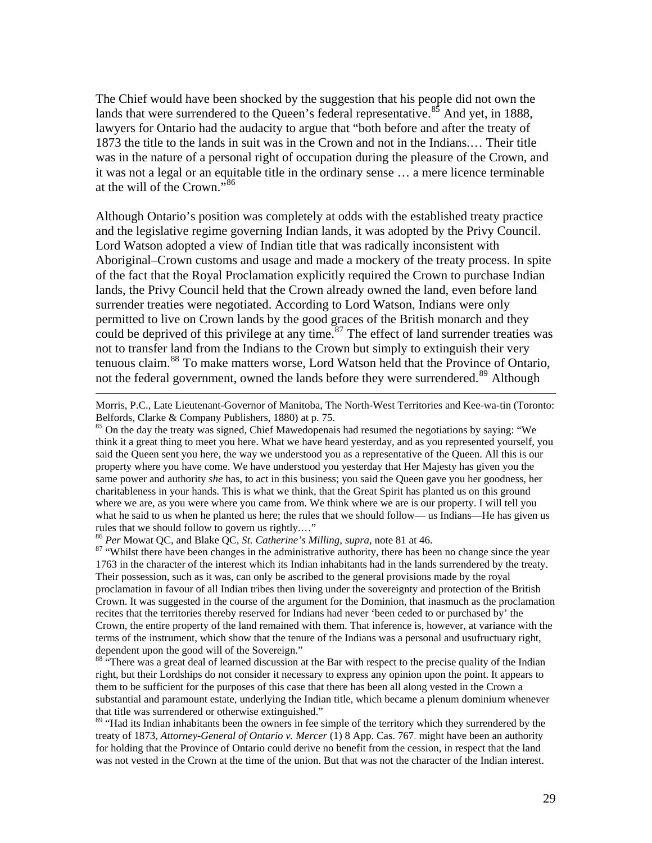The Chief would have been shocked by the suggestion that his people did not own the lands that were surrendered to the Queen's federal representative.<sup>[85](#page-28-0)</sup> And yet, in 1888, lawyers for Ontario had the audacity to argue that "both before and after the treaty of 1873 the title to the lands in suit was in the Crown and not in the Indians.… Their title was in the nature of a personal right of occupation during the pleasure of the Crown, and it was not a legal or an equitable title in the ordinary sense … a mere licence terminable at the will of the Crown."[86](#page-28-1)

Although Ontario's position was completely at odds with the established treaty practice and the legislative regime governing Indian lands, it was adopted by the Privy Council. Lord Watson adopted a view of Indian title that was radically inconsistent with Aboriginal–Crown customs and usage and made a mockery of the treaty process. In spite of the fact that the Royal Proclamation explicitly required the Crown to purchase Indian lands, the Privy Council held that the Crown already owned the land, even before land surrender treaties were negotiated. According to Lord Watson, Indians were only permitted to live on Crown lands by the good graces of the British monarch and they could be deprived of this privilege at any time. $87$  The effect of land surrender treaties was not to transfer land from the Indians to the Crown but simply to extinguish their very tenuous claim.<sup>[88](#page-28-3)</sup> To make matters worse, Lord Watson held that the Province of Ontario, not the federal government, owned the lands before they were surrendered.<sup>[89](#page-28-4)</sup> Although

Morris, P.C., Late Lieutenant-Governor of Manitoba, The North-West Territories and Kee-wa-tin (Toronto: Belfords, Clarke & Company Publishers, 1880) at p. 75.

<span id="page-28-0"></span><sup>85</sup> On the day the treaty was signed, Chief Mawedopenais had resumed the negotiations by saying: "We think it a great thing to meet you here. What we have heard yesterday, and as you represented yourself, you said the Queen sent you here, the way we understood you as a representative of the Queen. All this is our property where you have come. We have understood you yesterday that Her Majesty has given you the same power and authority *she* has, to act in this business; you said the Queen gave you her goodness, her charitableness in your hands. This is what we think, that the Great Spirit has planted us on this ground where we are, as you were where you came from. We think where we are is our property. I will tell you what he said to us when he planted us here; the rules that we should follow— us Indians—He has given us rules that we should follow to govern us rightly...."<br><sup>86</sup> Per Mowat QC, and Blake QC, *St. Catherine's Milling*, *supra*, note 81 at 46.

-

<span id="page-28-2"></span><span id="page-28-1"></span><sup>87</sup> "Whilst there have been changes in the administrative authority, there has been no change since the year 1763 in the character of the interest which its Indian inhabitants had in the lands surrendered by the treaty. Their possession, such as it was, can only be ascribed to the general provisions made by the royal proclamation in favour of all Indian tribes then living under the sovereignty and protection of the British Crown. It was suggested in the course of the argument for the Dominion, that inasmuch as the proclamation recites that the territories thereby reserved for Indians had never 'been ceded to or purchased by' the Crown, the entire property of the land remained with them. That inference is, however, at variance with the terms of the instrument, which show that the tenure of the Indians was a personal and usufructuary right, dependent upon the good will of the Sovereign."

<span id="page-28-3"></span><sup>88</sup> "There was a great deal of learned discussion at the Bar with respect to the precise quality of the Indian right, but their Lordships do not consider it necessary to express any opinion upon the point. It appears to them to be sufficient for the purposes of this case that there has been all along vested in the Crown a substantial and paramount estate, underlying the Indian title, which became a plenum dominium whenever that title was surrendered or otherwise extinguished."

<span id="page-28-4"></span><sup>89</sup> "Had its Indian inhabitants been the owners in fee simple of the territory which they surrendered by the treaty of 1873, *Attorney-General of Ontario v. Mercer* (1) 8 App. Cas. 767. might have been an authority for holding that the Province of Ontario could derive no benefit from the cession, in respect that the land was not vested in the Crown at the time of the union. But that was not the character of the Indian interest.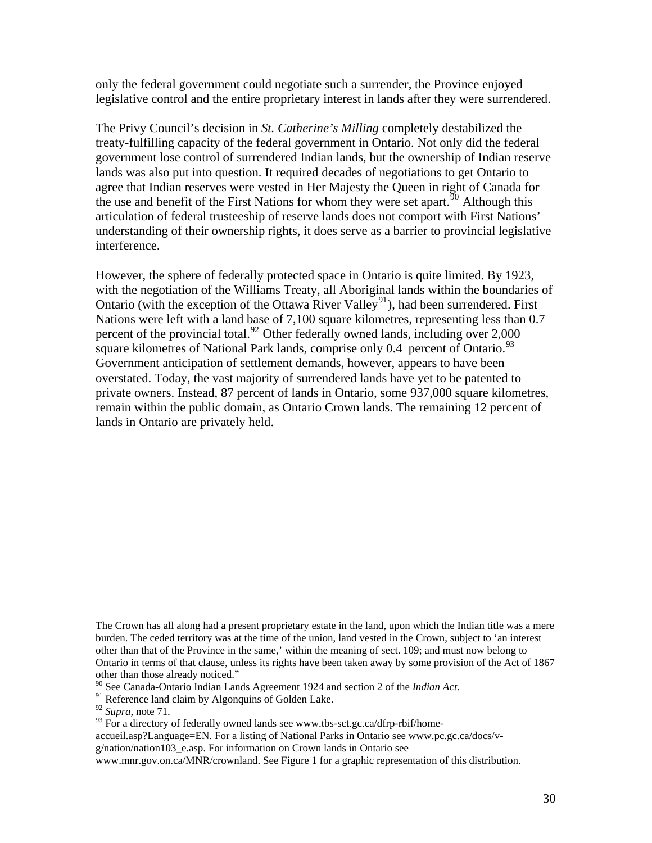only the federal government could negotiate such a surrender, the Province enjoyed legislative control and the entire proprietary interest in lands after they were surrendered.

The Privy Council's decision in *St. Catherine's Milling* completely destabilized the treaty-fulfilling capacity of the federal government in Ontario. Not only did the federal government lose control of surrendered Indian lands, but the ownership of Indian reserve lands was also put into question. It required decades of negotiations to get Ontario to agree that Indian reserves were vested in Her Majesty the Queen in right of Canada for the use and benefit of the First Nations for whom they were set apart.<sup> $90$ </sup> Although this articulation of federal trusteeship of reserve lands does not comport with First Nations' understanding of their ownership rights, it does serve as a barrier to provincial legislative interference.

However, the sphere of federally protected space in Ontario is quite limited. By 1923, with the negotiation of the Williams Treaty, all Aboriginal lands within the boundaries of Ontario (with the exception of the Ottawa River Valley<sup>[91](#page-29-1)</sup>), had been surrendered. First Nations were left with a land base of 7,100 square kilometres, representing less than 0.7 percent of the provincial total.<sup>[92](#page-29-2)</sup> Other federally owned lands, including over 2,000 square kilometres of National Park lands, comprise only 0.4 percent of Ontario.<sup>[93](#page-29-3)</sup> Government anticipation of settlement demands, however, appears to have been overstated. Today, the vast majority of surrendered lands have yet to be patented to private owners. Instead, 87 percent of lands in Ontario, some 937,000 square kilometres, remain within the public domain, as Ontario Crown lands. The remaining 12 percent of lands in Ontario are privately held.

1

accueil.asp?Language=EN. For a listing of National Parks in Ontario see www.pc.gc.ca/docs/v-

g/nation/nation103\_e.asp. For information on Crown lands in Ontario see

www.mnr.gov.on.ca/MNR/crownland. See Figure 1 for a graphic representation of this distribution.

The Crown has all along had a present proprietary estate in the land, upon which the Indian title was a mere burden. The ceded territory was at the time of the union, land vested in the Crown, subject to 'an interest other than that of the Province in the same,' within the meaning of sect. 109; and must now belong to Ontario in terms of that clause, unless its rights have been taken away by some provision of the Act of 1867 other than those already noticed."

<span id="page-29-0"></span><sup>90</sup> See Canada-Ontario Indian Lands Agreement 1924 and section 2 of the *Indian Act*. 91 Reference land claim by Algonquins of Golden Lake.

<span id="page-29-2"></span><span id="page-29-1"></span><sup>92</sup> *Supra*, note 71.

<span id="page-29-3"></span> $^{93}$  For a directory of federally owned lands see www.tbs-sct.gc.ca/dfrp-rbif/home-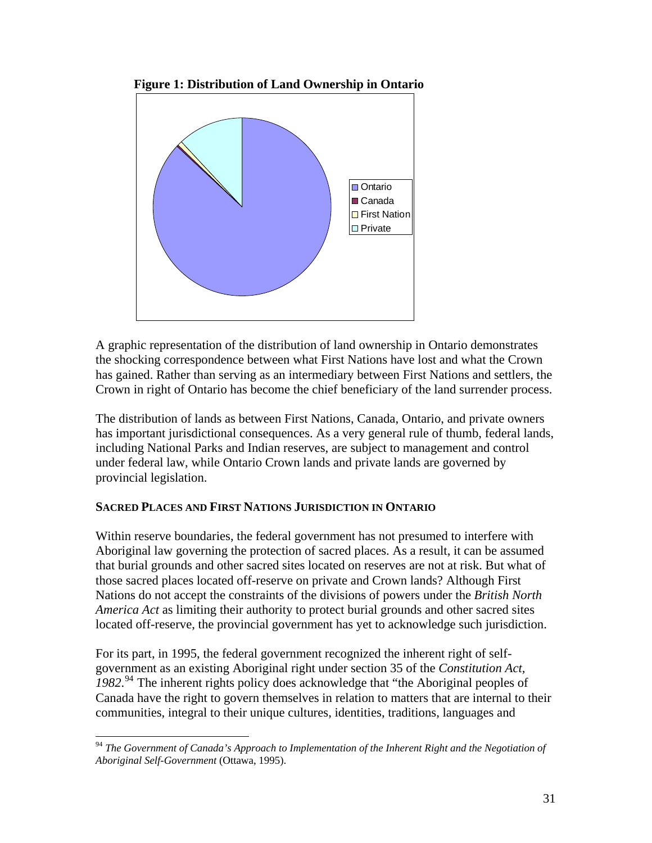**Figure 1: Distribution of Land Ownership in Ontario** 



A graphic representation of the distribution of land ownership in Ontario demonstrates the shocking correspondence between what First Nations have lost and what the Crown has gained. Rather than serving as an intermediary between First Nations and settlers, the Crown in right of Ontario has become the chief beneficiary of the land surrender process.

The distribution of lands as between First Nations, Canada, Ontario, and private owners has important jurisdictional consequences. As a very general rule of thumb, federal lands, including National Parks and Indian reserves, are subject to management and control under federal law, while Ontario Crown lands and private lands are governed by provincial legislation.

# **SACRED PLACES AND FIRST NATIONS JURISDICTION IN ONTARIO**

Within reserve boundaries, the federal government has not presumed to interfere with Aboriginal law governing the protection of sacred places. As a result, it can be assumed that burial grounds and other sacred sites located on reserves are not at risk. But what of those sacred places located off-reserve on private and Crown lands? Although First Nations do not accept the constraints of the divisions of powers under the *British North America Act* as limiting their authority to protect burial grounds and other sacred sites located off-reserve, the provincial government has yet to acknowledge such jurisdiction.

For its part, in 1995, the federal government recognized the inherent right of selfgovernment as an existing Aboriginal right under section 35 of the *Constitution Act, 1982*. [94](#page-30-0) The inherent rights policy does acknowledge that "the Aboriginal peoples of Canada have the right to govern themselves in relation to matters that are internal to their communities, integral to their unique cultures, identities, traditions, languages and

<span id="page-30-0"></span> <sup>94</sup> *The Government of Canada's Approach to Implementation of the Inherent Right and the Negotiation of Aboriginal Self-Government* (Ottawa, 1995).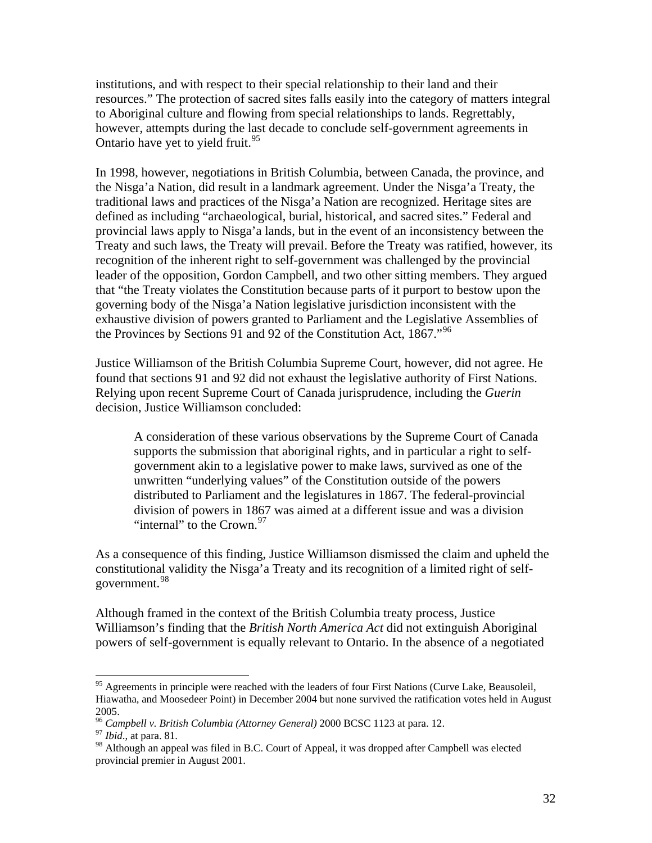institutions, and with respect to their special relationship to their land and their resources." The protection of sacred sites falls easily into the category of matters integral to Aboriginal culture and flowing from special relationships to lands. Regrettably, however, attempts during the last decade to conclude self-government agreements in Ontario have yet to yield fruit.<sup>[95](#page-31-0)</sup>

In 1998, however, negotiations in British Columbia, between Canada, the province, and the Nisga'a Nation, did result in a landmark agreement. Under the Nisga'a Treaty, the traditional laws and practices of the Nisga'a Nation are recognized. Heritage sites are defined as including "archaeological, burial, historical, and sacred sites." Federal and provincial laws apply to Nisga'a lands, but in the event of an inconsistency between the Treaty and such laws, the Treaty will prevail. Before the Treaty was ratified, however, its recognition of the inherent right to self-government was challenged by the provincial leader of the opposition, Gordon Campbell, and two other sitting members. They argued that "the Treaty violates the Constitution because parts of it purport to bestow upon the governing body of the Nisga'a Nation legislative jurisdiction inconsistent with the exhaustive division of powers granted to Parliament and the Legislative Assemblies of the Provinces by Sections 91 and 92 of the Constitution Act, 1867."<sup>[96](#page-31-1)</sup>

Justice Williamson of the British Columbia Supreme Court, however, did not agree. He found that sections 91 and 92 did not exhaust the legislative authority of First Nations. Relying upon recent Supreme Court of Canada jurisprudence, including the *Guerin* decision, Justice Williamson concluded:

A consideration of these various observations by the Supreme Court of Canada supports the submission that aboriginal rights, and in particular a right to selfgovernment akin to a legislative power to make laws, survived as one of the unwritten "underlying values" of the Constitution outside of the powers distributed to Parliament and the legislatures in 1867. The federal-provincial division of powers in 1867 was aimed at a different issue and was a division "internal" to the Crown. $97$ 

As a consequence of this finding, Justice Williamson dismissed the claim and upheld the constitutional validity the Nisga'a Treaty and its recognition of a limited right of selfgovernment.[98](#page-31-3)

Although framed in the context of the British Columbia treaty process, Justice Williamson's finding that the *British North America Act* did not extinguish Aboriginal powers of self-government is equally relevant to Ontario. In the absence of a negotiated

<span id="page-31-0"></span><sup>&</sup>lt;sup>95</sup> Agreements in principle were reached with the leaders of four First Nations (Curve Lake, Beausoleil, Hiawatha, and Moosedeer Point) in December 2004 but none survived the ratification votes held in August 2005.

<span id="page-31-1"></span><sup>96</sup> *Campbell v. British Columbia (Attorney General)* 2000 BCSC 1123 at para. 12. 97 *Ibid*., at para. 81.

<span id="page-31-3"></span><span id="page-31-2"></span><sup>98</sup> Although an appeal was filed in B.C. Court of Appeal, it was dropped after Campbell was elected provincial premier in August 2001.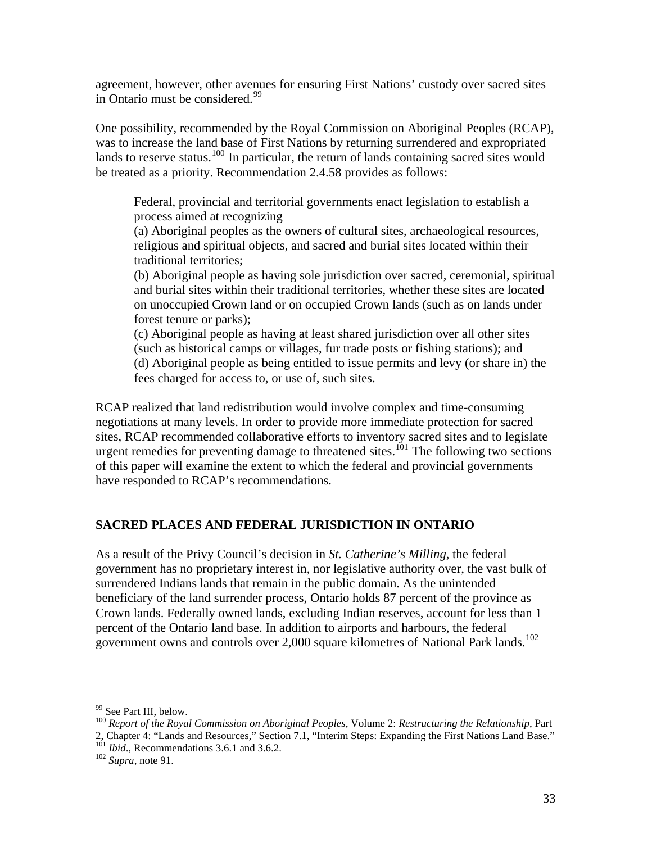agreement, however, other avenues for ensuring First Nations' custody over sacred sites in Ontario must be considered.<sup>[99](#page-32-0)</sup>

One possibility, recommended by the Royal Commission on Aboriginal Peoples (RCAP), was to increase the land base of First Nations by returning surrendered and expropriated lands to reserve status.<sup>[100](#page-32-1)</sup> In particular, the return of lands containing sacred sites would be treated as a priority. Recommendation 2.4.58 provides as follows:

Federal, provincial and territorial governments enact legislation to establish a process aimed at recognizing

(a) Aboriginal peoples as the owners of cultural sites, archaeological resources, religious and spiritual objects, and sacred and burial sites located within their traditional territories;

(b) Aboriginal people as having sole jurisdiction over sacred, ceremonial, spiritual and burial sites within their traditional territories, whether these sites are located on unoccupied Crown land or on occupied Crown lands (such as on lands under forest tenure or parks);

(c) Aboriginal people as having at least shared jurisdiction over all other sites (such as historical camps or villages, fur trade posts or fishing stations); and (d) Aboriginal people as being entitled to issue permits and levy (or share in) the fees charged for access to, or use of, such sites.

RCAP realized that land redistribution would involve complex and time-consuming negotiations at many levels. In order to provide more immediate protection for sacred sites, RCAP recommended collaborative efforts to inventory sacred sites and to legislate urgent remedies for preventing damage to threatened sites.<sup>[101](#page-32-2)</sup> The following two sections of this paper will examine the extent to which the federal and provincial governments have responded to RCAP's recommendations.

#### **SACRED PLACES AND FEDERAL JURISDICTION IN ONTARIO**

As a result of the Privy Council's decision in *St. Catherine's Milling*, the federal government has no proprietary interest in, nor legislative authority over, the vast bulk of surrendered Indians lands that remain in the public domain. As the unintended beneficiary of the land surrender process, Ontario holds 87 percent of the province as Crown lands. Federally owned lands, excluding Indian reserves, account for less than 1 percent of the Ontario land base. In addition to airports and harbours, the federal government owns and controls over 2,000 square kilometres of National Park lands.<sup>[102](#page-32-3)</sup>

<span id="page-32-0"></span><sup>&</sup>lt;sup>99</sup> See Part III, below.

<span id="page-32-1"></span><sup>100</sup> *Report of the Royal Commission on Aboriginal Peoples*, Volume 2: *Restructuring the Relationship*, Part 2, Chapter 4: "Lands and Resources," Section 7.1, "Interim Steps: Expanding the First Nations Land Base."

<span id="page-32-2"></span><sup>101</sup> *Ibid*., Recommendations 3.6.1 and 3.6.2. 102 *Supra*, note 91.

<span id="page-32-3"></span>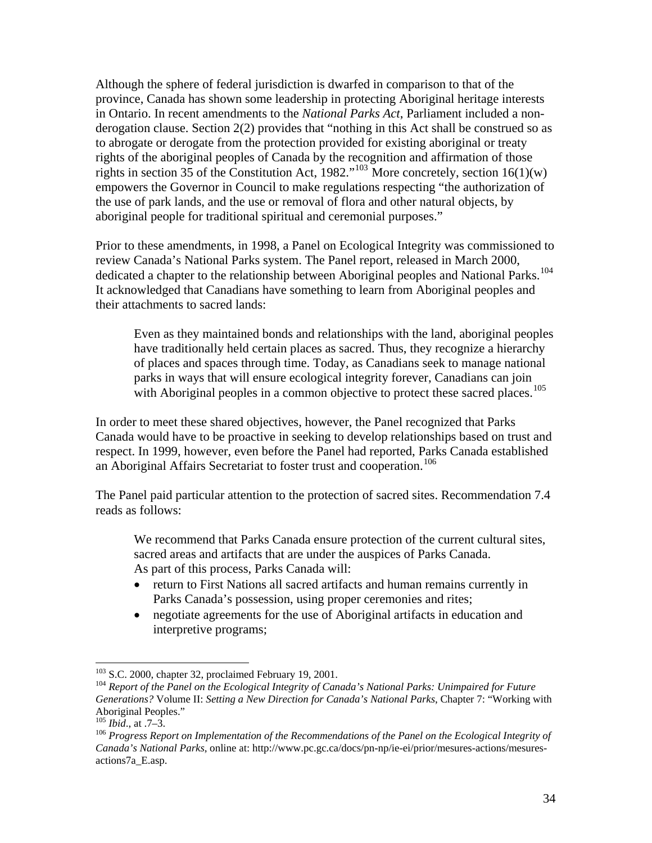Although the sphere of federal jurisdiction is dwarfed in comparison to that of the province, Canada has shown some leadership in protecting Aboriginal heritage interests in Ontario. In recent amendments to the *National Parks Act*, Parliament included a nonderogation clause. Section 2(2) provides that "nothing in this Act shall be construed so as to abrogate or derogate from the protection provided for existing aboriginal or treaty rights of the aboriginal peoples of Canada by the recognition and affirmation of those rights in section 35 of the Constitution Act, 1982."<sup>[103](#page-33-0)</sup> More concretely, section 16(1)(w) empowers the Governor in Council to make regulations respecting "the authorization of the use of park lands, and the use or removal of flora and other natural objects, by aboriginal people for traditional spiritual and ceremonial purposes."

Prior to these amendments, in 1998, a Panel on Ecological Integrity was commissioned to review Canada's National Parks system. The Panel report, released in March 2000, dedicated a chapter to the relationship between Aboriginal peoples and National Parks.<sup>[104](#page-33-1)</sup> It acknowledged that Canadians have something to learn from Aboriginal peoples and their attachments to sacred lands:

Even as they maintained bonds and relationships with the land, aboriginal peoples have traditionally held certain places as sacred. Thus, they recognize a hierarchy of places and spaces through time. Today, as Canadians seek to manage national parks in ways that will ensure ecological integrity forever, Canadians can join with Aboriginal peoples in a common objective to protect these sacred places.<sup>[105](#page-33-2)</sup>

In order to meet these shared objectives, however, the Panel recognized that Parks Canada would have to be proactive in seeking to develop relationships based on trust and respect. In 1999, however, even before the Panel had reported, Parks Canada established an Aboriginal Affairs Secretariat to foster trust and cooperation.<sup>[106](#page-33-3)</sup>

The Panel paid particular attention to the protection of sacred sites. Recommendation 7.4 reads as follows:

We recommend that Parks Canada ensure protection of the current cultural sites, sacred areas and artifacts that are under the auspices of Parks Canada. As part of this process, Parks Canada will:

- return to First Nations all sacred artifacts and human remains currently in Parks Canada's possession, using proper ceremonies and rites;
- negotiate agreements for the use of Aboriginal artifacts in education and interpretive programs;

<span id="page-33-0"></span> $103$  S.C. 2000, chapter 32, proclaimed February 19, 2001.

<span id="page-33-1"></span><sup>&</sup>lt;sup>104</sup> Report of the Panel on the Ecological Integrity of Canada's National Parks: Unimpaired for Future *Generations?* Volume II: *Setting a New Direction for Canada's National Parks*, Chapter 7: "Working with Aboriginal Peoples."<br> $^{105}$  *Ibid.*, at .7–3.

<span id="page-33-3"></span><span id="page-33-2"></span><sup>&</sup>lt;sup>106</sup> Progress Report on Implementation of the Recommendations of the Panel on the Ecological Integrity of *Canada's National Parks*, online at: http://www.pc.gc.ca/docs/pn-np/ie-ei/prior/mesures-actions/mesuresactions7a\_E.asp.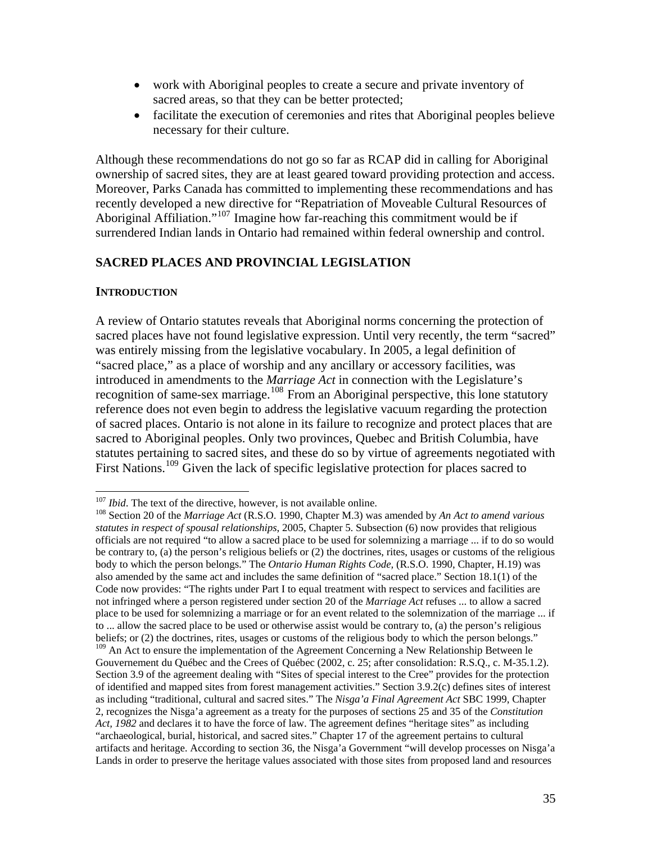- work with Aboriginal peoples to create a secure and private inventory of sacred areas, so that they can be better protected;
- facilitate the execution of ceremonies and rites that Aboriginal peoples believe necessary for their culture.

Although these recommendations do not go so far as RCAP did in calling for Aboriginal ownership of sacred sites, they are at least geared toward providing protection and access. Moreover, Parks Canada has committed to implementing these recommendations and has recently developed a new directive for "Repatriation of Moveable Cultural Resources of Aboriginal Affiliation."<sup>[107](#page-34-0)</sup> Imagine how far-reaching this commitment would be if surrendered Indian lands in Ontario had remained within federal ownership and control.

#### **SACRED PLACES AND PROVINCIAL LEGISLATION**

#### **INTRODUCTION**

A review of Ontario statutes reveals that Aboriginal norms concerning the protection of sacred places have not found legislative expression. Until very recently, the term "sacred" was entirely missing from the legislative vocabulary. In 2005, a legal definition of "sacred place," as a place of worship and any ancillary or accessory facilities, was introduced in amendments to the *Marriage Act* in connection with the Legislature's recognition of same-sex marriage.<sup>[108](#page-34-1)</sup> From an Aboriginal perspective, this lone statutory reference does not even begin to address the legislative vacuum regarding the protection of sacred places. Ontario is not alone in its failure to recognize and protect places that are sacred to Aboriginal peoples. Only two provinces, Quebec and British Columbia, have statutes pertaining to sacred sites, and these do so by virtue of agreements negotiated with First Nations.<sup>[109](#page-34-2)</sup> Given the lack of specific legislative protection for places sacred to

<span id="page-34-2"></span>

<span id="page-34-1"></span><span id="page-34-0"></span><sup>&</sup>lt;sup>107</sup> *Ibid*. The text of the directive, however, is not available online.<br><sup>108</sup> Section 20 of the *Marriage Act* (R.S.O. 1990, Chapter M.3) was amended by *An Act to amend various statutes in respect of spousal relationships*, 2005, Chapter 5. Subsection (6) now provides that religious officials are not required "to allow a sacred place to be used for solemnizing a marriage ... if to do so would be contrary to, (a) the person's religious beliefs or (2) the doctrines, rites, usages or customs of the religious body to which the person belongs." The *Ontario Human Rights Code,* (R.S.O. 1990, Chapter, H.19) was also amended by the same act and includes the same definition of "sacred place." Section 18.1(1) of the Code now provides: "The rights under Part I to equal treatment with respect to services and facilities are not infringed where a person registered under section 20 of the *Marriage Act* refuses ... to allow a sacred place to be used for solemnizing a marriage or for an event related to the solemnization of the marriage ... if to ... allow the sacred place to be used or otherwise assist would be contrary to, (a) the person's religious beliefs; or (2) the doctrines, rites, usages or customs of the religious body to which the person belongs." <sup>109</sup> An Act to ensure the implementation of the Agreement Concerning a New Relationship Between le Gouvernement du Québec and the Crees of Québec (2002, c. 25; after consolidation: R.S.Q., c. M-35.1.2). Section 3.9 of the agreement dealing with "Sites of special interest to the Cree" provides for the protection of identified and mapped sites from forest management activities." Section 3.9.2(c) defines sites of interest as including "traditional, cultural and sacred sites." The *Nisga'a Final Agreement Act* SBC 1999, Chapter 2, recognizes the Nisga'a agreement as a treaty for the purposes of sections 25 and 35 of the *Constitution Act, 1982* and declares it to have the force of law. The agreement defines "heritage sites" as including "archaeological, burial, historical, and sacred sites." Chapter 17 of the agreement pertains to cultural artifacts and heritage. According to section 36, the Nisga'a Government "will develop processes on Nisga'a Lands in order to preserve the heritage values associated with those sites from proposed land and resources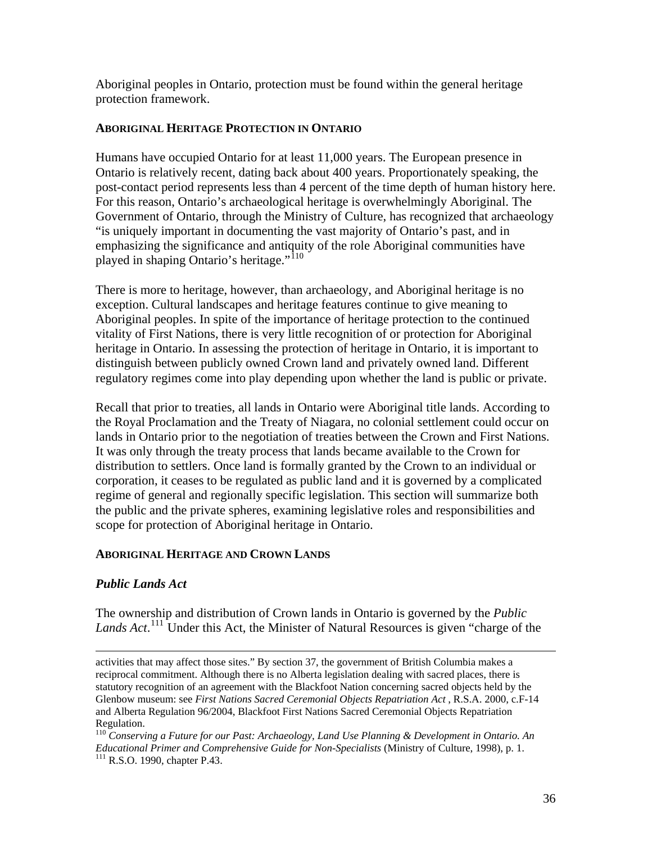Aboriginal peoples in Ontario, protection must be found within the general heritage protection framework.

#### **ABORIGINAL HERITAGE PROTECTION IN ONTARIO**

Humans have occupied Ontario for at least 11,000 years. The European presence in Ontario is relatively recent, dating back about 400 years. Proportionately speaking, the post-contact period represents less than 4 percent of the time depth of human history here. For this reason, Ontario's archaeological heritage is overwhelmingly Aboriginal. The Government of Ontario, through the Ministry of Culture, has recognized that archaeology "is uniquely important in documenting the vast majority of Ontario's past, and in emphasizing the significance and antiquity of the role Aboriginal communities have played in shaping Ontario's heritage."<sup>[110](#page-35-0)</sup>

There is more to heritage, however, than archaeology, and Aboriginal heritage is no exception. Cultural landscapes and heritage features continue to give meaning to Aboriginal peoples. In spite of the importance of heritage protection to the continued vitality of First Nations, there is very little recognition of or protection for Aboriginal heritage in Ontario. In assessing the protection of heritage in Ontario, it is important to distinguish between publicly owned Crown land and privately owned land. Different regulatory regimes come into play depending upon whether the land is public or private.

Recall that prior to treaties, all lands in Ontario were Aboriginal title lands. According to the Royal Proclamation and the Treaty of Niagara, no colonial settlement could occur on lands in Ontario prior to the negotiation of treaties between the Crown and First Nations. It was only through the treaty process that lands became available to the Crown for distribution to settlers. Once land is formally granted by the Crown to an individual or corporation, it ceases to be regulated as public land and it is governed by a complicated regime of general and regionally specific legislation. This section will summarize both the public and the private spheres, examining legislative roles and responsibilities and scope for protection of Aboriginal heritage in Ontario.

# **ABORIGINAL HERITAGE AND CROWN LANDS**

# *Public Lands Act*

1

The ownership and distribution of Crown lands in Ontario is governed by the *Public*  Lands Act.<sup>[111](#page-35-1)</sup> Under this Act, the Minister of Natural Resources is given "charge of the

activities that may affect those sites." By section 37, the government of British Columbia makes a reciprocal commitment. Although there is no Alberta legislation dealing with sacred places, there is statutory recognition of an agreement with the Blackfoot Nation concerning sacred objects held by the Glenbow museum: see *First Nations Sacred Ceremonial Objects Repatriation Act* , R.S.A. 2000, c.F-14 and Alberta Regulation 96/2004, Blackfoot First Nations Sacred Ceremonial Objects Repatriation Regulation.

<span id="page-35-1"></span><span id="page-35-0"></span><sup>110</sup> *Conserving a Future for our Past: Archaeology, Land Use Planning & Development in Ontario. An Educational Primer and Comprehensive Guide for Non-Specialists* (Ministry of Culture, 1998), p. 1. <sup>111</sup> R.S.O. 1990, chapter P.43.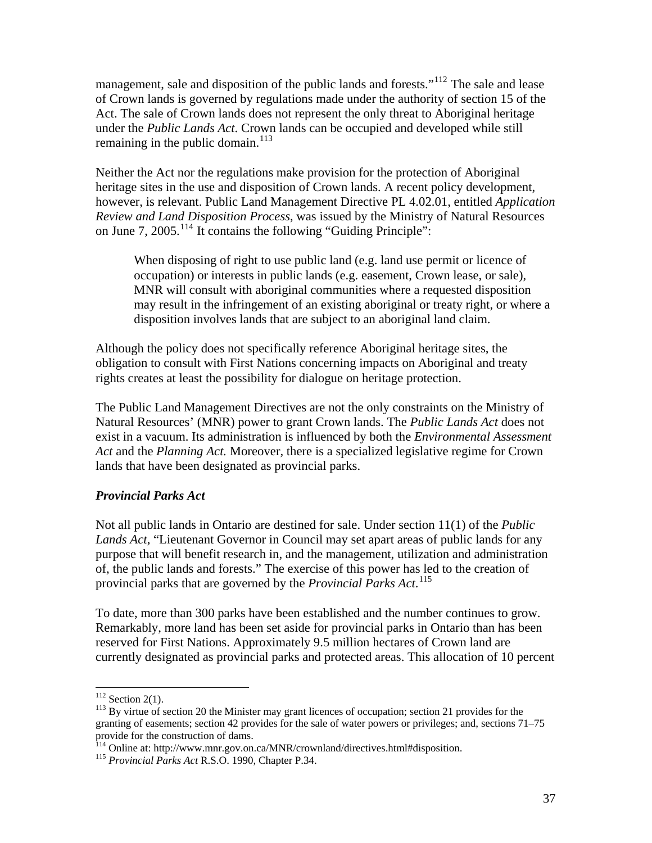management, sale and disposition of the public lands and forests."<sup>[112](#page-36-0)</sup> The sale and lease of Crown lands is governed by regulations made under the authority of section 15 of the Act. The sale of Crown lands does not represent the only threat to Aboriginal heritage under the *Public Lands Act*. Crown lands can be occupied and developed while still remaining in the public domain.<sup>[113](#page-36-1)</sup>

Neither the Act nor the regulations make provision for the protection of Aboriginal heritage sites in the use and disposition of Crown lands. A recent policy development, however, is relevant. Public Land Management Directive PL 4.02.01, entitled *Application Review and Land Disposition Process*, was issued by the Ministry of Natural Resources on June 7, 2005.<sup>114</sup> It contains the following "Guiding Principle":

When disposing of right to use public land (e.g. land use permit or licence of occupation) or interests in public lands (e.g. easement, Crown lease, or sale), MNR will consult with aboriginal communities where a requested disposition may result in the infringement of an existing aboriginal or treaty right, or where a disposition involves lands that are subject to an aboriginal land claim.

Although the policy does not specifically reference Aboriginal heritage sites, the obligation to consult with First Nations concerning impacts on Aboriginal and treaty rights creates at least the possibility for dialogue on heritage protection.

The Public Land Management Directives are not the only constraints on the Ministry of Natural Resources' (MNR) power to grant Crown lands. The *Public Lands Act* does not exist in a vacuum. Its administration is influenced by both the *Environmental Assessment Act* and the *Planning Act.* Moreover, there is a specialized legislative regime for Crown lands that have been designated as provincial parks.

## *Provincial Parks Act*

Not all public lands in Ontario are destined for sale. Under section 11(1) of the *Public Lands Act*, "Lieutenant Governor in Council may set apart areas of public lands for any purpose that will benefit research in, and the management, utilization and administration of, the public lands and forests." The exercise of this power has led to the creation of provincial parks that are governed by the *Provincial Parks Act*. [115](#page-36-3)

To date, more than 300 parks have been established and the number continues to grow. Remarkably, more land has been set aside for provincial parks in Ontario than has been reserved for First Nations. Approximately 9.5 million hectares of Crown land are currently designated as provincial parks and protected areas. This allocation of 10 percent

<span id="page-36-0"></span> $112$  Section 2(1).

<span id="page-36-1"></span> $113$  By virtue of section 20 the Minister may grant licences of occupation; section 21 provides for the granting of easements; section 42 provides for the sale of water powers or privileges; and, sections 71–75 provide for the construction of dams.

<sup>114</sup> Online at: http://www.mnr.gov.on.ca/MNR/crownland/directives.html#disposition. 115 *Provincial Parks Act* R.S.O. 1990, Chapter P.34.

<span id="page-36-3"></span><span id="page-36-2"></span>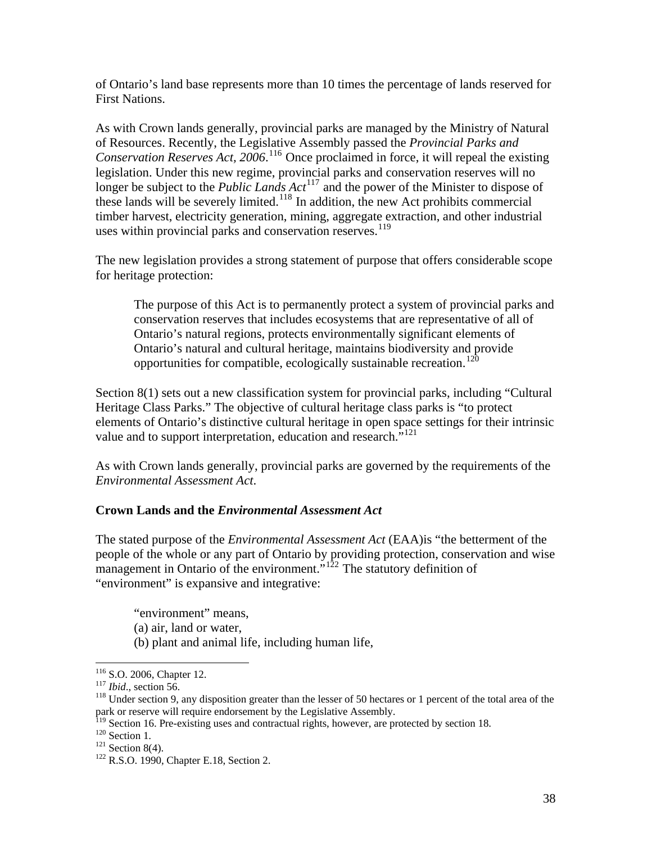of Ontario's land base represents more than 10 times the percentage of lands reserved for First Nations.

As with Crown lands generally, provincial parks are managed by the Ministry of Natural of Resources. Recently, the Legislative Assembly passed the *Provincial Parks and*  Conservation Reserves Act, 2006.<sup>[116](#page-37-0)</sup> Once proclaimed in force, it will repeal the existing legislation. Under this new regime, provincial parks and conservation reserves will no longer be subject to the *Public Lands Act*<sup>[117](#page-37-1)</sup> and the power of the Minister to dispose of these lands will be severely limited.<sup>[118](#page-37-2)</sup> In addition, the new Act prohibits commercial timber harvest, electricity generation, mining, aggregate extraction, and other industrial uses within provincial parks and conservation reserves.<sup>[119](#page-37-3)</sup>

The new legislation provides a strong statement of purpose that offers considerable scope for heritage protection:

The purpose of this Act is to permanently protect a system of provincial parks and conservation reserves that includes ecosystems that are representative of all of Ontario's natural regions, protects environmentally significant elements of Ontario's natural and cultural heritage, maintains biodiversity and provide opportunities for compatible, ecologically sustainable recreation.<sup>[120](#page-37-4)</sup>

Section 8(1) sets out a new classification system for provincial parks, including "Cultural Heritage Class Parks." The objective of cultural heritage class parks is "to protect elements of Ontario's distinctive cultural heritage in open space settings for their intrinsic value and to support interpretation, education and research."[121](#page-37-5)

As with Crown lands generally, provincial parks are governed by the requirements of the *Environmental Assessment Act*.

## **Crown Lands and the** *Environmental Assessment Act*

The stated purpose of the *Environmental Assessment Act* (EAA)is "the betterment of the people of the whole or any part of Ontario by providing protection, conservation and wise management in Ontario of the environment.<sup>"[122](#page-37-6)</sup> The statutory definition of "environment" is expansive and integrative:

"environment" means, (a) air, land or water, (b) plant and animal life, including human life,

<span id="page-37-0"></span><sup>&</sup>lt;sup>116</sup> S.O. 2006, Chapter 12.

<span id="page-37-2"></span>

<span id="page-37-1"></span><sup>&</sup>lt;sup>117</sup> *Ibid.*, section 56.<br><sup>118</sup> Under section 9, any disposition greater than the lesser of 50 hectares or 1 percent of the total area of the park or reserve will require endorsement by the Legislative Assembly.

<span id="page-37-3"></span><sup>&</sup>lt;sup>119</sup> Section 16. Pre-existing uses and contractual rights, however, are protected by section 18.<br><sup>120</sup> Section 8(4).<br><sup>121</sup> Section 8(4).<br><sup>122</sup> R.S.O. 1990, Chapter E.18, Section 2.

<span id="page-37-4"></span>

<span id="page-37-5"></span>

<span id="page-37-6"></span>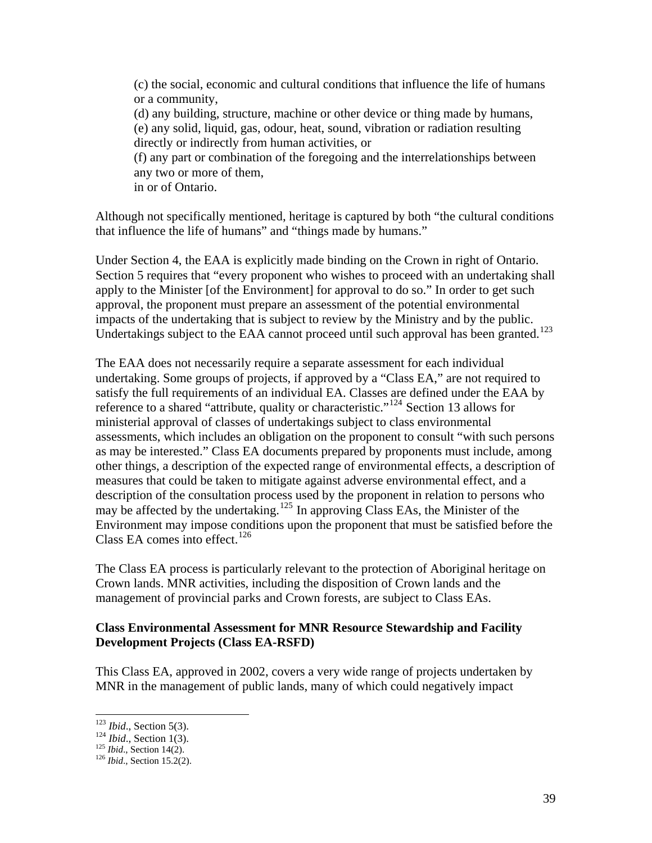(c) the social, economic and cultural conditions that influence the life of humans or a community, (d) any building, structure, machine or other device or thing made by humans, (e) any solid, liquid, gas, odour, heat, sound, vibration or radiation resulting directly or indirectly from human activities, or (f) any part or combination of the foregoing and the interrelationships between any two or more of them, in or of Ontario.

Although not specifically mentioned, heritage is captured by both "the cultural conditions that influence the life of humans" and "things made by humans."

Under Section 4, the EAA is explicitly made binding on the Crown in right of Ontario. Section 5 requires that "every proponent who wishes to proceed with an undertaking shall apply to the Minister [of the Environment] for approval to do so." In order to get such approval, the proponent must prepare an assessment of the potential environmental impacts of the undertaking that is subject to review by the Ministry and by the public. Undertakings subject to the EAA cannot proceed until such approval has been granted.<sup>[123](#page-38-0)</sup>

The EAA does not necessarily require a separate assessment for each individual undertaking. Some groups of projects, if approved by a "Class EA," are not required to satisfy the full requirements of an individual EA. Classes are defined under the EAA by reference to a shared "attribute, quality or characteristic."<sup>[124](#page-38-1)</sup> Section 13 allows for ministerial approval of classes of undertakings subject to class environmental assessments, which includes an obligation on the proponent to consult "with such persons as may be interested." Class EA documents prepared by proponents must include, among other things, a description of the expected range of environmental effects, a description of measures that could be taken to mitigate against adverse environmental effect, and a description of the consultation process used by the proponent in relation to persons who may be affected by the undertaking.<sup>[125](#page-38-2)</sup> In approving Class EAs, the Minister of the Environment may impose conditions upon the proponent that must be satisfied before the Class EA comes into effect.<sup>[126](#page-38-3)</sup>

The Class EA process is particularly relevant to the protection of Aboriginal heritage on Crown lands. MNR activities, including the disposition of Crown lands and the management of provincial parks and Crown forests, are subject to Class EAs.

#### **Class Environmental Assessment for MNR Resource Stewardship and Facility Development Projects (Class EA-RSFD)**

This Class EA, approved in 2002, covers a very wide range of projects undertaken by MNR in the management of public lands, many of which could negatively impact

<span id="page-38-0"></span> $123$  *Ibid.*, Section 5(3).

<span id="page-38-2"></span><span id="page-38-1"></span><sup>1&</sup>lt;sup>24</sup> *Ibid.*, Section 1(3). <sup>125</sup> *Ibid.*, Section 14(2). <sup>126</sup> *Ibid.*, Section 15.2(2).

<span id="page-38-3"></span>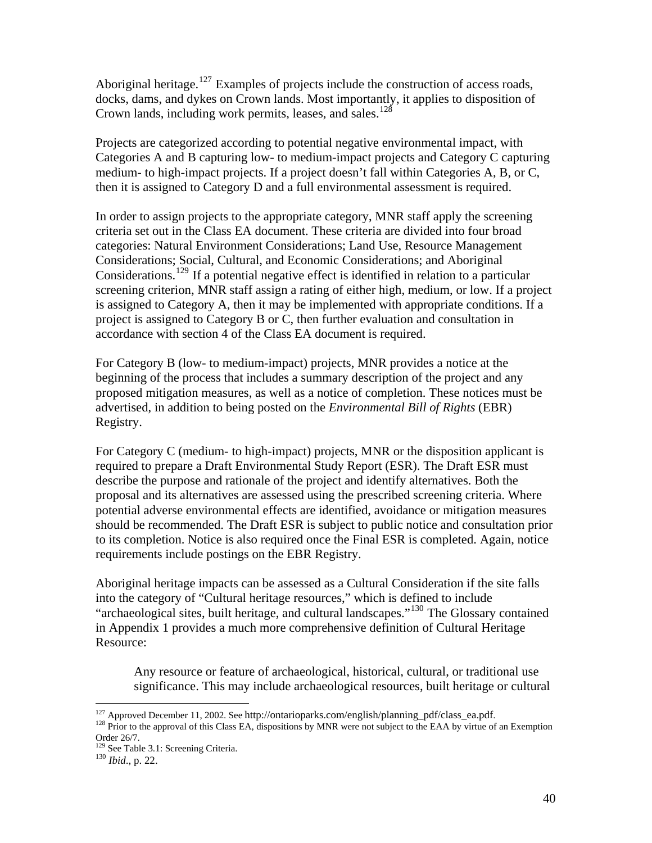Aboriginal heritage.<sup>[127](#page-39-0)</sup> Examples of projects include the construction of access roads, docks, dams, and dykes on Crown lands. Most importantly, it applies to disposition of Crown lands, including work permits, leases, and sales.<sup>[128](#page-39-1)</sup>

Projects are categorized according to potential negative environmental impact, with Categories A and B capturing low- to medium-impact projects and Category C capturing medium- to high-impact projects. If a project doesn't fall within Categories A, B, or C, then it is assigned to Category D and a full environmental assessment is required.

In order to assign projects to the appropriate category, MNR staff apply the screening criteria set out in the Class EA document. These criteria are divided into four broad categories: Natural Environment Considerations; Land Use, Resource Management Considerations; Social, Cultural, and Economic Considerations; and Aboriginal Considerations.<sup>[129](#page-39-2)</sup> If a potential negative effect is identified in relation to a particular screening criterion, MNR staff assign a rating of either high, medium, or low. If a project is assigned to Category A, then it may be implemented with appropriate conditions. If a project is assigned to Category B or C, then further evaluation and consultation in accordance with section 4 of the Class EA document is required.

For Category B (low- to medium-impact) projects, MNR provides a notice at the beginning of the process that includes a summary description of the project and any proposed mitigation measures, as well as a notice of completion. These notices must be advertised, in addition to being posted on the *Environmental Bill of Rights* (EBR) Registry.

For Category C (medium- to high-impact) projects, MNR or the disposition applicant is required to prepare a Draft Environmental Study Report (ESR). The Draft ESR must describe the purpose and rationale of the project and identify alternatives. Both the proposal and its alternatives are assessed using the prescribed screening criteria. Where potential adverse environmental effects are identified, avoidance or mitigation measures should be recommended. The Draft ESR is subject to public notice and consultation prior to its completion. Notice is also required once the Final ESR is completed. Again, notice requirements include postings on the EBR Registry.

Aboriginal heritage impacts can be assessed as a Cultural Consideration if the site falls into the category of "Cultural heritage resources," which is defined to include "archaeological sites, built heritage, and cultural landscapes."[130](#page-39-3) The Glossary contained in Appendix 1 provides a much more comprehensive definition of Cultural Heritage Resource:

Any resource or feature of archaeological, historical, cultural, or traditional use significance. This may include archaeological resources, built heritage or cultural

<span id="page-39-1"></span><span id="page-39-0"></span><sup>&</sup>lt;sup>127</sup> Approved December 11, 2002. See http://ontarioparks.com/english/planning\_pdf/class\_ea.pdf.  $128$  Prior to the approval of this Class EA, dispositions by MNR were not subject to the EAA by virtue of an Exemption Order 26/7.

<span id="page-39-3"></span><span id="page-39-2"></span><sup>129</sup> See Table 3.1: Screening Criteria. 130 *Ibid*., p. 22.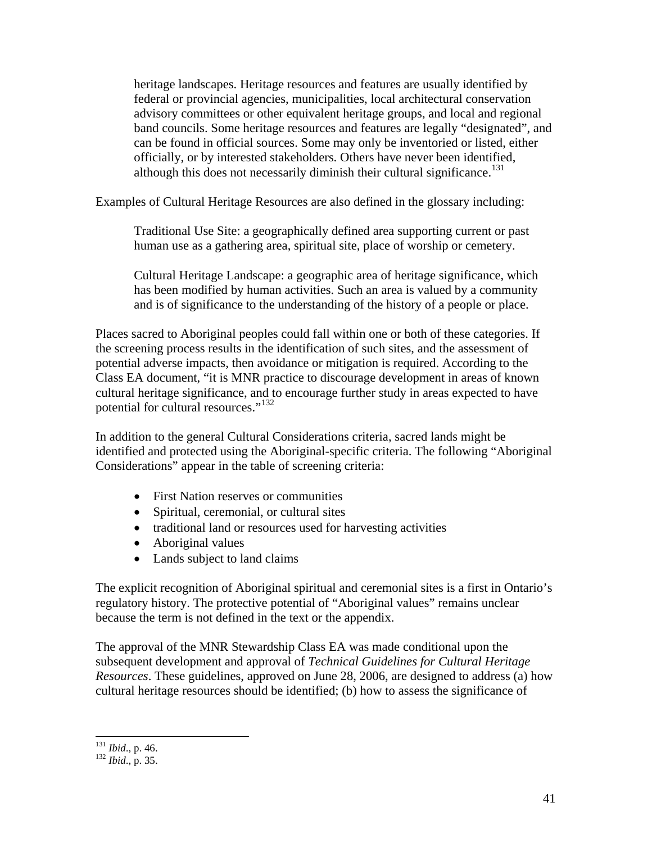heritage landscapes. Heritage resources and features are usually identified by federal or provincial agencies, municipalities, local architectural conservation advisory committees or other equivalent heritage groups, and local and regional band councils. Some heritage resources and features are legally "designated", and can be found in official sources. Some may only be inventoried or listed, either officially, or by interested stakeholders. Others have never been identified, although this does not necessarily diminish their cultural significance.<sup>[131](#page-40-0)</sup>

Examples of Cultural Heritage Resources are also defined in the glossary including:

Traditional Use Site: a geographically defined area supporting current or past human use as a gathering area, spiritual site, place of worship or cemetery.

Cultural Heritage Landscape: a geographic area of heritage significance, which has been modified by human activities. Such an area is valued by a community and is of significance to the understanding of the history of a people or place.

Places sacred to Aboriginal peoples could fall within one or both of these categories. If the screening process results in the identification of such sites, and the assessment of potential adverse impacts, then avoidance or mitigation is required. According to the Class EA document, "it is MNR practice to discourage development in areas of known cultural heritage significance, and to encourage further study in areas expected to have potential for cultural resources."<sup>[132](#page-40-1)</sup>

In addition to the general Cultural Considerations criteria, sacred lands might be identified and protected using the Aboriginal-specific criteria. The following "Aboriginal Considerations" appear in the table of screening criteria:

- First Nation reserves or communities
- Spiritual, ceremonial, or cultural sites
- traditional land or resources used for harvesting activities
- Aboriginal values
- Lands subject to land claims

The explicit recognition of Aboriginal spiritual and ceremonial sites is a first in Ontario's regulatory history. The protective potential of "Aboriginal values" remains unclear because the term is not defined in the text or the appendix.

The approval of the MNR Stewardship Class EA was made conditional upon the subsequent development and approval of *Technical Guidelines for Cultural Heritage Resources*. These guidelines, approved on June 28, 2006, are designed to address (a) how cultural heritage resources should be identified; (b) how to assess the significance of

<span id="page-40-0"></span><sup>131</sup> *Ibid*., p. 46. 132 *Ibid*., p. 35.

<span id="page-40-1"></span>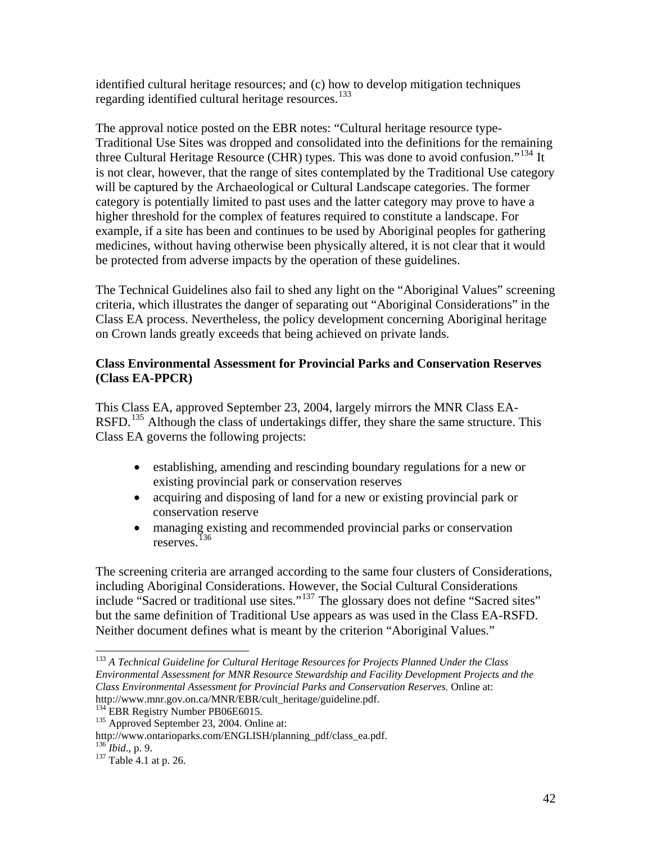identified cultural heritage resources; and (c) how to develop mitigation techniques regarding identified cultural heritage resources.<sup>[133](#page-41-0)</sup>

The approval notice posted on the EBR notes: "Cultural heritage resource type-Traditional Use Sites was dropped and consolidated into the definitions for the remaining three Cultural Heritage Resource (CHR) types. This was done to avoid confusion."<sup>[134](#page-41-1)</sup> It is not clear, however, that the range of sites contemplated by the Traditional Use category will be captured by the Archaeological or Cultural Landscape categories. The former category is potentially limited to past uses and the latter category may prove to have a higher threshold for the complex of features required to constitute a landscape. For example, if a site has been and continues to be used by Aboriginal peoples for gathering medicines, without having otherwise been physically altered, it is not clear that it would be protected from adverse impacts by the operation of these guidelines.

The Technical Guidelines also fail to shed any light on the "Aboriginal Values" screening criteria, which illustrates the danger of separating out "Aboriginal Considerations" in the Class EA process. Nevertheless, the policy development concerning Aboriginal heritage on Crown lands greatly exceeds that being achieved on private lands.

## **Class Environmental Assessment for Provincial Parks and Conservation Reserves (Class EA-PPCR)**

This Class EA, approved September 23, 2004, largely mirrors the MNR Class EA-RSFD.<sup>[135](#page-41-2)</sup> Although the class of undertakings differ, they share the same structure. This Class EA governs the following projects:

- establishing, amending and rescinding boundary regulations for a new or existing provincial park or conservation reserves
- acquiring and disposing of land for a new or existing provincial park or conservation reserve
- managing existing and recommended provincial parks or conservation reserves.[136](#page-41-3)

The screening criteria are arranged according to the same four clusters of Considerations, including Aboriginal Considerations. However, the Social Cultural Considerations include "Sacred or traditional use sites."<sup>[137](#page-41-4)</sup> The glossary does not define "Sacred sites" but the same definition of Traditional Use appears as was used in the Class EA-RSFD. Neither document defines what is meant by the criterion "Aboriginal Values."

<span id="page-41-0"></span> <sup>133</sup> *A Technical Guideline for Cultural Heritage Resources for Projects Planned Under the Class Environmental Assessment for MNR Resource Stewardship and Facility Development Projects and the Class Environmental Assessment for Provincial Parks and Conservation Reserves.* Online at: http://www.mnr.gov.on.ca/MNR/EBR/cult\_heritage/guideline.pdf.<br><sup>134</sup> EBR Registry Number PB06E6015.<br><sup>135</sup> Approved September 23, 2004. Online at:

<span id="page-41-1"></span>

<span id="page-41-3"></span><span id="page-41-2"></span>http://www.ontarioparks.com/ENGLISH/planning\_pdf/class\_ea.pdf. <sup>136</sup> *Ibid.*, p. 9.<br><sup>137</sup> Table 4.1 at p. 26.

<span id="page-41-4"></span>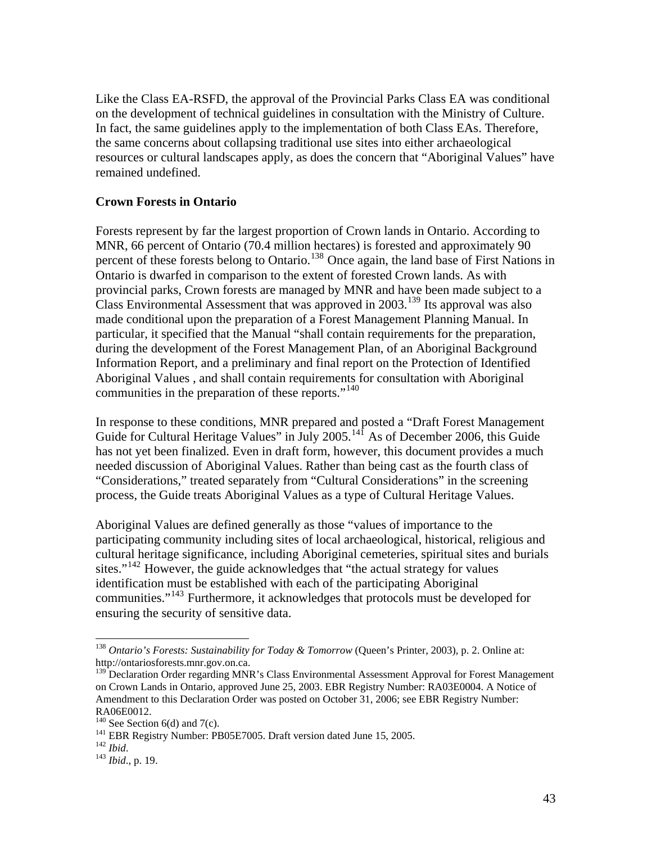Like the Class EA-RSFD, the approval of the Provincial Parks Class EA was conditional on the development of technical guidelines in consultation with the Ministry of Culture. In fact, the same guidelines apply to the implementation of both Class EAs. Therefore, the same concerns about collapsing traditional use sites into either archaeological resources or cultural landscapes apply, as does the concern that "Aboriginal Values" have remained undefined.

## **Crown Forests in Ontario**

Forests represent by far the largest proportion of Crown lands in Ontario. According to MNR, 66 percent of Ontario (70.4 million hectares) is forested and approximately 90 percent of these forests belong to Ontario.<sup>[138](#page-42-0)</sup> Once again, the land base of First Nations in Ontario is dwarfed in comparison to the extent of forested Crown lands. As with provincial parks, Crown forests are managed by MNR and have been made subject to a Class Environmental Assessment that was approved in  $2003$ <sup>[139](#page-42-1)</sup> Its approval was also made conditional upon the preparation of a Forest Management Planning Manual. In particular, it specified that the Manual "shall contain requirements for the preparation, during the development of the Forest Management Plan, of an Aboriginal Background Information Report, and a preliminary and final report on the Protection of Identified Aboriginal Values , and shall contain requirements for consultation with Aboriginal communities in the preparation of these reports."<sup>[140](#page-42-2)</sup>

In response to these conditions, MNR prepared and posted a "Draft Forest Management Guide for Cultural Heritage Values" in July 2005.<sup>[141](#page-42-3)</sup> As of December 2006, this Guide has not yet been finalized. Even in draft form, however, this document provides a much needed discussion of Aboriginal Values. Rather than being cast as the fourth class of "Considerations," treated separately from "Cultural Considerations" in the screening process, the Guide treats Aboriginal Values as a type of Cultural Heritage Values.

Aboriginal Values are defined generally as those "values of importance to the participating community including sites of local archaeological, historical, religious and cultural heritage significance, including Aboriginal cemeteries, spiritual sites and burials sites."<sup>[142](#page-42-4)</sup> However, the guide acknowledges that "the actual strategy for values" identification must be established with each of the participating Aboriginal communities."[143](#page-42-5) Furthermore, it acknowledges that protocols must be developed for ensuring the security of sensitive data.

<span id="page-42-0"></span><sup>138</sup> *Ontario's Forests: Sustainability for Today & Tomorrow* (Queen's Printer, 2003), p. 2. Online at: http://ontariosforests.mnr.gov.on.ca.

<span id="page-42-1"></span><sup>&</sup>lt;sup>139</sup> Declaration Order regarding MNR's Class Environmental Assessment Approval for Forest Management on Crown Lands in Ontario, approved June 25, 2003. EBR Registry Number: RA03E0004. A Notice of Amendment to this Declaration Order was posted on October 31, 2006; see EBR Registry Number:

RA06E0012.<br><sup>140</sup> See Section 6(d) and 7(c).

<span id="page-42-4"></span><span id="page-42-3"></span><span id="page-42-2"></span><sup>&</sup>lt;sup>141</sup> EBR Registry Number: PB05E7005. Draft version dated June 15, 2005.<br><sup>142</sup> *Ibid.* n. 19. 19.

<span id="page-42-5"></span>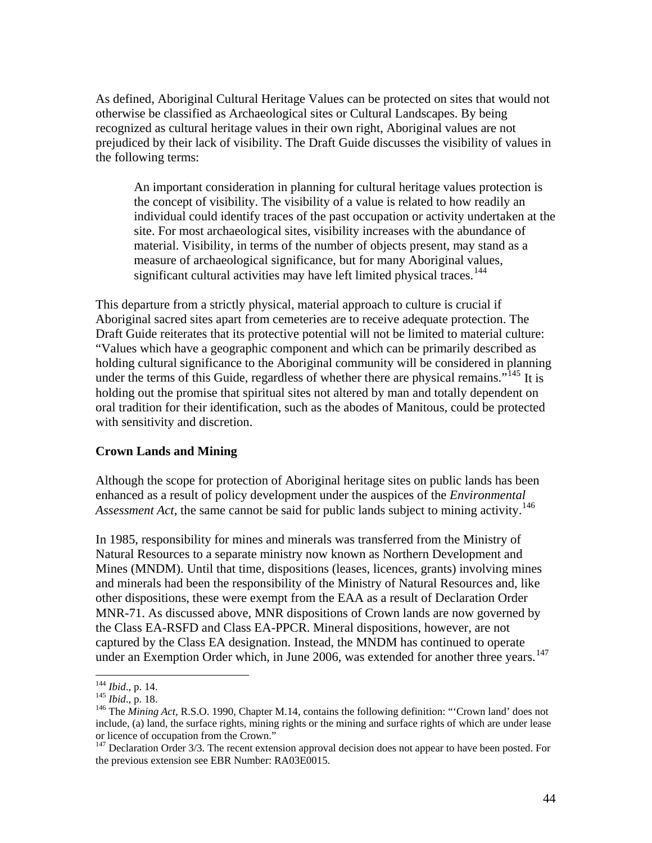As defined, Aboriginal Cultural Heritage Values can be protected on sites that would not otherwise be classified as Archaeological sites or Cultural Landscapes. By being recognized as cultural heritage values in their own right, Aboriginal values are not prejudiced by their lack of visibility. The Draft Guide discusses the visibility of values in the following terms:

An important consideration in planning for cultural heritage values protection is the concept of visibility. The visibility of a value is related to how readily an individual could identify traces of the past occupation or activity undertaken at the site. For most archaeological sites, visibility increases with the abundance of material. Visibility, in terms of the number of objects present, may stand as a measure of archaeological significance, but for many Aboriginal values, significant cultural activities may have left limited physical traces.<sup>[144](#page-43-0)</sup>

This departure from a strictly physical, material approach to culture is crucial if Aboriginal sacred sites apart from cemeteries are to receive adequate protection. The Draft Guide reiterates that its protective potential will not be limited to material culture: "Values which have a geographic component and which can be primarily described as holding cultural significance to the Aboriginal community will be considered in planning under the terms of this Guide, regardless of whether there are physical remains."<sup>[145](#page-43-1)</sup> It is holding out the promise that spiritual sites not altered by man and totally dependent on oral tradition for their identification, such as the abodes of Manitous, could be protected with sensitivity and discretion.

#### **Crown Lands and Mining**

Although the scope for protection of Aboriginal heritage sites on public lands has been enhanced as a result of policy development under the auspices of the *Environmental*  Assessment Act, the same cannot be said for public lands subject to mining activity.<sup>[146](#page-43-2)</sup>

In 1985, responsibility for mines and minerals was transferred from the Ministry of Natural Resources to a separate ministry now known as Northern Development and Mines (MNDM). Until that time, dispositions (leases, licences, grants) involving mines and minerals had been the responsibility of the Ministry of Natural Resources and, like other dispositions, these were exempt from the EAA as a result of Declaration Order MNR-71. As discussed above, MNR dispositions of Crown lands are now governed by the Class EA-RSFD and Class EA-PPCR. Mineral dispositions, however, are not captured by the Class EA designation. Instead, the MNDM has continued to operate under an Exemption Order which, in June 2006, was extended for another three years.<sup>[147](#page-43-3)</sup>

<span id="page-43-0"></span> $144$  *Ibid.*, p. 14.

<span id="page-43-2"></span><span id="page-43-1"></span><sup>144</sup> *Ibid*., p. 14. 145 *Ibid*., p. 18. 146 The *Mining Act*, R.S.O. 1990, Chapter M.14, contains the following definition: "'Crown land' does not include, (a) land, the surface rights, mining rights or the mining and surface rights of which are under lease

<span id="page-43-3"></span>or licence of occupation from the Crown."<br><sup>147</sup> Declaration Order 3/3. The recent extension approval decision does not appear to have been posted. For the previous extension see EBR Number: RA03E0015.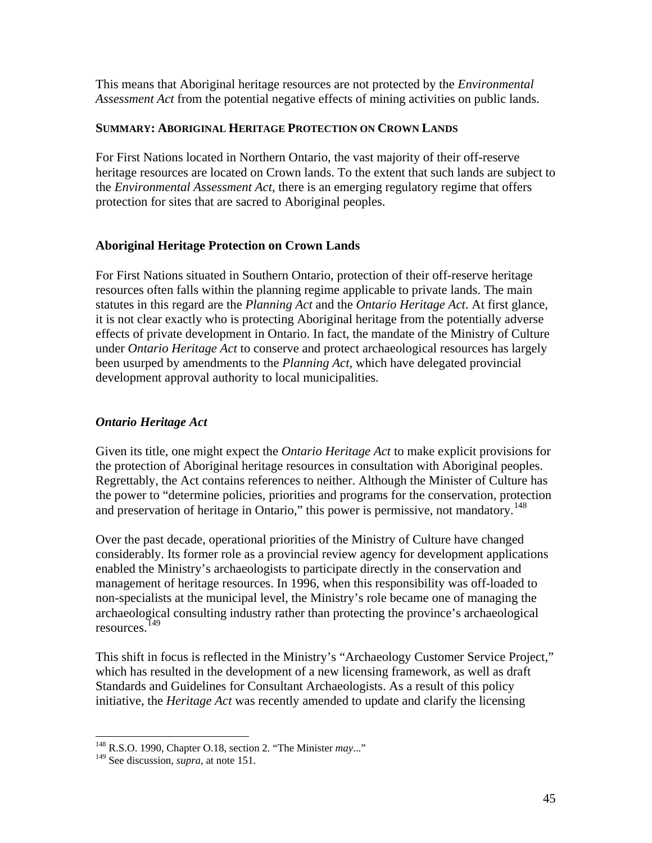This means that Aboriginal heritage resources are not protected by the *Environmental Assessment Act* from the potential negative effects of mining activities on public lands.

## **SUMMARY: ABORIGINAL HERITAGE PROTECTION ON CROWN LANDS**

For First Nations located in Northern Ontario, the vast majority of their off-reserve heritage resources are located on Crown lands. To the extent that such lands are subject to the *Environmental Assessment Act*, there is an emerging regulatory regime that offers protection for sites that are sacred to Aboriginal peoples.

## **Aboriginal Heritage Protection on Crown Lands**

For First Nations situated in Southern Ontario, protection of their off-reserve heritage resources often falls within the planning regime applicable to private lands. The main statutes in this regard are the *Planning Act* and the *Ontario Heritage Act*. At first glance, it is not clear exactly who is protecting Aboriginal heritage from the potentially adverse effects of private development in Ontario. In fact, the mandate of the Ministry of Culture under *Ontario Heritage Act* to conserve and protect archaeological resources has largely been usurped by amendments to the *Planning Act,* which have delegated provincial development approval authority to local municipalities.

## *Ontario Heritage Act*

Given its title, one might expect the *Ontario Heritage Act* to make explicit provisions for the protection of Aboriginal heritage resources in consultation with Aboriginal peoples. Regrettably, the Act contains references to neither. Although the Minister of Culture has the power to "determine policies, priorities and programs for the conservation, protection and preservation of heritage in Ontario," this power is permissive, not mandatory.<sup>[148](#page-44-0)</sup>

Over the past decade, operational priorities of the Ministry of Culture have changed considerably. Its former role as a provincial review agency for development applications enabled the Ministry's archaeologists to participate directly in the conservation and management of heritage resources. In 1996, when this responsibility was off-loaded to non-specialists at the municipal level, the Ministry's role became one of managing the archaeological consulting industry rather than protecting the province's archaeological resources.[149](#page-44-1)

This shift in focus is reflected in the Ministry's "Archaeology Customer Service Project," which has resulted in the development of a new licensing framework, as well as draft Standards and Guidelines for Consultant Archaeologists. As a result of this policy initiative, the *Heritage Act* was recently amended to update and clarify the licensing

<sup>148</sup> R.S.O. 1990, Chapter O.18, section 2. "The Minister *may*..."

<span id="page-44-1"></span><span id="page-44-0"></span><sup>149</sup> See discussion, *supra*, at note 151.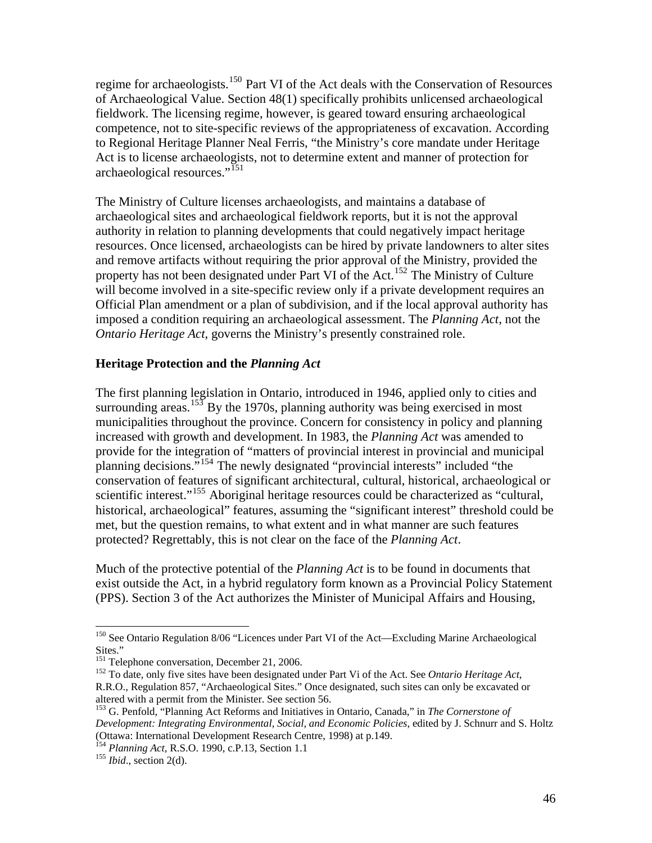regime for archaeologists.<sup>[150](#page-45-0)</sup> Part VI of the Act deals with the Conservation of Resources of Archaeological Value. Section 48(1) specifically prohibits unlicensed archaeological fieldwork. The licensing regime, however, is geared toward ensuring archaeological competence, not to site-specific reviews of the appropriateness of excavation. According to Regional Heritage Planner Neal Ferris, "the Ministry's core mandate under Heritage Act is to license archaeologists, not to determine extent and manner of protection for archaeological resources."[151](#page-45-1)

The Ministry of Culture licenses archaeologists, and maintains a database of archaeological sites and archaeological fieldwork reports, but it is not the approval authority in relation to planning developments that could negatively impact heritage resources. Once licensed, archaeologists can be hired by private landowners to alter sites and remove artifacts without requiring the prior approval of the Ministry, provided the property has not been designated under Part VI of the Act.<sup>[152](#page-45-2)</sup> The Ministry of Culture will become involved in a site-specific review only if a private development requires an Official Plan amendment or a plan of subdivision, and if the local approval authority has imposed a condition requiring an archaeological assessment. The *Planning Act*, not the *Ontario Heritage Act*, governs the Ministry's presently constrained role.

## **Heritage Protection and the** *Planning Act*

The first planning legislation in Ontario, introduced in 1946, applied only to cities and surrounding areas.<sup>[153](#page-45-3)</sup> By the 1970s, planning authority was being exercised in most municipalities throughout the province. Concern for consistency in policy and planning increased with growth and development. In 1983, the *Planning Act* was amended to provide for the integration of "matters of provincial interest in provincial and municipal planning decisions."[154](#page-45-4) The newly designated "provincial interests" included "the conservation of features of significant architectural, cultural, historical, archaeological or scientific interest."<sup>[155](#page-45-5)</sup> Aboriginal heritage resources could be characterized as "cultural, historical, archaeological" features, assuming the "significant interest" threshold could be met, but the question remains, to what extent and in what manner are such features protected? Regrettably, this is not clear on the face of the *Planning Act*.

Much of the protective potential of the *Planning Act* is to be found in documents that exist outside the Act, in a hybrid regulatory form known as a Provincial Policy Statement (PPS). Section 3 of the Act authorizes the Minister of Municipal Affairs and Housing,

<span id="page-45-0"></span><sup>&</sup>lt;sup>150</sup> See Ontario Regulation 8/06 "Licences under Part VI of the Act—Excluding Marine Archaeological Sites."<br><sup>151</sup> Telephone conversation, December 21, 2006.

<span id="page-45-2"></span><span id="page-45-1"></span><sup>&</sup>lt;sup>152</sup> To date, only five sites have been designated under Part Vi of the Act. See *Ontario Heritage Act*, R.R.O., Regulation 857, "Archaeological Sites." Once designated, such sites can only be excavated or altered with a permit from the Minister. See section 56.

<span id="page-45-3"></span><sup>153</sup> G. Penfold, "Planning Act Reforms and Initiatives in Ontario, Canada," in *The Cornerstone of Development: Integrating Environmental, Social, and Economic Policies*, edited by J. Schnurr and S. Holtz (Ottawa: International Development Research Centre, 1998) at p.149.

<span id="page-45-5"></span><span id="page-45-4"></span><sup>&</sup>lt;sup>154</sup> *Planning Act*, R.S.O. 1990, c.P.13, Section 1.1 <sup>155</sup> *Ibid.*, section 2(d).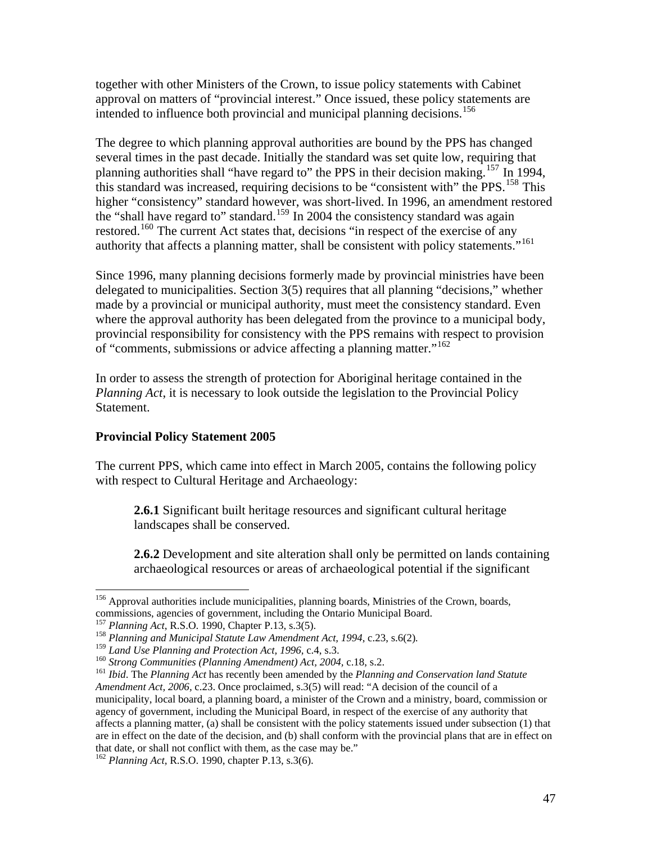together with other Ministers of the Crown, to issue policy statements with Cabinet approval on matters of "provincial interest." Once issued, these policy statements are intended to influence both provincial and municipal planning decisions.<sup>[156](#page-46-0)</sup>

The degree to which planning approval authorities are bound by the PPS has changed several times in the past decade. Initially the standard was set quite low, requiring that planning authorities shall "have regard to" the PPS in their decision making.<sup>[157](#page-46-1)</sup> In 1994, this standard was increased, requiring decisions to be "consistent with" the PPS.<sup>[158](#page-46-2)</sup> This higher "consistency" standard however, was short-lived. In 1996, an amendment restored the "shall have regard to" standard.<sup>[159](#page-46-3)</sup> In 2004 the consistency standard was again restored.<sup>[160](#page-46-4)</sup> The current Act states that, decisions "in respect of the exercise of any authority that affects a planning matter, shall be consistent with policy statements."<sup>[161](#page-46-5)</sup>

Since 1996, many planning decisions formerly made by provincial ministries have been delegated to municipalities. Section 3(5) requires that all planning "decisions," whether made by a provincial or municipal authority, must meet the consistency standard. Even where the approval authority has been delegated from the province to a municipal body, provincial responsibility for consistency with the PPS remains with respect to provision of "comments, submissions or advice affecting a planning matter."<sup>[162](#page-46-6)</sup>

In order to assess the strength of protection for Aboriginal heritage contained in the *Planning Act*, it is necessary to look outside the legislation to the Provincial Policy Statement.

## **Provincial Policy Statement 2005**

The current PPS, which came into effect in March 2005, contains the following policy with respect to Cultural Heritage and Archaeology:

**2.6.1** Significant built heritage resources and significant cultural heritage landscapes shall be conserved.

**2.6.2** Development and site alteration shall only be permitted on lands containing archaeological resources or areas of archaeological potential if the significant

<span id="page-46-0"></span><sup>&</sup>lt;sup>156</sup> Approval authorities include municipalities, planning boards, Ministries of the Crown, boards, commissions, agencies of government, including the Ontario Municipal Board.<br><sup>157</sup> Planning Act, R.S.O. 1990, Chapter P.13, s.3(5).

<span id="page-46-5"></span><span id="page-46-4"></span>

<span id="page-46-3"></span><span id="page-46-2"></span><span id="page-46-1"></span><sup>&</sup>lt;sup>158</sup> Planning and Municipal Statute Law Amendment Act, 1994, c.23, s.6(2).<br><sup>159</sup> Land Use Planning and Protection Act, 1996, c.4, s.3.<br><sup>159</sup> Land Use Planning and Protection Act, 1996, c.4, s.3.<br><sup>160</sup> Strong Communities *Amendment Act, 2006,* c.23. Once proclaimed, s.3(5) will read: "A decision of the council of a municipality, local board, a planning board, a minister of the Crown and a ministry, board, commission or agency of government, including the Municipal Board, in respect of the exercise of any authority that affects a planning matter, (a) shall be consistent with the policy statements issued under subsection (1) that are in effect on the date of the decision, and (b) shall conform with the provincial plans that are in effect on that date, or shall not conflict with them, as the case may be."

<span id="page-46-6"></span><sup>162</sup> *Planning Act,* R.S.O. 1990, chapter P.13, s.3(6).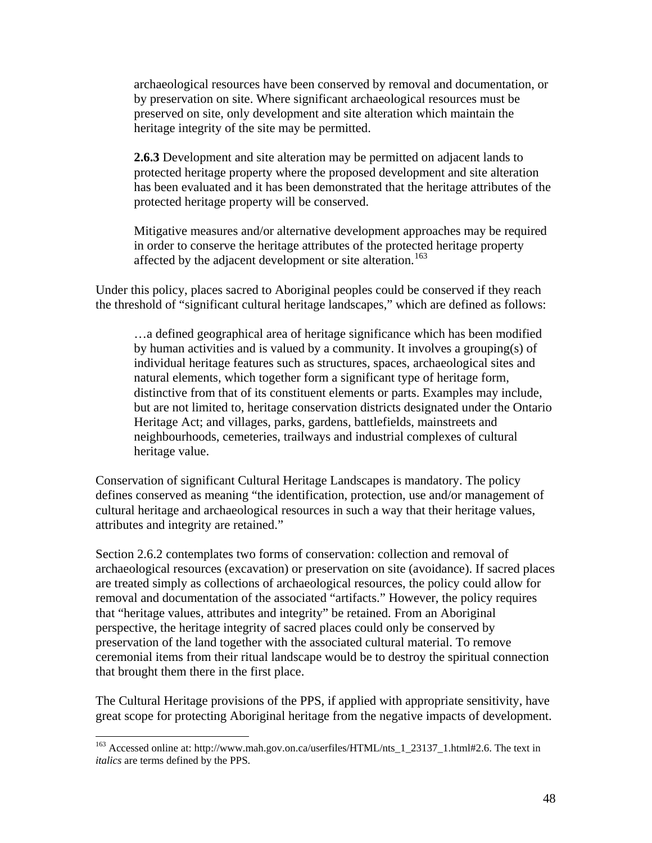archaeological resources have been conserved by removal and documentation, or by preservation on site. Where significant archaeological resources must be preserved on site, only development and site alteration which maintain the heritage integrity of the site may be permitted.

**2.6.3** Development and site alteration may be permitted on adjacent lands to protected heritage property where the proposed development and site alteration has been evaluated and it has been demonstrated that the heritage attributes of the protected heritage property will be conserved.

Mitigative measures and/or alternative development approaches may be required in order to conserve the heritage attributes of the protected heritage property affected by the adjacent development or site alteration.<sup>[163](#page-47-0)</sup>

Under this policy, places sacred to Aboriginal peoples could be conserved if they reach the threshold of "significant cultural heritage landscapes," which are defined as follows:

…a defined geographical area of heritage significance which has been modified by human activities and is valued by a community. It involves a grouping(s) of individual heritage features such as structures, spaces, archaeological sites and natural elements, which together form a significant type of heritage form, distinctive from that of its constituent elements or parts. Examples may include, but are not limited to, heritage conservation districts designated under the Ontario Heritage Act; and villages, parks, gardens, battlefields, mainstreets and neighbourhoods, cemeteries, trailways and industrial complexes of cultural heritage value.

Conservation of significant Cultural Heritage Landscapes is mandatory. The policy defines conserved as meaning "the identification, protection, use and/or management of cultural heritage and archaeological resources in such a way that their heritage values, attributes and integrity are retained."

Section 2.6.2 contemplates two forms of conservation: collection and removal of archaeological resources (excavation) or preservation on site (avoidance). If sacred places are treated simply as collections of archaeological resources, the policy could allow for removal and documentation of the associated "artifacts." However, the policy requires that "heritage values, attributes and integrity" be retained. From an Aboriginal perspective, the heritage integrity of sacred places could only be conserved by preservation of the land together with the associated cultural material. To remove ceremonial items from their ritual landscape would be to destroy the spiritual connection that brought them there in the first place.

The Cultural Heritage provisions of the PPS, if applied with appropriate sensitivity, have great scope for protecting Aboriginal heritage from the negative impacts of development.

<span id="page-47-0"></span><sup>&</sup>lt;sup>163</sup> Accessed online at: http://www.mah.gov.on.ca/userfiles/HTML/nts\_1\_23137\_1.html#2.6. The text in *italics* are terms defined by the PPS.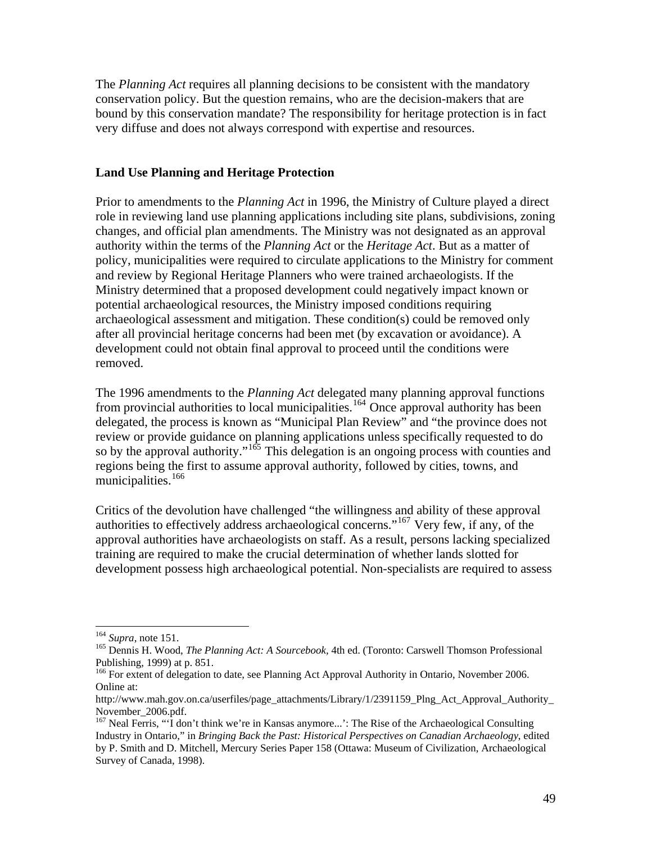The *Planning Act* requires all planning decisions to be consistent with the mandatory conservation policy. But the question remains, who are the decision-makers that are bound by this conservation mandate? The responsibility for heritage protection is in fact very diffuse and does not always correspond with expertise and resources.

#### **Land Use Planning and Heritage Protection**

Prior to amendments to the *Planning Act* in 1996, the Ministry of Culture played a direct role in reviewing land use planning applications including site plans, subdivisions, zoning changes, and official plan amendments. The Ministry was not designated as an approval authority within the terms of the *Planning Act* or the *Heritage Act*. But as a matter of policy, municipalities were required to circulate applications to the Ministry for comment and review by Regional Heritage Planners who were trained archaeologists. If the Ministry determined that a proposed development could negatively impact known or potential archaeological resources, the Ministry imposed conditions requiring archaeological assessment and mitigation. These condition(s) could be removed only after all provincial heritage concerns had been met (by excavation or avoidance). A development could not obtain final approval to proceed until the conditions were removed.

The 1996 amendments to the *Planning Act* delegated many planning approval functions from provincial authorities to local municipalities.<sup>[164](#page-48-0)</sup> Once approval authority has been delegated, the process is known as "Municipal Plan Review" and "the province does not review or provide guidance on planning applications unless specifically requested to do so by the approval authority."<sup>[165](#page-48-1)</sup> This delegation is an ongoing process with counties and regions being the first to assume approval authority, followed by cities, towns, and municipalities.<sup>[166](#page-48-2)</sup>

Critics of the devolution have challenged "the willingness and ability of these approval authorities to effectively address archaeological concerns."<sup>[167](#page-48-3)</sup> Very few, if any, of the approval authorities have archaeologists on staff. As a result, persons lacking specialized training are required to make the crucial determination of whether lands slotted for development possess high archaeological potential. Non-specialists are required to assess

<span id="page-48-0"></span> $164$  Supra, note 151.

<span id="page-48-1"></span><sup>&</sup>lt;sup>165</sup> Dennis H. Wood, *The Planning Act: A Sourcebook*, 4th ed. (Toronto: Carswell Thomson Professional Publishing, 1999) at p. 851.

<span id="page-48-2"></span><sup>&</sup>lt;sup>166</sup> For extent of delegation to date, see Planning Act Approval Authority in Ontario, November 2006. Online at:

http://www.mah.gov.on.ca/userfiles/page\_attachments/Library/1/2391159\_Plng\_Act\_Approval\_Authority\_ November\_2006.pdf.

<span id="page-48-3"></span><sup>&</sup>lt;sup>167</sup> Neal Ferris, "'I don't think we're in Kansas anymore...': The Rise of the Archaeological Consulting Industry in Ontario," in *Bringing Back the Past: Historical Perspectives on Canadian Archaeology*, edited by P. Smith and D. Mitchell, Mercury Series Paper 158 (Ottawa: Museum of Civilization, Archaeological Survey of Canada, 1998).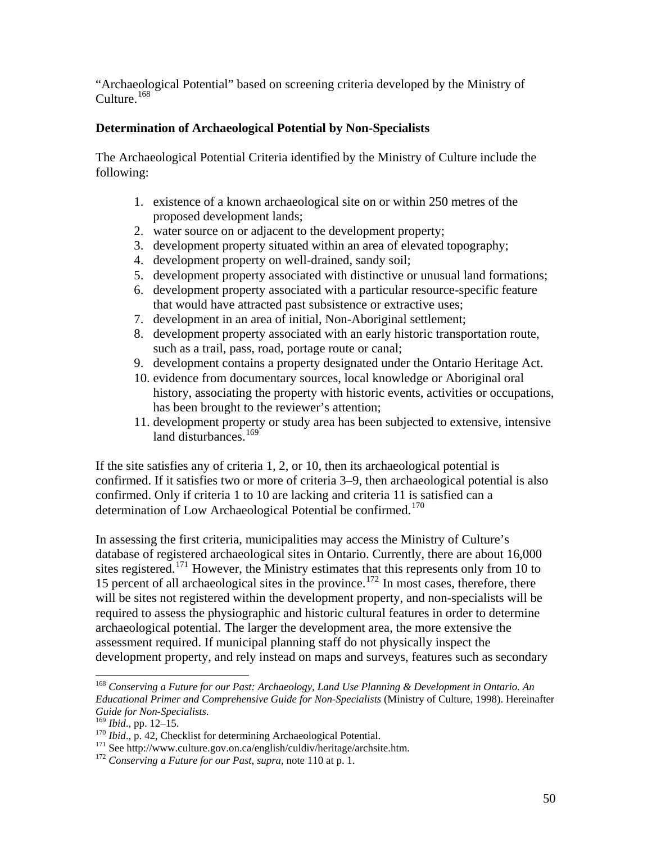"Archaeological Potential" based on screening criteria developed by the Ministry of Culture.<sup>[168](#page-49-0)</sup>

## **Determination of Archaeological Potential by Non-Specialists**

The Archaeological Potential Criteria identified by the Ministry of Culture include the following:

- 1. existence of a known archaeological site on or within 250 metres of the proposed development lands;
- 2. water source on or adjacent to the development property;
- 3. development property situated within an area of elevated topography;
- 4. development property on well-drained, sandy soil;
- 5. development property associated with distinctive or unusual land formations;
- 6. development property associated with a particular resource-specific feature that would have attracted past subsistence or extractive uses;
- 7. development in an area of initial, Non-Aboriginal settlement;
- 8. development property associated with an early historic transportation route, such as a trail, pass, road, portage route or canal;
- 9. development contains a property designated under the Ontario Heritage Act.
- 10. evidence from documentary sources, local knowledge or Aboriginal oral history, associating the property with historic events, activities or occupations, has been brought to the reviewer's attention;
- 11. development property or study area has been subjected to extensive, intensive land disturbances.<sup>[169](#page-49-1)</sup>

If the site satisfies any of criteria 1, 2, or 10, then its archaeological potential is confirmed. If it satisfies two or more of criteria 3–9, then archaeological potential is also confirmed. Only if criteria 1 to 10 are lacking and criteria 11 is satisfied can a determination of Low Archaeological Potential be confirmed.<sup>[170](#page-49-2)</sup>

In assessing the first criteria, municipalities may access the Ministry of Culture's database of registered archaeological sites in Ontario. Currently, there are about 16,000 sites registered.<sup>[171](#page-49-3)</sup> However, the Ministry estimates that this represents only from 10 to 15 percent of all archaeological sites in the province.<sup>[172](#page-49-4)</sup> In most cases, therefore, there will be sites not registered within the development property, and non-specialists will be required to assess the physiographic and historic cultural features in order to determine archaeological potential. The larger the development area, the more extensive the assessment required. If municipal planning staff do not physically inspect the development property, and rely instead on maps and surveys, features such as secondary

<span id="page-49-0"></span><sup>168</sup> *Conserving a Future for our Past: Archaeology, Land Use Planning & Development in Ontario. An Educational Primer and Comprehensive Guide for Non-Specialists* (Ministry of Culture, 1998). Hereinafter

<span id="page-49-3"></span><span id="page-49-2"></span><span id="page-49-1"></span><sup>&</sup>lt;sup>170</sup> *Ibid.*, p. 42, Checklist for determining Archaeological Potential.<br><sup>171</sup> See http://www.culture.gov.on.ca/english/culdiv/heritage/archsite.htm.<br><sup>172</sup> Conserving a Future for our Past, supra, note 110 at p. 1.

<span id="page-49-4"></span>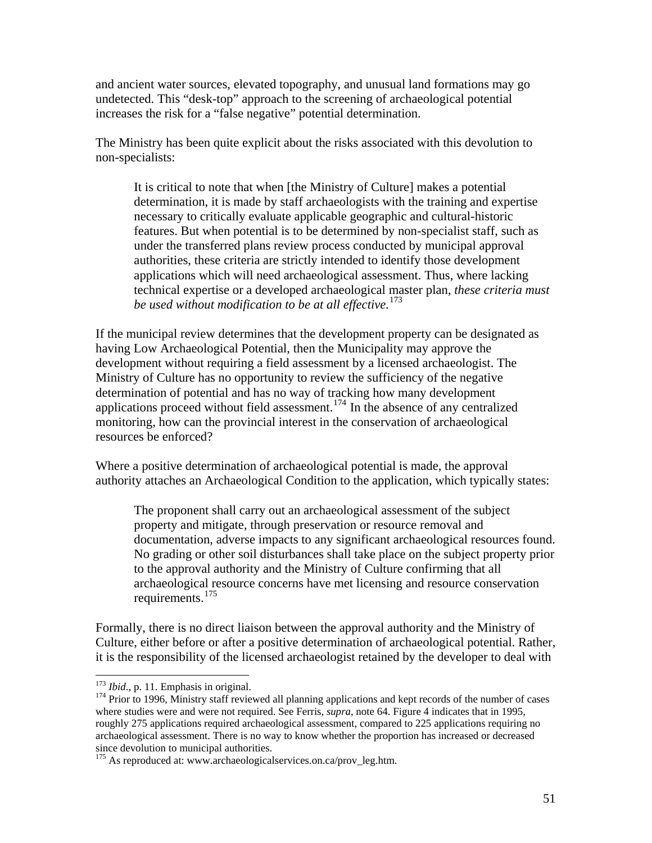and ancient water sources, elevated topography, and unusual land formations may go undetected. This "desk-top" approach to the screening of archaeological potential increases the risk for a "false negative" potential determination.

The Ministry has been quite explicit about the risks associated with this devolution to non-specialists:

It is critical to note that when [the Ministry of Culture] makes a potential determination, it is made by staff archaeologists with the training and expertise necessary to critically evaluate applicable geographic and cultural-historic features. But when potential is to be determined by non-specialist staff, such as under the transferred plans review process conducted by municipal approval authorities, these criteria are strictly intended to identify those development applications which will need archaeological assessment. Thus, where lacking technical expertise or a developed archaeological master plan, *these criteria must be used without modification to be at all effective.*[173](#page-50-0)

If the municipal review determines that the development property can be designated as having Low Archaeological Potential, then the Municipality may approve the development without requiring a field assessment by a licensed archaeologist. The Ministry of Culture has no opportunity to review the sufficiency of the negative determination of potential and has no way of tracking how many development applications proceed without field assessment.[174](#page-50-1) In the absence of any centralized monitoring, how can the provincial interest in the conservation of archaeological resources be enforced?

Where a positive determination of archaeological potential is made, the approval authority attaches an Archaeological Condition to the application, which typically states:

The proponent shall carry out an archaeological assessment of the subject property and mitigate, through preservation or resource removal and documentation, adverse impacts to any significant archaeological resources found. No grading or other soil disturbances shall take place on the subject property prior to the approval authority and the Ministry of Culture confirming that all archaeological resource concerns have met licensing and resource conservation requirements.[175](#page-50-2)

Formally, there is no direct liaison between the approval authority and the Ministry of Culture, either before or after a positive determination of archaeological potential. Rather, it is the responsibility of the licensed archaeologist retained by the developer to deal with

<span id="page-50-0"></span><sup>&</sup>lt;sup>173</sup> Ibid., p. 11. Emphasis in original.

<span id="page-50-1"></span><sup>&</sup>lt;sup>174</sup> Prior to 1996, Ministry staff reviewed all planning applications and kept records of the number of cases where studies were and were not required. See Ferris, *supra*, note 64. Figure 4 indicates that in 1995, roughly 275 applications required archaeological assessment, compared to 225 applications requiring no archaeological assessment. There is no way to know whether the proportion has increased or decreased since devolution to municipal authorities.

<span id="page-50-2"></span><sup>&</sup>lt;sup>175</sup> As reproduced at: www.archaeologicalservices.on.ca/prov\_leg.htm.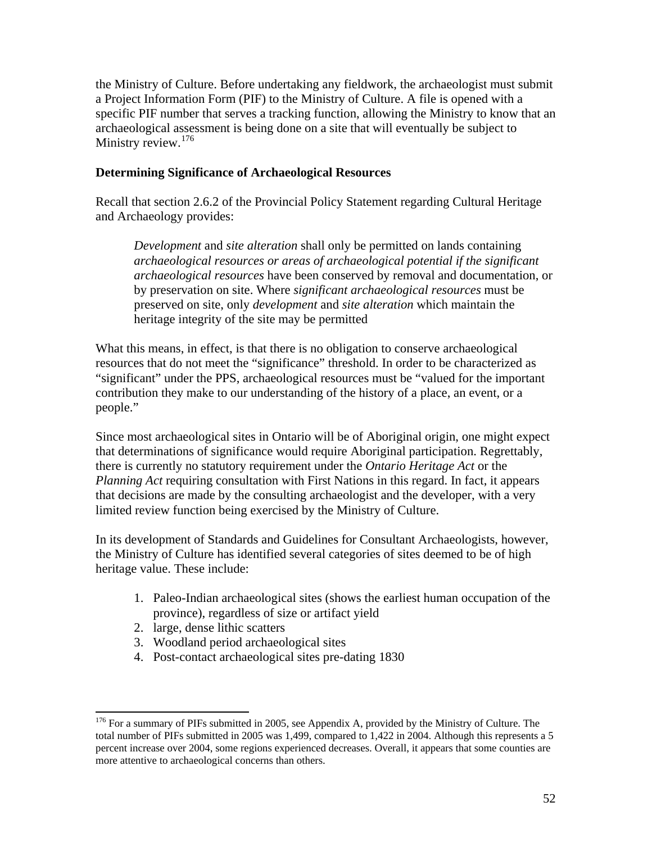the Ministry of Culture. Before undertaking any fieldwork, the archaeologist must submit a Project Information Form (PIF) to the Ministry of Culture. A file is opened with a specific PIF number that serves a tracking function, allowing the Ministry to know that an archaeological assessment is being done on a site that will eventually be subject to Ministry review.<sup>[176](#page-51-0)</sup>

## **Determining Significance of Archaeological Resources**

Recall that section 2.6.2 of the Provincial Policy Statement regarding Cultural Heritage and Archaeology provides:

*Development* and *site alteration* shall only be permitted on lands containing *archaeological resources or areas of archaeological potential if the significant archaeological resources* have been conserved by removal and documentation, or by preservation on site. Where *significant archaeological resources* must be preserved on site, only *development* and *site alteration* which maintain the heritage integrity of the site may be permitted

What this means, in effect, is that there is no obligation to conserve archaeological resources that do not meet the "significance" threshold. In order to be characterized as "significant" under the PPS, archaeological resources must be "valued for the important contribution they make to our understanding of the history of a place, an event, or a people."

Since most archaeological sites in Ontario will be of Aboriginal origin, one might expect that determinations of significance would require Aboriginal participation. Regrettably, there is currently no statutory requirement under the *Ontario Heritage Act* or the *Planning Act* requiring consultation with First Nations in this regard. In fact, it appears that decisions are made by the consulting archaeologist and the developer, with a very limited review function being exercised by the Ministry of Culture.

In its development of Standards and Guidelines for Consultant Archaeologists, however, the Ministry of Culture has identified several categories of sites deemed to be of high heritage value. These include:

- 1. Paleo-Indian archaeological sites (shows the earliest human occupation of the province), regardless of size or artifact yield
- 2. large, dense lithic scatters

- 3. Woodland period archaeological sites
- 4. Post-contact archaeological sites pre-dating 1830

<span id="page-51-0"></span><sup>&</sup>lt;sup>176</sup> For a summary of PIFs submitted in 2005, see Appendix A, provided by the Ministry of Culture. The total number of PIFs submitted in 2005 was 1,499, compared to 1,422 in 2004. Although this represents a 5 percent increase over 2004, some regions experienced decreases. Overall, it appears that some counties are more attentive to archaeological concerns than others.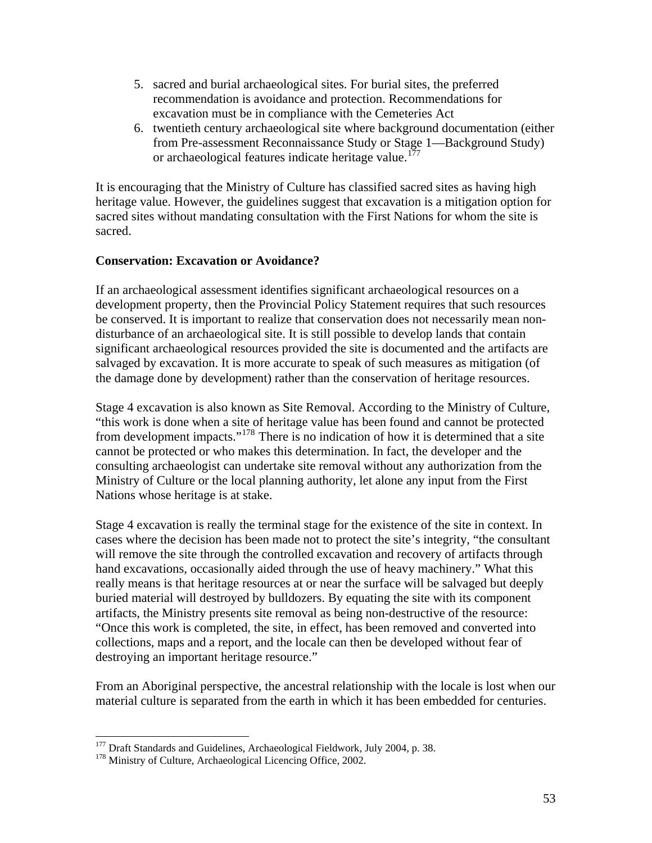- 5. sacred and burial archaeological sites. For burial sites, the preferred recommendation is avoidance and protection. Recommendations for excavation must be in compliance with the Cemeteries Act
- 6. twentieth century archaeological site where background documentation (either from Pre-assessment Reconnaissance Study or Stage 1—Background Study) or archaeological features indicate heritage value.<sup>[177](#page-52-0)</sup>

It is encouraging that the Ministry of Culture has classified sacred sites as having high heritage value. However, the guidelines suggest that excavation is a mitigation option for sacred sites without mandating consultation with the First Nations for whom the site is sacred.

## **Conservation: Excavation or Avoidance?**

If an archaeological assessment identifies significant archaeological resources on a development property, then the Provincial Policy Statement requires that such resources be conserved. It is important to realize that conservation does not necessarily mean nondisturbance of an archaeological site. It is still possible to develop lands that contain significant archaeological resources provided the site is documented and the artifacts are salvaged by excavation. It is more accurate to speak of such measures as mitigation (of the damage done by development) rather than the conservation of heritage resources.

Stage 4 excavation is also known as Site Removal. According to the Ministry of Culture, "this work is done when a site of heritage value has been found and cannot be protected from development impacts."[178](#page-52-1) There is no indication of how it is determined that a site cannot be protected or who makes this determination. In fact, the developer and the consulting archaeologist can undertake site removal without any authorization from the Ministry of Culture or the local planning authority, let alone any input from the First Nations whose heritage is at stake.

Stage 4 excavation is really the terminal stage for the existence of the site in context. In cases where the decision has been made not to protect the site's integrity, "the consultant will remove the site through the controlled excavation and recovery of artifacts through hand excavations, occasionally aided through the use of heavy machinery." What this really means is that heritage resources at or near the surface will be salvaged but deeply buried material will destroyed by bulldozers. By equating the site with its component artifacts, the Ministry presents site removal as being non-destructive of the resource: "Once this work is completed, the site, in effect, has been removed and converted into collections, maps and a report, and the locale can then be developed without fear of destroying an important heritage resource."

From an Aboriginal perspective, the ancestral relationship with the locale is lost when our material culture is separated from the earth in which it has been embedded for centuries.

<span id="page-52-1"></span><span id="page-52-0"></span><sup>&</sup>lt;sup>177</sup> Draft Standards and Guidelines, Archaeological Fieldwork, July 2004, p. 38. <sup>178</sup> Ministry of Culture, Archaeological Licencing Office, 2002.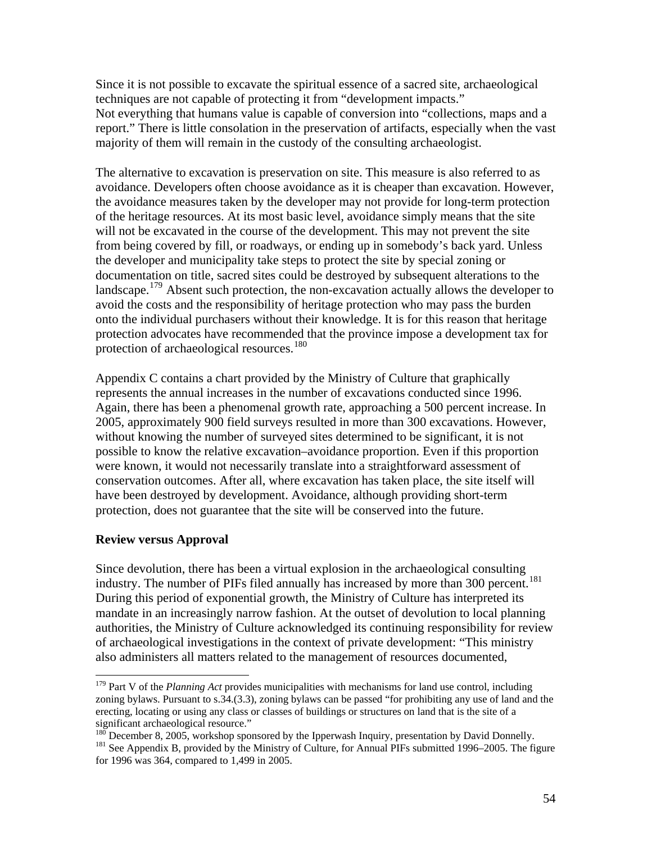Since it is not possible to excavate the spiritual essence of a sacred site, archaeological techniques are not capable of protecting it from "development impacts." Not everything that humans value is capable of conversion into "collections, maps and a report." There is little consolation in the preservation of artifacts, especially when the vast majority of them will remain in the custody of the consulting archaeologist.

The alternative to excavation is preservation on site. This measure is also referred to as avoidance. Developers often choose avoidance as it is cheaper than excavation. However, the avoidance measures taken by the developer may not provide for long-term protection of the heritage resources. At its most basic level, avoidance simply means that the site will not be excavated in the course of the development. This may not prevent the site from being covered by fill, or roadways, or ending up in somebody's back yard. Unless the developer and municipality take steps to protect the site by special zoning or documentation on title, sacred sites could be destroyed by subsequent alterations to the landscape.<sup>[179](#page-53-0)</sup> Absent such protection, the non-excavation actually allows the developer to avoid the costs and the responsibility of heritage protection who may pass the burden onto the individual purchasers without their knowledge. It is for this reason that heritage protection advocates have recommended that the province impose a development tax for protection of archaeological resources.<sup>[180](#page-53-1)</sup>

Appendix C contains a chart provided by the Ministry of Culture that graphically represents the annual increases in the number of excavations conducted since 1996. Again, there has been a phenomenal growth rate, approaching a 500 percent increase. In 2005, approximately 900 field surveys resulted in more than 300 excavations. However, without knowing the number of surveyed sites determined to be significant, it is not possible to know the relative excavation–avoidance proportion. Even if this proportion were known, it would not necessarily translate into a straightforward assessment of conservation outcomes. After all, where excavation has taken place, the site itself will have been destroyed by development. Avoidance, although providing short-term protection, does not guarantee that the site will be conserved into the future.

#### **Review versus Approval**

Since devolution, there has been a virtual explosion in the archaeological consulting industry. The number of PIFs filed annually has increased by more than 300 percent.<sup>[181](#page-53-2)</sup> During this period of exponential growth, the Ministry of Culture has interpreted its mandate in an increasingly narrow fashion. At the outset of devolution to local planning authorities, the Ministry of Culture acknowledged its continuing responsibility for review of archaeological investigations in the context of private development: "This ministry also administers all matters related to the management of resources documented,

<span id="page-53-0"></span><sup>&</sup>lt;sup>179</sup> Part V of the *Planning Act* provides municipalities with mechanisms for land use control, including zoning bylaws. Pursuant to s.34.(3.3), zoning bylaws can be passed "for prohibiting any use of land and the erecting, locating or using any class or classes of buildings or structures on land that is the site of a significant archaeological resource."<br><sup>180</sup> December 8, 2005, workshop sponsored by the Ipperwash Inquiry, presentation by David Donnelly.

<span id="page-53-2"></span><span id="page-53-1"></span><sup>&</sup>lt;sup>181</sup> See Appendix B, provided by the Ministry of Culture, for Annual PIFs submitted 1996–2005. The figure for 1996 was 364, compared to 1,499 in 2005.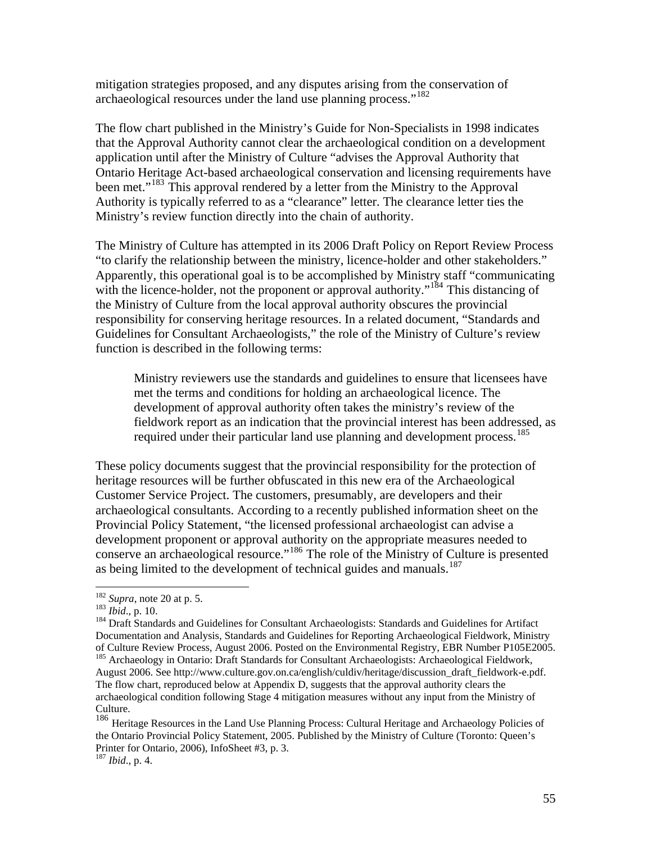mitigation strategies proposed, and any disputes arising from the conservation of archaeological resources under the land use planning process."[182](#page-54-0)

The flow chart published in the Ministry's Guide for Non-Specialists in 1998 indicates that the Approval Authority cannot clear the archaeological condition on a development application until after the Ministry of Culture "advises the Approval Authority that Ontario Heritage Act-based archaeological conservation and licensing requirements have been met."<sup>[183](#page-54-1)</sup> This approval rendered by a letter from the Ministry to the Approval Authority is typically referred to as a "clearance" letter. The clearance letter ties the Ministry's review function directly into the chain of authority.

The Ministry of Culture has attempted in its 2006 Draft Policy on Report Review Process "to clarify the relationship between the ministry, licence-holder and other stakeholders." Apparently, this operational goal is to be accomplished by Ministry staff "communicating with the licence-holder, not the proponent or approval authority."<sup>[184](#page-54-2)</sup> This distancing of the Ministry of Culture from the local approval authority obscures the provincial responsibility for conserving heritage resources. In a related document, "Standards and Guidelines for Consultant Archaeologists," the role of the Ministry of Culture's review function is described in the following terms:

Ministry reviewers use the standards and guidelines to ensure that licensees have met the terms and conditions for holding an archaeological licence. The development of approval authority often takes the ministry's review of the fieldwork report as an indication that the provincial interest has been addressed, as required under their particular land use planning and development process.<sup>[185](#page-54-3)</sup>

These policy documents suggest that the provincial responsibility for the protection of heritage resources will be further obfuscated in this new era of the Archaeological Customer Service Project. The customers, presumably, are developers and their archaeological consultants. According to a recently published information sheet on the Provincial Policy Statement, "the licensed professional archaeologist can advise a development proponent or approval authority on the appropriate measures needed to conserve an archaeological resource."[186](#page-54-4) The role of the Ministry of Culture is presented as being limited to the development of technical guides and manuals.<sup>[187](#page-54-5)</sup>

<span id="page-54-3"></span>August 2006. See http://www.culture.gov.on.ca/english/culdiv/heritage/discussion\_draft\_fieldwork-e.pdf. The flow chart, reproduced below at Appendix D, suggests that the approval authority clears the archaeological condition following Stage 4 mitigation measures without any input from the Ministry of Culture.

<span id="page-54-4"></span><sup>186</sup> Heritage Resources in the Land Use Planning Process: Cultural Heritage and Archaeology Policies of the Ontario Provincial Policy Statement, 2005. Published by the Ministry of Culture (Toronto: Queen's Printer for Ontario, 2006), InfoSheet #3, p. 3.

<span id="page-54-0"></span> $182$  Supra, note 20 at p. 5.

<span id="page-54-2"></span><span id="page-54-1"></span><sup>183</sup> *Ibid.*, p. 10.<br><sup>184</sup> Draft Standards and Guidelines for Consultant Archaeologists: Standards and Guidelines for Artifact Documentation and Analysis, Standards and Guidelines for Reporting Archaeological Fieldwork, Ministry of Culture Review Process, August 2006. Posted on the Environmental Registry, EBR Number P105E2005. <sup>185</sup> Archaeology in Ontario: Draft Standards for Consultant Archaeologists: Archaeological Fieldwork,

<span id="page-54-5"></span><sup>187</sup> *Ibid*., p. 4.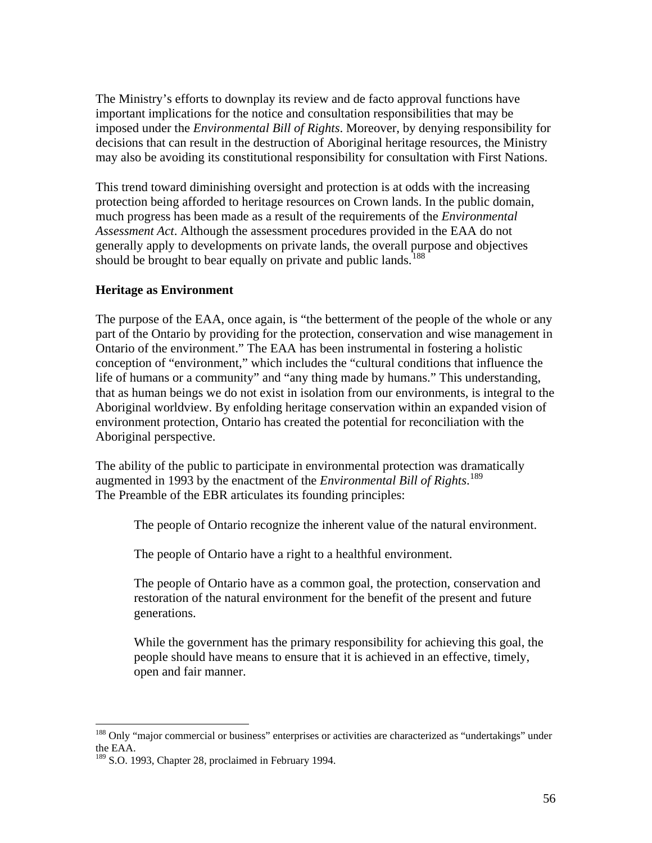The Ministry's efforts to downplay its review and de facto approval functions have important implications for the notice and consultation responsibilities that may be imposed under the *Environmental Bill of Rights*. Moreover, by denying responsibility for decisions that can result in the destruction of Aboriginal heritage resources, the Ministry may also be avoiding its constitutional responsibility for consultation with First Nations.

This trend toward diminishing oversight and protection is at odds with the increasing protection being afforded to heritage resources on Crown lands. In the public domain, much progress has been made as a result of the requirements of the *Environmental Assessment Act*. Although the assessment procedures provided in the EAA do not generally apply to developments on private lands, the overall purpose and objectives should be brought to bear equally on private and public lands.<sup>[188](#page-55-0)</sup>

#### **Heritage as Environment**

The purpose of the EAA, once again, is "the betterment of the people of the whole or any part of the Ontario by providing for the protection, conservation and wise management in Ontario of the environment." The EAA has been instrumental in fostering a holistic conception of "environment," which includes the "cultural conditions that influence the life of humans or a community" and "any thing made by humans." This understanding, that as human beings we do not exist in isolation from our environments, is integral to the Aboriginal worldview. By enfolding heritage conservation within an expanded vision of environment protection, Ontario has created the potential for reconciliation with the Aboriginal perspective.

The ability of the public to participate in environmental protection was dramatically augmented in 1993 by the enactment of the *Environmental Bill of Rights*. [189](#page-55-1) The Preamble of the EBR articulates its founding principles:

The people of Ontario recognize the inherent value of the natural environment.

The people of Ontario have a right to a healthful environment.

The people of Ontario have as a common goal, the protection, conservation and restoration of the natural environment for the benefit of the present and future generations.

While the government has the primary responsibility for achieving this goal, the people should have means to ensure that it is achieved in an effective, timely, open and fair manner.

<span id="page-55-0"></span><sup>&</sup>lt;sup>188</sup> Only "major commercial or business" enterprises or activities are characterized as "undertakings" under the EAA.

<span id="page-55-1"></span><sup>&</sup>lt;sup>189</sup> S.O. 1993, Chapter 28, proclaimed in February 1994.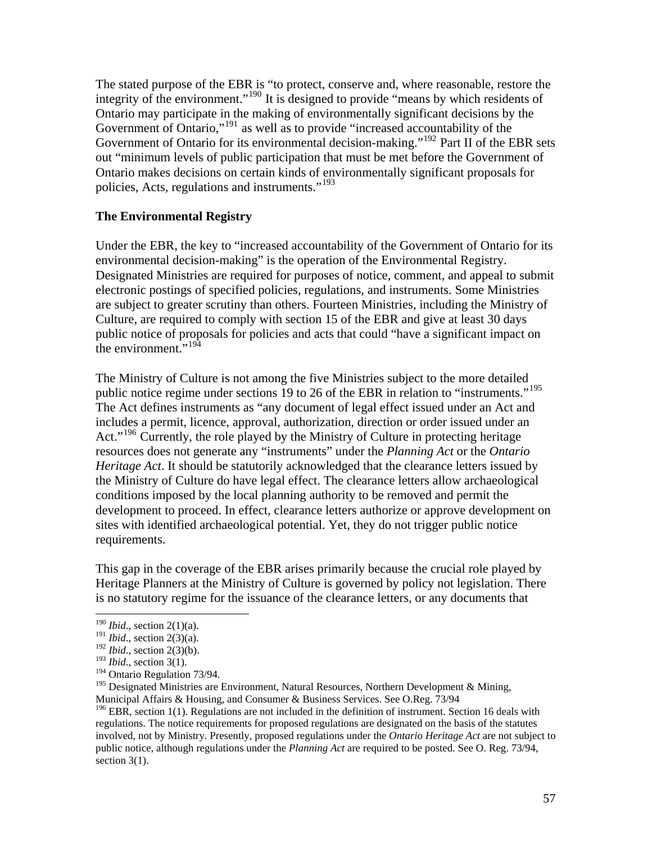The stated purpose of the EBR is "to protect, conserve and, where reasonable, restore the integrity of the environment."[190](#page-56-0) It is designed to provide "means by which residents of Ontario may participate in the making of environmentally significant decisions by the Government of Ontario,"[191](#page-56-1) as well as to provide "increased accountability of the Government of Ontario for its environmental decision-making."<sup>[192](#page-56-2)</sup> Part II of the EBR sets out "minimum levels of public participation that must be met before the Government of Ontario makes decisions on certain kinds of environmentally significant proposals for policies, Acts, regulations and instruments."<sup>[193](#page-56-3)</sup>

## **The Environmental Registry**

Under the EBR, the key to "increased accountability of the Government of Ontario for its environmental decision-making" is the operation of the Environmental Registry. Designated Ministries are required for purposes of notice, comment, and appeal to submit electronic postings of specified policies, regulations, and instruments. Some Ministries are subject to greater scrutiny than others. Fourteen Ministries, including the Ministry of Culture, are required to comply with section 15 of the EBR and give at least 30 days public notice of proposals for policies and acts that could "have a significant impact on the environment."<sup>[194](#page-56-4)</sup>

The Ministry of Culture is not among the five Ministries subject to the more detailed public notice regime under sections 19 to 26 of the EBR in relation to "instruments."<sup>[195](#page-56-5)</sup> The Act defines instruments as "any document of legal effect issued under an Act and includes a permit, licence, approval, authorization, direction or order issued under an Act."<sup>[196](#page-56-6)</sup> Currently, the role played by the Ministry of Culture in protecting heritage resources does not generate any "instruments" under the *Planning Act* or the *Ontario Heritage Act*. It should be statutorily acknowledged that the clearance letters issued by the Ministry of Culture do have legal effect. The clearance letters allow archaeological conditions imposed by the local planning authority to be removed and permit the development to proceed. In effect, clearance letters authorize or approve development on sites with identified archaeological potential. Yet, they do not trigger public notice requirements.

This gap in the coverage of the EBR arises primarily because the crucial role played by Heritage Planners at the Ministry of Culture is governed by policy not legislation. There is no statutory regime for the issuance of the clearance letters, or any documents that

<span id="page-56-5"></span><sup>195</sup> Designated Ministries are Environment, Natural Resources, Northern Development & Mining, Municipal Affairs & Housing, and Consumer & Business Services. See O.Reg. 73/94

<span id="page-56-6"></span> $196$  EBR, section 1(1). Regulations are not included in the definition of instrument. Section 16 deals with regulations. The notice requirements for proposed regulations are designated on the basis of the statutes involved, not by Ministry. Presently, proposed regulations under the *Ontario Heritage Act* are not subject to public notice, although regulations under the *Planning Act* are required to be posted. See O. Reg. 73/94, section  $3(1)$ .

<sup>190</sup> *Ibid*., section 2(1)(a).

<span id="page-56-1"></span><span id="page-56-0"></span><sup>191</sup> *Ibid*., section 2(3)(a).

<span id="page-56-2"></span><sup>&</sup>lt;sup>192</sup> *Ibid.*, section 2(3)(b).

<span id="page-56-3"></span><sup>&</sup>lt;sup>193</sup> *Ibid.*, section 3(1).

<span id="page-56-4"></span><sup>&</sup>lt;sup>194</sup> Ontario Regulation 73/94.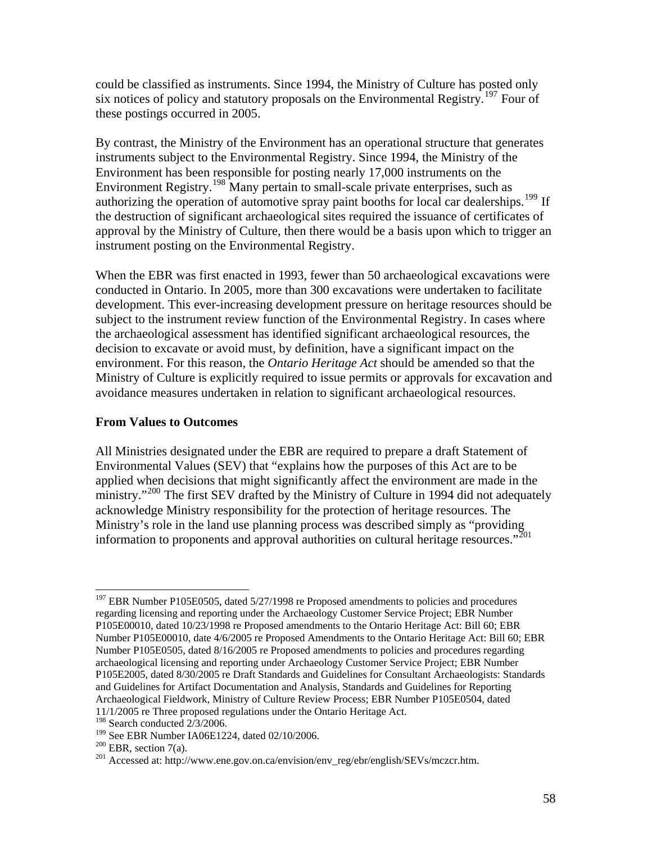could be classified as instruments. Since 1994, the Ministry of Culture has posted only six notices of policy and statutory proposals on the Environmental Registry.<sup>[197](#page-57-0)</sup> Four of these postings occurred in 2005.

By contrast, the Ministry of the Environment has an operational structure that generates instruments subject to the Environmental Registry. Since 1994, the Ministry of the Environment has been responsible for posting nearly 17,000 instruments on the Environment Registry.<sup>[198](#page-57-1)</sup> Many pertain to small-scale private enterprises, such as authorizing the operation of automotive spray paint booths for local car dealerships.<sup>[199](#page-57-2)</sup> If the destruction of significant archaeological sites required the issuance of certificates of approval by the Ministry of Culture, then there would be a basis upon which to trigger an instrument posting on the Environmental Registry.

When the EBR was first enacted in 1993, fewer than 50 archaeological excavations were conducted in Ontario. In 2005, more than 300 excavations were undertaken to facilitate development. This ever-increasing development pressure on heritage resources should be subject to the instrument review function of the Environmental Registry. In cases where the archaeological assessment has identified significant archaeological resources, the decision to excavate or avoid must, by definition, have a significant impact on the environment. For this reason, the *Ontario Heritage Act* should be amended so that the Ministry of Culture is explicitly required to issue permits or approvals for excavation and avoidance measures undertaken in relation to significant archaeological resources.

### **From Values to Outcomes**

All Ministries designated under the EBR are required to prepare a draft Statement of Environmental Values (SEV) that "explains how the purposes of this Act are to be applied when decisions that might significantly affect the environment are made in the ministry."<sup>[200](#page-57-3)</sup> The first SEV drafted by the Ministry of Culture in 1994 did not adequately acknowledge Ministry responsibility for the protection of heritage resources. The Ministry's role in the land use planning process was described simply as "providing information to proponents and approval authorities on cultural heritage resources."[201](#page-57-4)

<span id="page-57-0"></span> $197$  EBR Number P105E0505, dated 5/27/1998 re Proposed amendments to policies and procedures regarding licensing and reporting under the Archaeology Customer Service Project; EBR Number P105E00010, dated 10/23/1998 re Proposed amendments to the Ontario Heritage Act: Bill 60; EBR Number P105E00010, date 4/6/2005 re Proposed Amendments to the Ontario Heritage Act: Bill 60; EBR Number P105E0505, dated 8/16/2005 re Proposed amendments to policies and procedures regarding archaeological licensing and reporting under Archaeology Customer Service Project; EBR Number P105E2005, dated 8/30/2005 re Draft Standards and Guidelines for Consultant Archaeologists: Standards and Guidelines for Artifact Documentation and Analysis, Standards and Guidelines for Reporting Archaeological Fieldwork, Ministry of Culture Review Process; EBR Number P105E0504, dated 11/1/2005 re Three proposed regulations under the Ontario Heritage Act.

<span id="page-57-1"></span><sup>&</sup>lt;sup>198</sup> Search conducted  $2/3/2006$ .<br><sup>199</sup> See EBR Number IA06E1224, dated 02/10/2006.

<span id="page-57-4"></span><span id="page-57-3"></span><span id="page-57-2"></span><sup>&</sup>lt;sup>200</sup> EBR, section 7(a).<br><sup>201</sup> Accessed at: http://www.ene.gov.on.ca/envision/env\_reg/ebr/english/SEVs/mczcr.htm.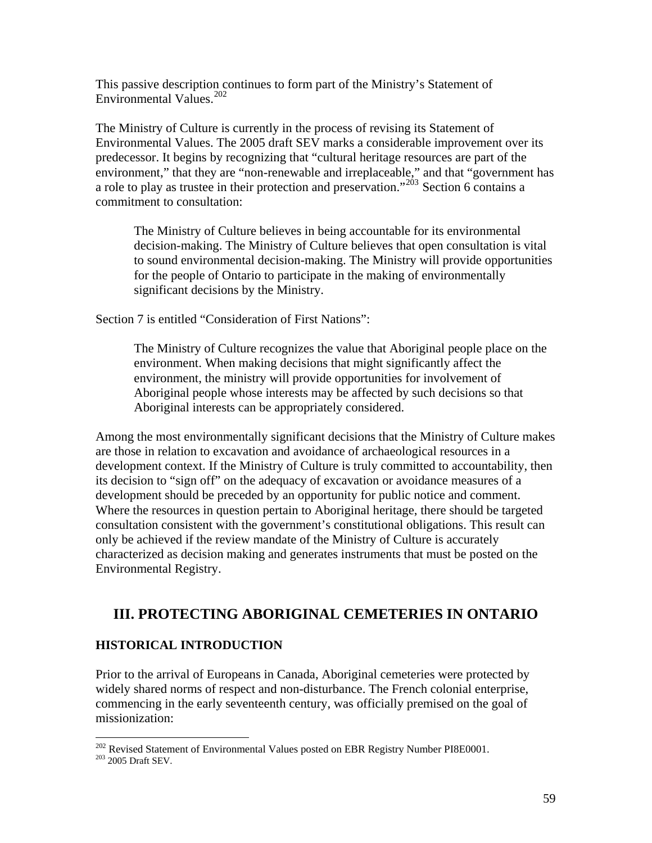This passive description continues to form part of the Ministry's Statement of Environmental Values.[202](#page-58-0)

The Ministry of Culture is currently in the process of revising its Statement of Environmental Values. The 2005 draft SEV marks a considerable improvement over its predecessor. It begins by recognizing that "cultural heritage resources are part of the environment," that they are "non-renewable and irreplaceable," and that "government has a role to play as trustee in their protection and preservation."<sup>[203](#page-58-1)</sup> Section 6 contains a commitment to consultation:

The Ministry of Culture believes in being accountable for its environmental decision-making. The Ministry of Culture believes that open consultation is vital to sound environmental decision-making. The Ministry will provide opportunities for the people of Ontario to participate in the making of environmentally significant decisions by the Ministry.

Section 7 is entitled "Consideration of First Nations":

The Ministry of Culture recognizes the value that Aboriginal people place on the environment. When making decisions that might significantly affect the environment, the ministry will provide opportunities for involvement of Aboriginal people whose interests may be affected by such decisions so that Aboriginal interests can be appropriately considered.

Among the most environmentally significant decisions that the Ministry of Culture makes are those in relation to excavation and avoidance of archaeological resources in a development context. If the Ministry of Culture is truly committed to accountability, then its decision to "sign off" on the adequacy of excavation or avoidance measures of a development should be preceded by an opportunity for public notice and comment. Where the resources in question pertain to Aboriginal heritage, there should be targeted consultation consistent with the government's constitutional obligations. This result can only be achieved if the review mandate of the Ministry of Culture is accurately characterized as decision making and generates instruments that must be posted on the Environmental Registry.

# **III. PROTECTING ABORIGINAL CEMETERIES IN ONTARIO**

## **HISTORICAL INTRODUCTION**

Prior to the arrival of Europeans in Canada, Aboriginal cemeteries were protected by widely shared norms of respect and non-disturbance. The French colonial enterprise, commencing in the early seventeenth century, was officially premised on the goal of missionization:

<span id="page-58-0"></span>  $^{202}$  Revised Statement of Environmental Values posted on EBR Registry Number PI8E0001.<br> $^{203}$  2005 Draft SEV.

<span id="page-58-1"></span>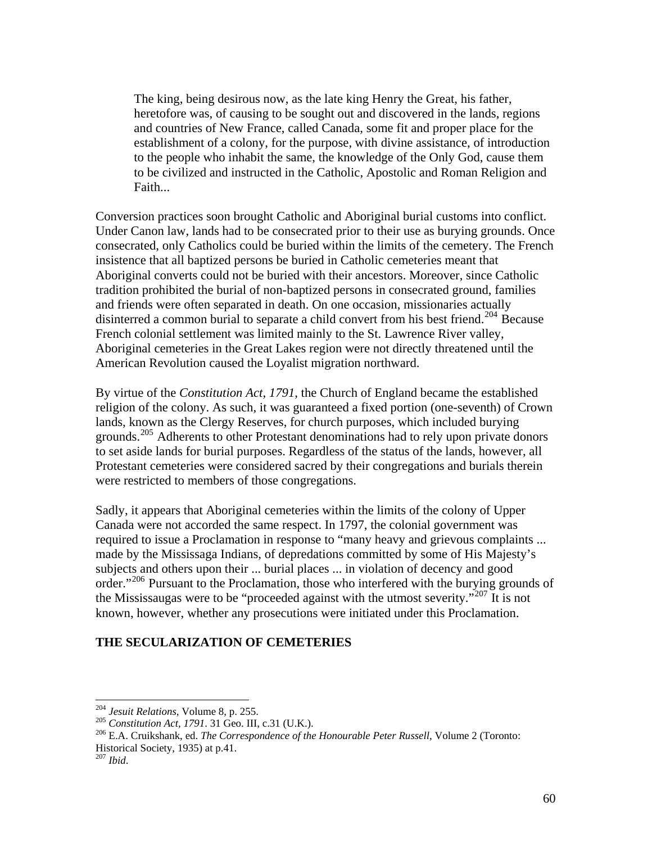The king, being desirous now, as the late king Henry the Great, his father, heretofore was, of causing to be sought out and discovered in the lands, regions and countries of New France, called Canada, some fit and proper place for the establishment of a colony, for the purpose, with divine assistance, of introduction to the people who inhabit the same, the knowledge of the Only God, cause them to be civilized and instructed in the Catholic, Apostolic and Roman Religion and Faith...

Conversion practices soon brought Catholic and Aboriginal burial customs into conflict. Under Canon law, lands had to be consecrated prior to their use as burying grounds. Once consecrated, only Catholics could be buried within the limits of the cemetery. The French insistence that all baptized persons be buried in Catholic cemeteries meant that Aboriginal converts could not be buried with their ancestors. Moreover, since Catholic tradition prohibited the burial of non-baptized persons in consecrated ground, families and friends were often separated in death. On one occasion, missionaries actually disinterred a common burial to separate a child convert from his best friend.<sup>[204](#page-59-0)</sup> Because French colonial settlement was limited mainly to the St. Lawrence River valley, Aboriginal cemeteries in the Great Lakes region were not directly threatened until the American Revolution caused the Loyalist migration northward.

By virtue of the *Constitution Act, 1791*, the Church of England became the established religion of the colony. As such, it was guaranteed a fixed portion (one-seventh) of Crown lands, known as the Clergy Reserves, for church purposes, which included burying grounds.<sup>[205](#page-59-1)</sup> Adherents to other Protestant denominations had to rely upon private donors to set aside lands for burial purposes. Regardless of the status of the lands, however, all Protestant cemeteries were considered sacred by their congregations and burials therein were restricted to members of those congregations.

Sadly, it appears that Aboriginal cemeteries within the limits of the colony of Upper Canada were not accorded the same respect. In 1797, the colonial government was required to issue a Proclamation in response to "many heavy and grievous complaints ... made by the Mississaga Indians, of depredations committed by some of His Majesty's subjects and others upon their ... burial places ... in violation of decency and good order."<sup>[206](#page-59-2)</sup> Pursuant to the Proclamation, those who interfered with the burying grounds of the Mississaugas were to be "proceeded against with the utmost severity."<sup>[207](#page-59-3)</sup> It is not known, however, whether any prosecutions were initiated under this Proclamation.

#### **THE SECULARIZATION OF CEMETERIES**

<span id="page-59-0"></span><sup>&</sup>lt;sup>204</sup> *Jesuit Relations*, Volume 8, p. 255.<br><sup>205</sup> *Constitution Act, 1791*. 31 Geo. III, c.31 (U.K.).

<span id="page-59-2"></span><span id="page-59-1"></span><sup>&</sup>lt;sup>206</sup> E.A. Cruikshank, ed. *The Correspondence of the Honourable Peter Russell*, Volume 2 (Toronto:

Historical Society, 1935) at p.41.

<span id="page-59-3"></span><sup>207</sup> *Ibid*.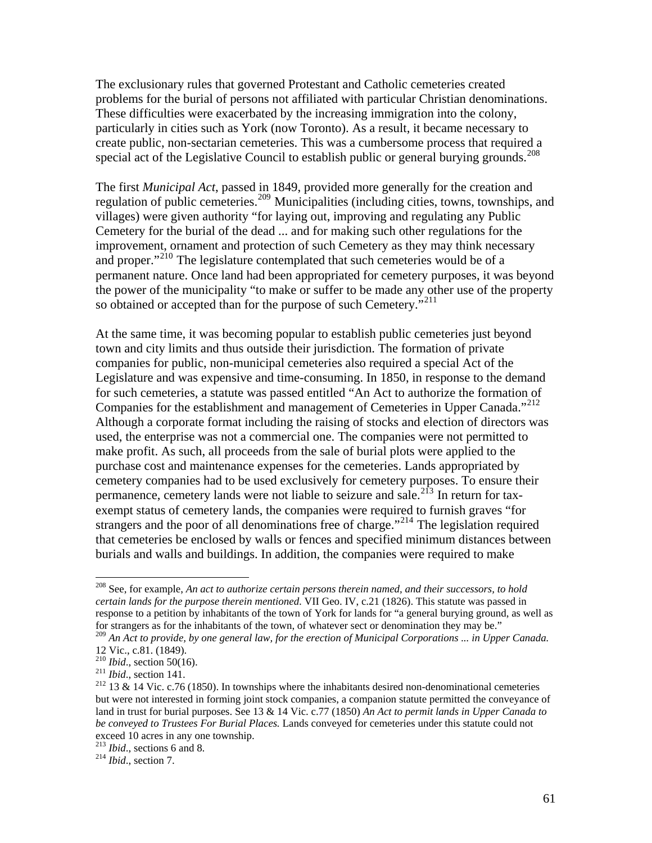The exclusionary rules that governed Protestant and Catholic cemeteries created problems for the burial of persons not affiliated with particular Christian denominations. These difficulties were exacerbated by the increasing immigration into the colony, particularly in cities such as York (now Toronto). As a result, it became necessary to create public, non-sectarian cemeteries. This was a cumbersome process that required a special act of the Legislative Council to establish public or general burying grounds.<sup>[208](#page-60-0)</sup>

The first *Municipal Act*, passed in 1849, provided more generally for the creation and regulation of public cemeteries.<sup>[209](#page-60-1)</sup> Municipalities (including cities, towns, townships, and villages) were given authority "for laying out, improving and regulating any Public Cemetery for the burial of the dead ... and for making such other regulations for the improvement, ornament and protection of such Cemetery as they may think necessary and proper."<sup>[210](#page-60-2)</sup> The legislature contemplated that such cemeteries would be of a permanent nature. Once land had been appropriated for cemetery purposes, it was beyond the power of the municipality "to make or suffer to be made any other use of the property so obtained or accepted than for the purpose of such Cemetery."<sup>[211](#page-60-3)</sup>

At the same time, it was becoming popular to establish public cemeteries just beyond town and city limits and thus outside their jurisdiction. The formation of private companies for public, non-municipal cemeteries also required a special Act of the Legislature and was expensive and time-consuming. In 1850, in response to the demand for such cemeteries, a statute was passed entitled "An Act to authorize the formation of Companies for the establishment and management of Cemeteries in Upper Canada."<sup>[212](#page-60-4)</sup> Although a corporate format including the raising of stocks and election of directors was used, the enterprise was not a commercial one. The companies were not permitted to make profit. As such, all proceeds from the sale of burial plots were applied to the purchase cost and maintenance expenses for the cemeteries. Lands appropriated by cemetery companies had to be used exclusively for cemetery purposes. To ensure their permanence, cemetery lands were not liable to seizure and sale.<sup>[213](#page-60-5)</sup> In return for taxexempt status of cemetery lands, the companies were required to furnish graves "for strangers and the poor of all denominations free of charge."<sup>[214](#page-60-6)</sup> The legislation required that cemeteries be enclosed by walls or fences and specified minimum distances between burials and walls and buildings. In addition, the companies were required to make

<span id="page-60-0"></span><sup>208</sup> See, for example, *An act to authorize certain persons therein named, and their successors, to hold certain lands for the purpose therein mentioned*. VII Geo. IV, c.21 (1826). This statute was passed in response to a petition by inhabitants of the town of York for lands for "a general burying ground, as well as for strangers as for the inhabitants of the town, of whatever sect or denomination they may be."

<span id="page-60-1"></span><sup>209</sup> *An Act to provide, by one general law, for the erection of Municipal Corporations ... in Upper Canada.*  12 Vic., c.81. (1849).<br><sup>210</sup> *Ibid.*, section 50(16).

<span id="page-60-4"></span><span id="page-60-3"></span><span id="page-60-2"></span><sup>&</sup>lt;sup>211</sup> *Ibid.*, section 141. <sup>212</sup> 13 & 14 Vic. c.76 (1850). In townships where the inhabitants desired non-denominational cemeteries but were not interested in forming joint stock companies, a companion statute permitted the conveyance of land in trust for burial purposes. See 13 & 14 Vic. c.77 (1850) *An Act to permit lands in Upper Canada to be conveyed to Trustees For Burial Places.* Lands conveyed for cemeteries under this statute could not exceed 10 acres in any one township.

<span id="page-60-6"></span><span id="page-60-5"></span><sup>&</sup>lt;sup>213</sup> *Ibid.*, sections 6 and 8.<br><sup>214</sup> *Ibid.*, section 7.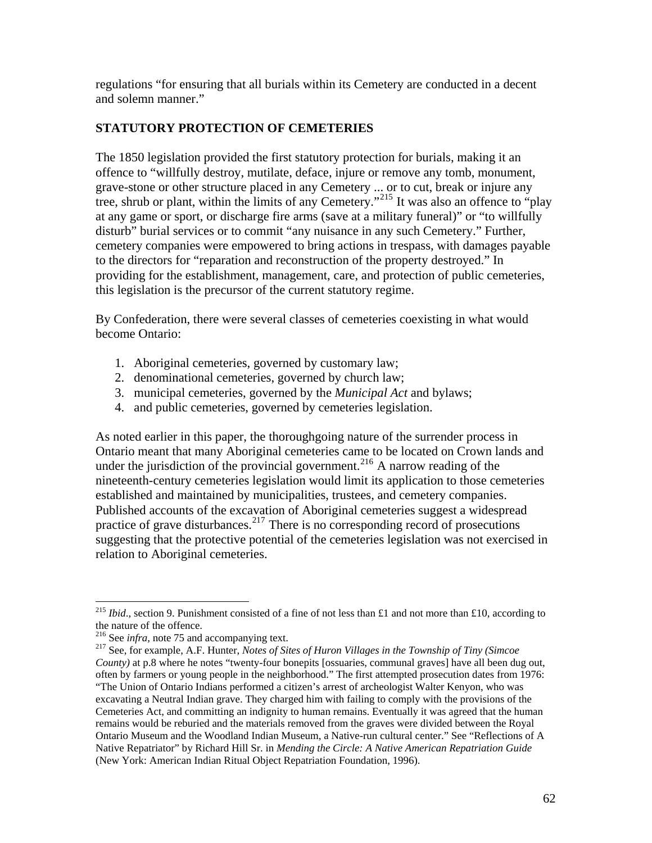regulations "for ensuring that all burials within its Cemetery are conducted in a decent and solemn manner."

## **STATUTORY PROTECTION OF CEMETERIES**

The 1850 legislation provided the first statutory protection for burials, making it an offence to "willfully destroy, mutilate, deface, injure or remove any tomb, monument, grave-stone or other structure placed in any Cemetery ... or to cut, break or injure any tree, shrub or plant, within the limits of any Cemetery."<sup>[215](#page-61-0)</sup> It was also an offence to "play" at any game or sport, or discharge fire arms (save at a military funeral)" or "to willfully disturb" burial services or to commit "any nuisance in any such Cemetery." Further, cemetery companies were empowered to bring actions in trespass, with damages payable to the directors for "reparation and reconstruction of the property destroyed." In providing for the establishment, management, care, and protection of public cemeteries, this legislation is the precursor of the current statutory regime.

By Confederation, there were several classes of cemeteries coexisting in what would become Ontario:

- 1. Aboriginal cemeteries, governed by customary law;
- 2. denominational cemeteries, governed by church law;
- 3. municipal cemeteries, governed by the *Municipal Act* and bylaws;
- 4. and public cemeteries, governed by cemeteries legislation.

As noted earlier in this paper, the thoroughgoing nature of the surrender process in Ontario meant that many Aboriginal cemeteries came to be located on Crown lands and under the jurisdiction of the provincial government.<sup>[216](#page-61-1)</sup> A narrow reading of the nineteenth-century cemeteries legislation would limit its application to those cemeteries established and maintained by municipalities, trustees, and cemetery companies. Published accounts of the excavation of Aboriginal cemeteries suggest a widespread practice of grave disturbances.<sup>[217](#page-61-2)</sup> There is no corresponding record of prosecutions suggesting that the protective potential of the cemeteries legislation was not exercised in relation to Aboriginal cemeteries.

<span id="page-61-0"></span> <sup>215</sup> *Ibid.*, section 9. Punishment consisted of a fine of not less than £1 and not more than £10, according to the nature of the offence.<br><sup>216</sup> See *infra*, note 75 and accompanying text.

<span id="page-61-1"></span>

<span id="page-61-2"></span><sup>&</sup>lt;sup>217</sup> See, for example, A.F. Hunter, *Notes of Sites of Huron Villages in the Township of Tiny (Simcoe County)* at p.8 where he notes "twenty-four bonepits [ossuaries, communal graves] have all been dug out, often by farmers or young people in the neighborhood." The first attempted prosecution dates from 1976: "The Union of Ontario Indians performed a citizen's arrest of archeologist Walter Kenyon, who was excavating a Neutral Indian grave. They charged him with failing to comply with the provisions of the Cemeteries Act, and committing an indignity to human remains. Eventually it was agreed that the human remains would be reburied and the materials removed from the graves were divided between the Royal Ontario Museum and the Woodland Indian Museum, a Native-run cultural center." See "Reflections of A Native Repatriator" by Richard Hill Sr. in *Mending the Circle: A Native American Repatriation Guide* (New York: American Indian Ritual Object Repatriation Foundation, 1996).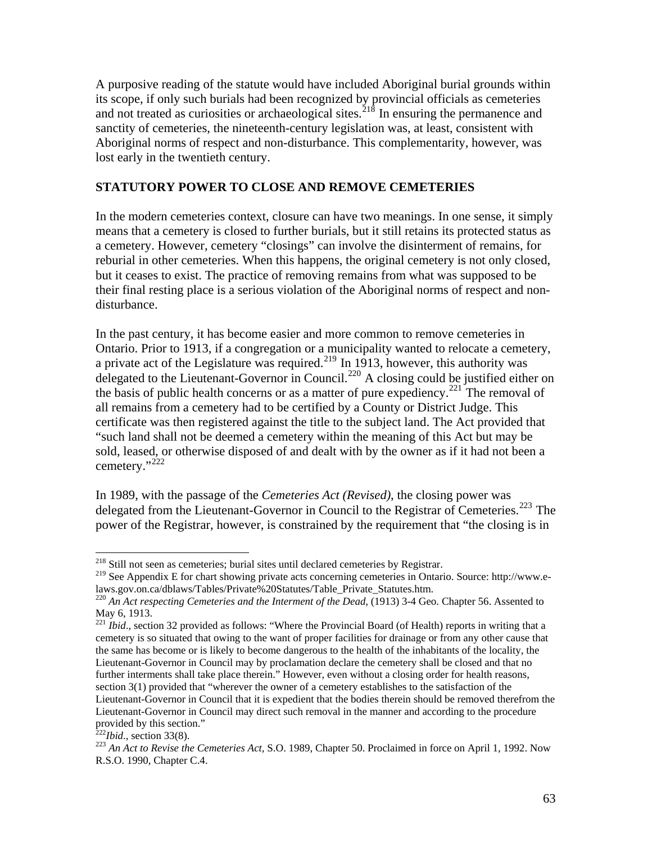A purposive reading of the statute would have included Aboriginal burial grounds within its scope, if only such burials had been recognized by provincial officials as cemeteries and not treated as curiosities or archaeological sites.<sup>[218](#page-62-0)</sup> In ensuring the permanence and sanctity of cemeteries, the nineteenth-century legislation was, at least, consistent with Aboriginal norms of respect and non-disturbance. This complementarity, however, was lost early in the twentieth century.

## **STATUTORY POWER TO CLOSE AND REMOVE CEMETERIES**

In the modern cemeteries context, closure can have two meanings. In one sense, it simply means that a cemetery is closed to further burials, but it still retains its protected status as a cemetery. However, cemetery "closings" can involve the disinterment of remains, for reburial in other cemeteries. When this happens, the original cemetery is not only closed, but it ceases to exist. The practice of removing remains from what was supposed to be their final resting place is a serious violation of the Aboriginal norms of respect and nondisturbance.

In the past century, it has become easier and more common to remove cemeteries in Ontario. Prior to 1913, if a congregation or a municipality wanted to relocate a cemetery, a private act of the Legislature was required.<sup>[219](#page-62-1)</sup> In 1913, however, this authority was delegated to the Lieutenant-Governor in Council.[220](#page-62-2) A closing could be justified either on the basis of public health concerns or as a matter of pure expediency.<sup>[221](#page-62-3)</sup> The removal of all remains from a cemetery had to be certified by a County or District Judge. This certificate was then registered against the title to the subject land. The Act provided that "such land shall not be deemed a cemetery within the meaning of this Act but may be sold, leased, or otherwise disposed of and dealt with by the owner as if it had not been a cemetery."<sup>[222](#page-62-4)</sup>

In 1989, with the passage of the *Cemeteries Act (Revised)*, the closing power was delegated from the Lieutenant-Governor in Council to the Registrar of Cemeteries.<sup>[223](#page-62-5)</sup> The power of the Registrar, however, is constrained by the requirement that "the closing is in

<sup>&</sup>lt;sup>218</sup> Still not seen as cemeteries; burial sites until declared cemeteries by Registrar.

<span id="page-62-1"></span><span id="page-62-0"></span><sup>&</sup>lt;sup>219</sup> See Appendix E for chart showing private acts concerning cemeteries in Ontario. Source: http://www.e-laws.gov.on.ca/dblaws/Tables/Private%20Statutes/Table\_Private\_Statutes.htm.

<span id="page-62-2"></span><sup>&</sup>lt;sup>220</sup> An Act respecting Cemeteries and the Interment of the Dead, (1913) 3-4 Geo. Chapter 56. Assented to May 6, 1913.

<span id="page-62-3"></span><sup>&</sup>lt;sup>221</sup> *Ibid.*, section 32 provided as follows: "Where the Provincial Board (of Health) reports in writing that a cemetery is so situated that owing to the want of proper facilities for drainage or from any other cause that the same has become or is likely to become dangerous to the health of the inhabitants of the locality, the Lieutenant-Governor in Council may by proclamation declare the cemetery shall be closed and that no further interments shall take place therein." However, even without a closing order for health reasons, section 3(1) provided that "wherever the owner of a cemetery establishes to the satisfaction of the Lieutenant-Governor in Council that it is expedient that the bodies therein should be removed therefrom the Lieutenant-Governor in Council may direct such removal in the manner and according to the procedure provided by this section."<br> $^{222}Ibid.,$  section 33(8).

<span id="page-62-4"></span>

<span id="page-62-5"></span><sup>&</sup>lt;sup>223</sup> An Act to Revise the Cemeteries Act, S.O. 1989, Chapter 50. Proclaimed in force on April 1, 1992. Now R.S.O. 1990, Chapter C.4.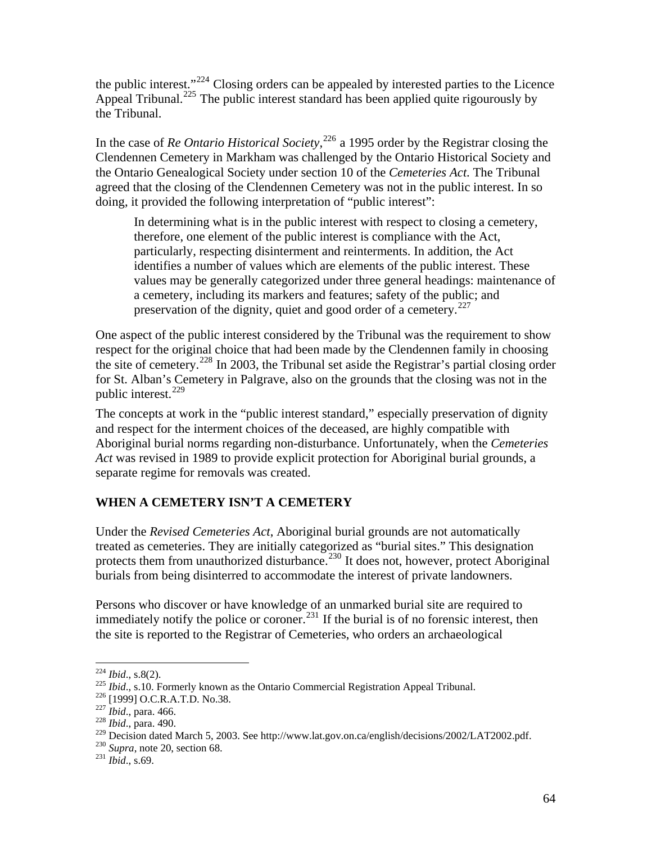the public interest."[224](#page-63-0) Closing orders can be appealed by interested parties to the Licence Appeal Tribunal.<sup>[225](#page-63-1)</sup> The public interest standard has been applied quite rigourously by the Tribunal.

In the case of *Re Ontario Historical Society*,<sup>[226](#page-63-2)</sup> a 1995 order by the Registrar closing the Clendennen Cemetery in Markham was challenged by the Ontario Historical Society and the Ontario Genealogical Society under section 10 of the *Cemeteries Act*. The Tribunal agreed that the closing of the Clendennen Cemetery was not in the public interest. In so doing, it provided the following interpretation of "public interest":

In determining what is in the public interest with respect to closing a cemetery, therefore, one element of the public interest is compliance with the Act, particularly, respecting disinterment and reinterments. In addition, the Act identifies a number of values which are elements of the public interest. These values may be generally categorized under three general headings: maintenance of a cemetery, including its markers and features; safety of the public; and preservation of the dignity, quiet and good order of a cemetery.<sup>[227](#page-63-3)</sup>

One aspect of the public interest considered by the Tribunal was the requirement to show respect for the original choice that had been made by the Clendennen family in choosing the site of cemetery.<sup>[228](#page-63-4)</sup> In 2003, the Tribunal set aside the Registrar's partial closing order for St. Alban's Cemetery in Palgrave, also on the grounds that the closing was not in the public interest.<sup>[229](#page-63-5)</sup>

The concepts at work in the "public interest standard," especially preservation of dignity and respect for the interment choices of the deceased, are highly compatible with Aboriginal burial norms regarding non-disturbance. Unfortunately, when the *Cemeteries Act* was revised in 1989 to provide explicit protection for Aboriginal burial grounds, a separate regime for removals was created.

## **WHEN A CEMETERY ISN'T A CEMETERY**

Under the *Revised Cemeteries Act*, Aboriginal burial grounds are not automatically treated as cemeteries. They are initially categorized as "burial sites." This designation protects them from unauthorized disturbance.<sup>[230](#page-63-6)</sup> It does not, however, protect Aboriginal burials from being disinterred to accommodate the interest of private landowners.

Persons who discover or have knowledge of an unmarked burial site are required to immediately notify the police or coroner.<sup>[231](#page-63-7)</sup> If the burial is of no forensic interest, then the site is reported to the Registrar of Cemeteries, who orders an archaeological

<span id="page-63-0"></span> $224$  *Ibid.*, s.8(2).

<span id="page-63-2"></span><span id="page-63-1"></span><sup>225</sup> *Ibid.*, s.0(2).<br>
<sup>225</sup> *Ibid.*, s.10. Formerly known as the Ontario Commercial Registration Appeal Tribunal.<br>
<sup>226</sup> [1999] O.C.R.A.T.D. No.38.<br>
<sup>227</sup> *Ibid.*, para. 466.<br>
<sup>228</sup> *Ibid.*, para. 490.

<span id="page-63-3"></span>

<span id="page-63-4"></span>

<span id="page-63-6"></span><span id="page-63-5"></span><sup>&</sup>lt;sup>229</sup> Decision dated March 5, 2003. See http://www.lat.gov.on.ca/english/decisions/2002/LAT2002.pdf. <sup>230</sup> *Supra*, note 20, section 68. <sup>231</sup> *Ibid.*, s.69.

<span id="page-63-7"></span>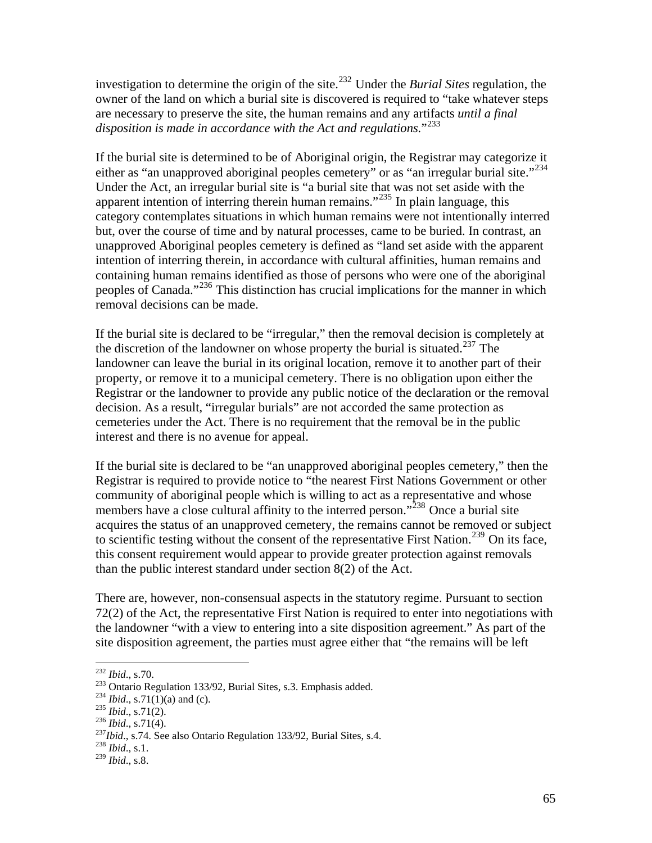investigation to determine the origin of the site.[232](#page-64-0) Under the *Burial Sites* regulation, the owner of the land on which a burial site is discovered is required to "take whatever steps are necessary to preserve the site, the human remains and any artifacts *until a final disposition is made in accordance with the Act and regulations.*"[233](#page-64-1)

If the burial site is determined to be of Aboriginal origin, the Registrar may categorize it either as "an unapproved aboriginal peoples cemetery" or as "an irregular burial site."<sup>[234](#page-64-2)</sup> Under the Act, an irregular burial site is "a burial site that was not set aside with the apparent intention of interring therein human remains.<sup> $235$ </sup> In plain language, this category contemplates situations in which human remains were not intentionally interred but, over the course of time and by natural processes, came to be buried. In contrast, an unapproved Aboriginal peoples cemetery is defined as "land set aside with the apparent intention of interring therein, in accordance with cultural affinities, human remains and containing human remains identified as those of persons who were one of the aboriginal peoples of Canada."<sup>[236](#page-64-4)</sup> This distinction has crucial implications for the manner in which removal decisions can be made.

If the burial site is declared to be "irregular," then the removal decision is completely at the discretion of the landowner on whose property the burial is situated.<sup>[237](#page-64-5)</sup> The landowner can leave the burial in its original location, remove it to another part of their property, or remove it to a municipal cemetery. There is no obligation upon either the Registrar or the landowner to provide any public notice of the declaration or the removal decision. As a result, "irregular burials" are not accorded the same protection as cemeteries under the Act. There is no requirement that the removal be in the public interest and there is no avenue for appeal.

If the burial site is declared to be "an unapproved aboriginal peoples cemetery," then the Registrar is required to provide notice to "the nearest First Nations Government or other community of aboriginal people which is willing to act as a representative and whose members have a close cultural affinity to the interred person."<sup>[238](#page-64-6)</sup> Once a burial site acquires the status of an unapproved cemetery, the remains cannot be removed or subject to scientific testing without the consent of the representative First Nation.<sup>[239](#page-64-7)</sup> On its face, this consent requirement would appear to provide greater protection against removals than the public interest standard under section 8(2) of the Act.

There are, however, non-consensual aspects in the statutory regime. Pursuant to section 72(2) of the Act, the representative First Nation is required to enter into negotiations with the landowner "with a view to entering into a site disposition agreement." As part of the site disposition agreement, the parties must agree either that "the remains will be left

 $^{232}$  *Ibid.*, s.70.

<span id="page-64-3"></span>

<span id="page-64-5"></span><span id="page-64-4"></span>

<span id="page-64-2"></span><span id="page-64-1"></span><span id="page-64-0"></span><sup>&</sup>lt;sup>233</sup> Ontario Regulation 133/92, Burial Sites, s.3. Emphasis added.<br><sup>234</sup> *Ibid.*, s.71(1)(a) and (c).<br><sup>235</sup> *Ibid.*, s.71(2).<br><sup>235</sup> *Ibid.*, s.71(4).<br><sup>236</sup> *Ibid.*, s.74. See also Ontario Regulation 133/92, Burial Sites,

<span id="page-64-7"></span><span id="page-64-6"></span><sup>239</sup> *Ibid*., s.8.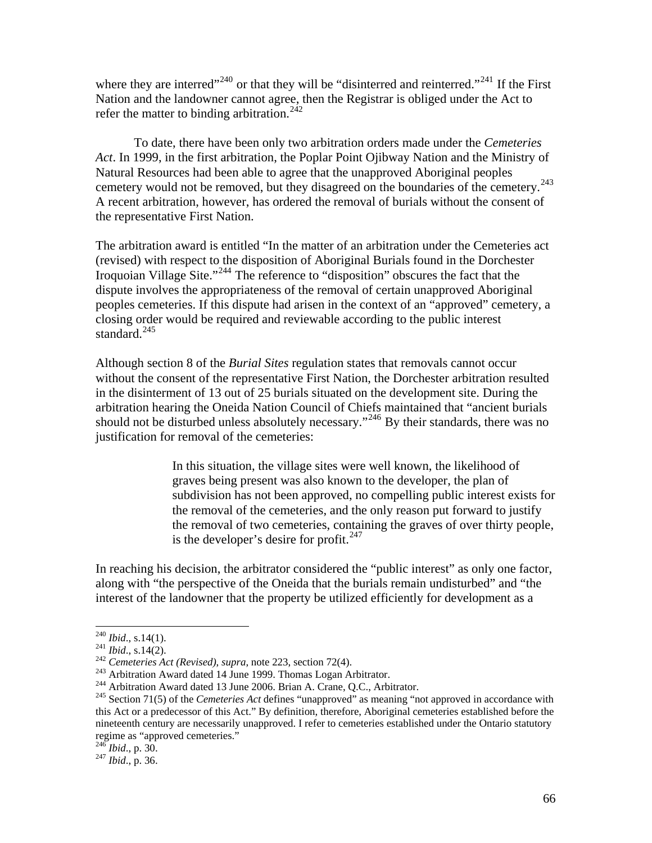where they are interred"<sup>[240](#page-65-0)</sup> or that they will be "disinterred and reinterred."<sup>[241](#page-65-1)</sup> If the First Nation and the landowner cannot agree, then the Registrar is obliged under the Act to refer the matter to binding arbitration.<sup>[242](#page-65-2)</sup>

 To date, there have been only two arbitration orders made under the *Cemeteries Act*. In 1999, in the first arbitration, the Poplar Point Ojibway Nation and the Ministry of Natural Resources had been able to agree that the unapproved Aboriginal peoples cemetery would not be removed, but they disagreed on the boundaries of the cemetery.<sup>[243](#page-65-3)</sup> A recent arbitration, however, has ordered the removal of burials without the consent of the representative First Nation.

The arbitration award is entitled "In the matter of an arbitration under the Cemeteries act (revised) with respect to the disposition of Aboriginal Burials found in the Dorchester Iroquoian Village Site."[244](#page-65-4) The reference to "disposition" obscures the fact that the dispute involves the appropriateness of the removal of certain unapproved Aboriginal peoples cemeteries. If this dispute had arisen in the context of an "approved" cemetery, a closing order would be required and reviewable according to the public interest standard. $^{245}$  $^{245}$  $^{245}$ 

Although section 8 of the *Burial Sites* regulation states that removals cannot occur without the consent of the representative First Nation, the Dorchester arbitration resulted in the disinterment of 13 out of 25 burials situated on the development site. During the arbitration hearing the Oneida Nation Council of Chiefs maintained that "ancient burials should not be disturbed unless absolutely necessary."<sup>[246](#page-65-6)</sup> By their standards, there was no justification for removal of the cemeteries:

> In this situation, the village sites were well known, the likelihood of graves being present was also known to the developer, the plan of subdivision has not been approved, no compelling public interest exists for the removal of the cemeteries, and the only reason put forward to justify the removal of two cemeteries, containing the graves of over thirty people, is the developer's desire for profit.  $247$

In reaching his decision, the arbitrator considered the "public interest" as only one factor, along with "the perspective of the Oneida that the burials remain undisturbed" and "the interest of the landowner that the property be utilized efficiently for development as a

<span id="page-65-0"></span> $240$  *Ibid.*, s.14(1).

<span id="page-65-3"></span>

<span id="page-65-5"></span><span id="page-65-4"></span>

<span id="page-65-2"></span><span id="page-65-1"></span><sup>&</sup>lt;sup>241</sup> *Ibid.*, s.14(2).<br><sup>242</sup> *Cemeteries Act (Revised), supra,* note 223, section 72(4).<br><sup>242</sup> Arbitration Award dated 14 June 1999. Thomas Logan Arbitrator.<br><sup>244</sup> Arbitration Award dated 13 June 2006. Brian A. Crane, Q. this Act or a predecessor of this Act." By definition, therefore, Aboriginal cemeteries established before the nineteenth century are necessarily unapproved. I refer to cemeteries established under the Ontario statutory regime as "approved cemeteries."

<span id="page-65-7"></span><span id="page-65-6"></span><sup>246</sup> *Ibid*., p. 30. 247 *Ibid*., p. 36.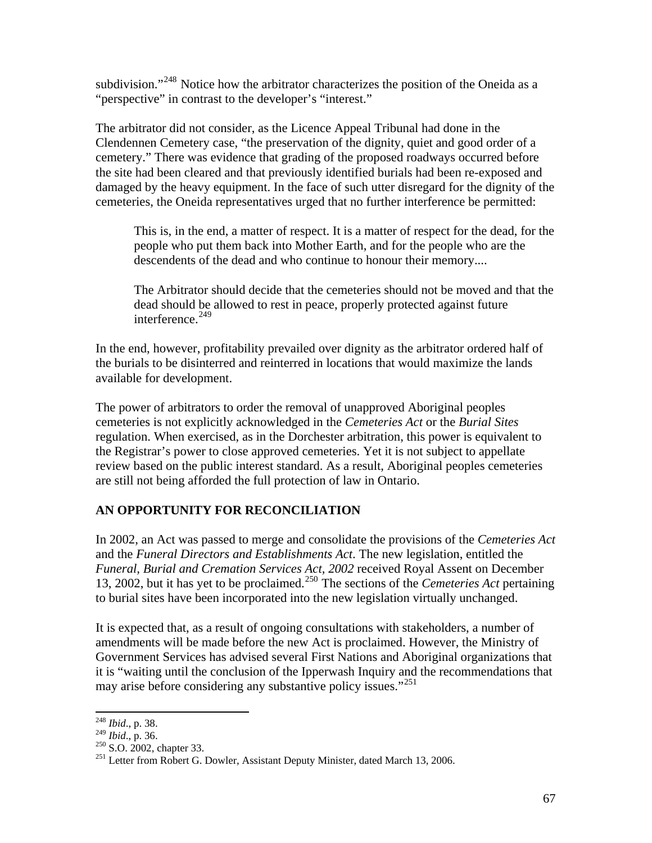subdivision."<sup>[248](#page-66-0)</sup> Notice how the arbitrator characterizes the position of the Oneida as a "perspective" in contrast to the developer's "interest."

The arbitrator did not consider, as the Licence Appeal Tribunal had done in the Clendennen Cemetery case, "the preservation of the dignity, quiet and good order of a cemetery." There was evidence that grading of the proposed roadways occurred before the site had been cleared and that previously identified burials had been re-exposed and damaged by the heavy equipment. In the face of such utter disregard for the dignity of the cemeteries, the Oneida representatives urged that no further interference be permitted:

This is, in the end, a matter of respect. It is a matter of respect for the dead, for the people who put them back into Mother Earth, and for the people who are the descendents of the dead and who continue to honour their memory....

The Arbitrator should decide that the cemeteries should not be moved and that the dead should be allowed to rest in peace, properly protected against future interference. $249$ 

In the end, however, profitability prevailed over dignity as the arbitrator ordered half of the burials to be disinterred and reinterred in locations that would maximize the lands available for development.

The power of arbitrators to order the removal of unapproved Aboriginal peoples cemeteries is not explicitly acknowledged in the *Cemeteries Act* or the *Burial Sites*  regulation. When exercised, as in the Dorchester arbitration, this power is equivalent to the Registrar's power to close approved cemeteries. Yet it is not subject to appellate review based on the public interest standard. As a result, Aboriginal peoples cemeteries are still not being afforded the full protection of law in Ontario.

## **AN OPPORTUNITY FOR RECONCILIATION**

In 2002, an Act was passed to merge and consolidate the provisions of the *Cemeteries Act*  and the *Funeral Directors and Establishments Act*. The new legislation, entitled the *Funeral, Burial and Cremation Services Act, 2002* received Royal Assent on December 13, 2002, but it has yet to be proclaimed.[250](#page-66-2) The sections of the *Cemeteries Act* pertaining to burial sites have been incorporated into the new legislation virtually unchanged.

It is expected that, as a result of ongoing consultations with stakeholders, a number of amendments will be made before the new Act is proclaimed. However, the Ministry of Government Services has advised several First Nations and Aboriginal organizations that it is "waiting until the conclusion of the Ipperwash Inquiry and the recommendations that may arise before considering any substantive policy issues."<sup>[251](#page-66-3)</sup>

<sup>248</sup> *Ibid*., p. 38.

<span id="page-66-3"></span>

<span id="page-66-2"></span><span id="page-66-1"></span><span id="page-66-0"></span><sup>249</sup> *Ibid.*, p. 36.<br><sup>249</sup> *Ibid.*, p. 36.<br><sup>250</sup> S.O. 2002, chapter 33.<br><sup>251</sup> Letter from Robert G. Dowler, Assistant Deputy Minister, dated March 13, 2006.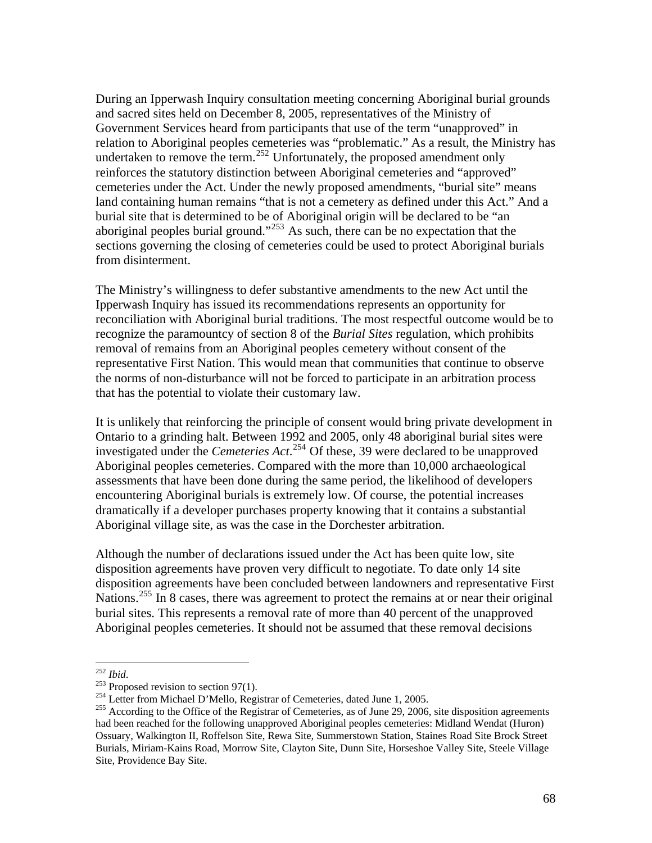During an Ipperwash Inquiry consultation meeting concerning Aboriginal burial grounds and sacred sites held on December 8, 2005, representatives of the Ministry of Government Services heard from participants that use of the term "unapproved" in relation to Aboriginal peoples cemeteries was "problematic." As a result, the Ministry has undertaken to remove the term.<sup>[252](#page-67-0)</sup> Unfortunately, the proposed amendment only reinforces the statutory distinction between Aboriginal cemeteries and "approved" cemeteries under the Act. Under the newly proposed amendments, "burial site" means land containing human remains "that is not a cemetery as defined under this Act." And a burial site that is determined to be of Aboriginal origin will be declared to be "an aboriginal peoples burial ground."[253](#page-67-1) As such, there can be no expectation that the sections governing the closing of cemeteries could be used to protect Aboriginal burials from disinterment.

The Ministry's willingness to defer substantive amendments to the new Act until the Ipperwash Inquiry has issued its recommendations represents an opportunity for reconciliation with Aboriginal burial traditions. The most respectful outcome would be to recognize the paramountcy of section 8 of the *Burial Sites* regulation, which prohibits removal of remains from an Aboriginal peoples cemetery without consent of the representative First Nation. This would mean that communities that continue to observe the norms of non-disturbance will not be forced to participate in an arbitration process that has the potential to violate their customary law.

It is unlikely that reinforcing the principle of consent would bring private development in Ontario to a grinding halt. Between 1992 and 2005, only 48 aboriginal burial sites were investigated under the *Cemeteries Act*. [254](#page-67-2) Of these, 39 were declared to be unapproved Aboriginal peoples cemeteries. Compared with the more than 10,000 archaeological assessments that have been done during the same period, the likelihood of developers encountering Aboriginal burials is extremely low. Of course, the potential increases dramatically if a developer purchases property knowing that it contains a substantial Aboriginal village site, as was the case in the Dorchester arbitration.

Although the number of declarations issued under the Act has been quite low, site disposition agreements have proven very difficult to negotiate. To date only 14 site disposition agreements have been concluded between landowners and representative First Nations.<sup>[255](#page-67-3)</sup> In 8 cases, there was agreement to protect the remains at or near their original burial sites. This represents a removal rate of more than 40 percent of the unapproved Aboriginal peoples cemeteries. It should not be assumed that these removal decisions

 $^\mathrm{252}$  Ibid.

<span id="page-67-3"></span>

<span id="page-67-2"></span><span id="page-67-1"></span><span id="page-67-0"></span><sup>&</sup>lt;sup>253</sup> Proposed revision to section 97(1).<br><sup>254</sup> Letter from Michael D'Mello, Registrar of Cemeteries, dated June 1, 2005.<br><sup>255</sup> According to the Office of the Registrar of Cemeteries, as of June 29, 2006, site disposition had been reached for the following unapproved Aboriginal peoples cemeteries: Midland Wendat (Huron) Ossuary, Walkington II, Roffelson Site, Rewa Site, Summerstown Station, Staines Road Site Brock Street Burials, Miriam-Kains Road, Morrow Site, Clayton Site, Dunn Site, Horseshoe Valley Site, Steele Village Site, Providence Bay Site.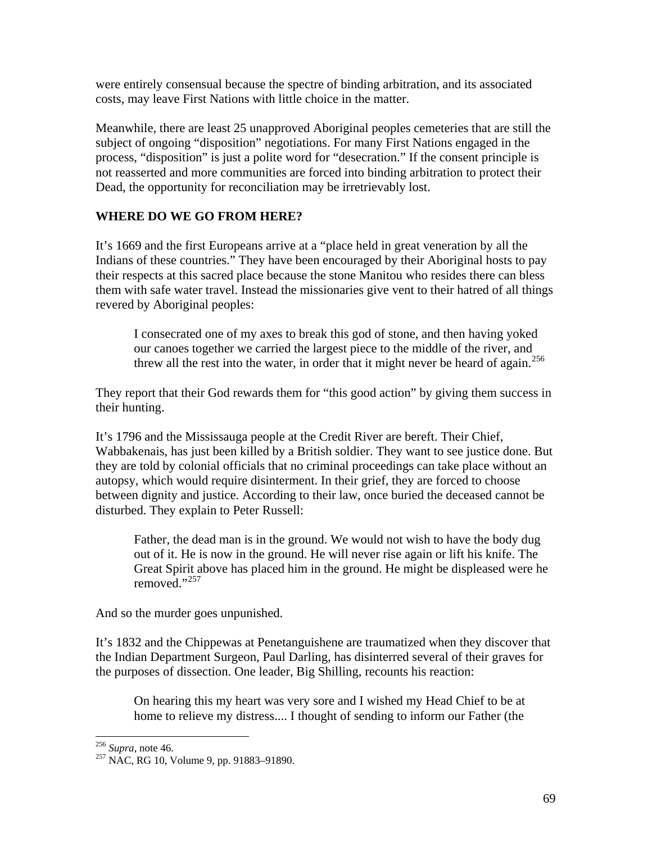were entirely consensual because the spectre of binding arbitration, and its associated costs, may leave First Nations with little choice in the matter.

Meanwhile, there are least 25 unapproved Aboriginal peoples cemeteries that are still the subject of ongoing "disposition" negotiations. For many First Nations engaged in the process, "disposition" is just a polite word for "desecration." If the consent principle is not reasserted and more communities are forced into binding arbitration to protect their Dead, the opportunity for reconciliation may be irretrievably lost.

## **WHERE DO WE GO FROM HERE?**

It's 1669 and the first Europeans arrive at a "place held in great veneration by all the Indians of these countries." They have been encouraged by their Aboriginal hosts to pay their respects at this sacred place because the stone Manitou who resides there can bless them with safe water travel. Instead the missionaries give vent to their hatred of all things revered by Aboriginal peoples:

I consecrated one of my axes to break this god of stone, and then having yoked our canoes together we carried the largest piece to the middle of the river, and threw all the rest into the water, in order that it might never be heard of again.<sup>[256](#page-68-0)</sup>

They report that their God rewards them for "this good action" by giving them success in their hunting.

It's 1796 and the Mississauga people at the Credit River are bereft. Their Chief, Wabbakenais, has just been killed by a British soldier. They want to see justice done. But they are told by colonial officials that no criminal proceedings can take place without an autopsy, which would require disinterment. In their grief, they are forced to choose between dignity and justice. According to their law, once buried the deceased cannot be disturbed. They explain to Peter Russell:

Father, the dead man is in the ground. We would not wish to have the body dug out of it. He is now in the ground. He will never rise again or lift his knife. The Great Spirit above has placed him in the ground. He might be displeased were he removed<sup>"</sup>

And so the murder goes unpunished.

It's 1832 and the Chippewas at Penetanguishene are traumatized when they discover that the Indian Department Surgeon, Paul Darling, has disinterred several of their graves for the purposes of dissection. One leader, Big Shilling, recounts his reaction:

On hearing this my heart was very sore and I wished my Head Chief to be at home to relieve my distress.... I thought of sending to inform our Father (the

 $256$  Supra, note 46.

<span id="page-68-1"></span><span id="page-68-0"></span><sup>&</sup>lt;sup>257</sup> NAC, RG 10, Volume 9, pp. 91883-91890.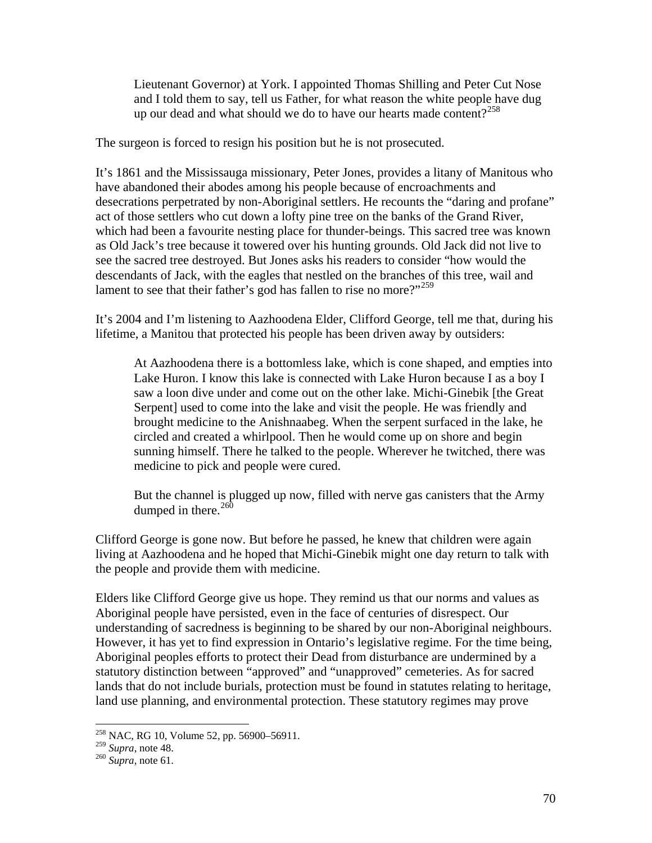Lieutenant Governor) at York. I appointed Thomas Shilling and Peter Cut Nose and I told them to say, tell us Father, for what reason the white people have dug up our dead and what should we do to have our hearts made content?<sup>[258](#page-69-0)</sup>

The surgeon is forced to resign his position but he is not prosecuted.

It's 1861 and the Mississauga missionary, Peter Jones, provides a litany of Manitous who have abandoned their abodes among his people because of encroachments and desecrations perpetrated by non-Aboriginal settlers. He recounts the "daring and profane" act of those settlers who cut down a lofty pine tree on the banks of the Grand River, which had been a favourite nesting place for thunder-beings. This sacred tree was known as Old Jack's tree because it towered over his hunting grounds. Old Jack did not live to see the sacred tree destroyed. But Jones asks his readers to consider "how would the descendants of Jack, with the eagles that nestled on the branches of this tree, wail and lament to see that their father's god has fallen to rise no more?"<sup>[259](#page-69-1)</sup>

It's 2004 and I'm listening to Aazhoodena Elder, Clifford George, tell me that, during his lifetime, a Manitou that protected his people has been driven away by outsiders:

At Aazhoodena there is a bottomless lake, which is cone shaped, and empties into Lake Huron. I know this lake is connected with Lake Huron because I as a boy I saw a loon dive under and come out on the other lake. Michi-Ginebik [the Great Serpent] used to come into the lake and visit the people. He was friendly and brought medicine to the Anishnaabeg. When the serpent surfaced in the lake, he circled and created a whirlpool. Then he would come up on shore and begin sunning himself. There he talked to the people. Wherever he twitched, there was medicine to pick and people were cured.

But the channel is plugged up now, filled with nerve gas canisters that the Army dumped in there. $260$ 

Clifford George is gone now. But before he passed, he knew that children were again living at Aazhoodena and he hoped that Michi-Ginebik might one day return to talk with the people and provide them with medicine.

Elders like Clifford George give us hope. They remind us that our norms and values as Aboriginal people have persisted, even in the face of centuries of disrespect. Our understanding of sacredness is beginning to be shared by our non-Aboriginal neighbours. However, it has yet to find expression in Ontario's legislative regime. For the time being, Aboriginal peoples efforts to protect their Dead from disturbance are undermined by a statutory distinction between "approved" and "unapproved" cemeteries. As for sacred lands that do not include burials, protection must be found in statutes relating to heritage, land use planning, and environmental protection. These statutory regimes may prove

 $258$  NAC, RG 10, Volume 52, pp. 56900–56911.

<span id="page-69-2"></span><span id="page-69-1"></span><span id="page-69-0"></span><sup>259</sup> *Supra*, note 48. 260 *Supra*, note 61.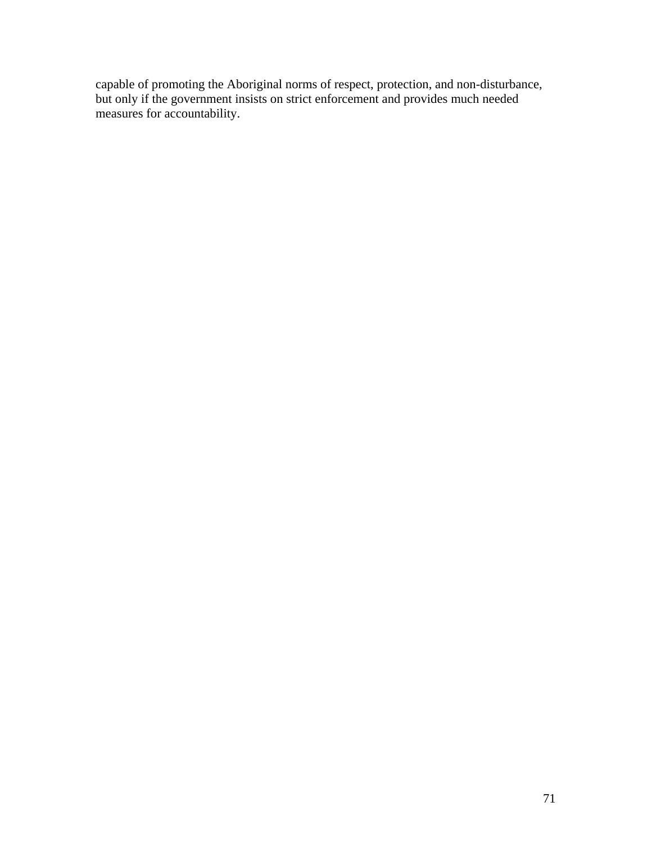capable of promoting the Aboriginal norms of respect, protection, and non-disturbance, but only if the government insists on strict enforcement and provides much needed measures for accountability.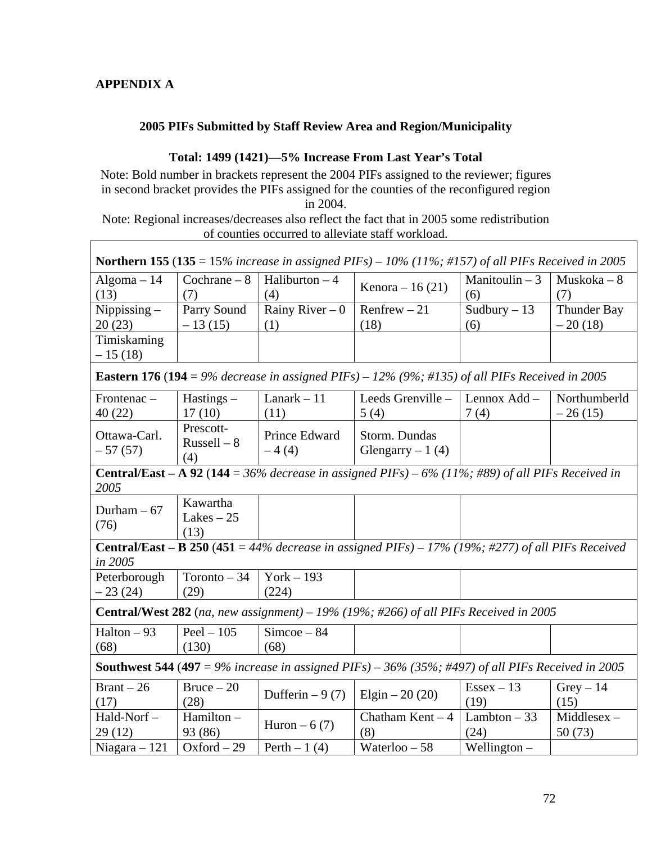## **APPENDIX A**

 $\overline{\phantom{a}}$ 

## **2005 PIFs Submitted by Staff Review Area and Region/Municipality**

## **Total: 1499 (1421)—5% Increase From Last Year's Total**

Note: Bold number in brackets represent the 2004 PIFs assigned to the reviewer; figures in second bracket provides the PIFs assigned for the counties of the reconfigured region in 2004.

Note: Regional increases/decreases also reflect the fact that in 2005 some redistribution of counties occurred to alleviate staff workload.

| <b>Northern 155</b> (135 = 15% increase in assigned PIFs) – $10\%$ (11%; #157) of all PIFs Received in 2005         |                                   |                          |                                     |                        |                                 |
|---------------------------------------------------------------------------------------------------------------------|-----------------------------------|--------------------------|-------------------------------------|------------------------|---------------------------------|
| Algoma $-14$<br>(13)                                                                                                | Cochrane $-8$<br>(7)              | Haliburton $-4$<br>(4)   | Kenora – 16 $(21)$                  | Manitoulin $-3$<br>(6) | $Muskoka - 8$<br>(7)            |
| Nippissing-<br>20(23)                                                                                               | Parry Sound<br>$-13(15)$          | Rainy River $-0$<br>(1)  | Renfrew $-21$<br>(18)               | Sudbury $-13$<br>(6)   | <b>Thunder Bay</b><br>$-20(18)$ |
| Timiskaming<br>$-15(18)$                                                                                            |                                   |                          |                                     |                        |                                 |
| <b>Eastern 176 (194</b> = 9% decrease in assigned PIFs) – 12% (9%; #135) of all PIFs Received in 2005               |                                   |                          |                                     |                        |                                 |
| Frontenac-<br>40(22)                                                                                                | $Hastings -$<br>17(10)            | Lanark $-11$<br>(11)     | Leeds Grenville -<br>5(4)           | Lennox Add -<br>7(4)   | Northumberld<br>$-26(15)$       |
| Ottawa-Carl.<br>$-57(57)$                                                                                           | Prescott-<br>$Russell - 8$<br>(4) | Prince Edward<br>$-4(4)$ | Storm. Dundas<br>Glengarry $-1$ (4) |                        |                                 |
| <b>Central/East – A 92 (144 = 36% decrease in assigned PIFs) – 6% (11%; #89) of all PIFs Received in</b><br>2005    |                                   |                          |                                     |                        |                                 |
| Durham $-67$<br>(76)                                                                                                | Kawartha<br>Lakes $-25$<br>(13)   |                          |                                     |                        |                                 |
| <b>Central/East – B 250 (451 = 44% decrease in assigned PIFs) – 17% (19%; #277) of all PIFs Received</b><br>in 2005 |                                   |                          |                                     |                        |                                 |
| Peterborough<br>$-23(24)$                                                                                           | Toronto $-34$<br>(29)             | $York - 193$<br>(224)    |                                     |                        |                                 |
| <b>Central/West 282</b> (na, new assignment) $-19\%$ (19%; #266) of all PIFs Received in 2005                       |                                   |                          |                                     |                        |                                 |
| Halton $-93$<br>(68)                                                                                                | $Peel - 105$<br>(130)             | $Simcoe - 84$<br>(68)    |                                     |                        |                                 |
| <b>Southwest 544 (497</b> = 9% increase in assigned PIFs) – 36% (35%; #497) of all PIFs Received in 2005            |                                   |                          |                                     |                        |                                 |
| $Branch - 26$<br>(17)                                                                                               | $Bruce - 20$<br>(28)              | Dufferin $-9(7)$         | Elgin $-20(20)$                     | $Essex-13$<br>(19)     | $Grey - 14$<br>(15)             |
| Hald-Norf-<br>29(12)                                                                                                | Hamilton-<br>93 (86)              | Huron $-6(7)$            | Chatham Kent $-4$<br>(8)            | Lambton $-33$<br>(24)  | $Middlesex -$<br>50(73)         |
| Niagara $-121$                                                                                                      | $Oxford - 29$                     | Perth $-1(4)$            | Waterloo $-58$                      | Wellington $-$         |                                 |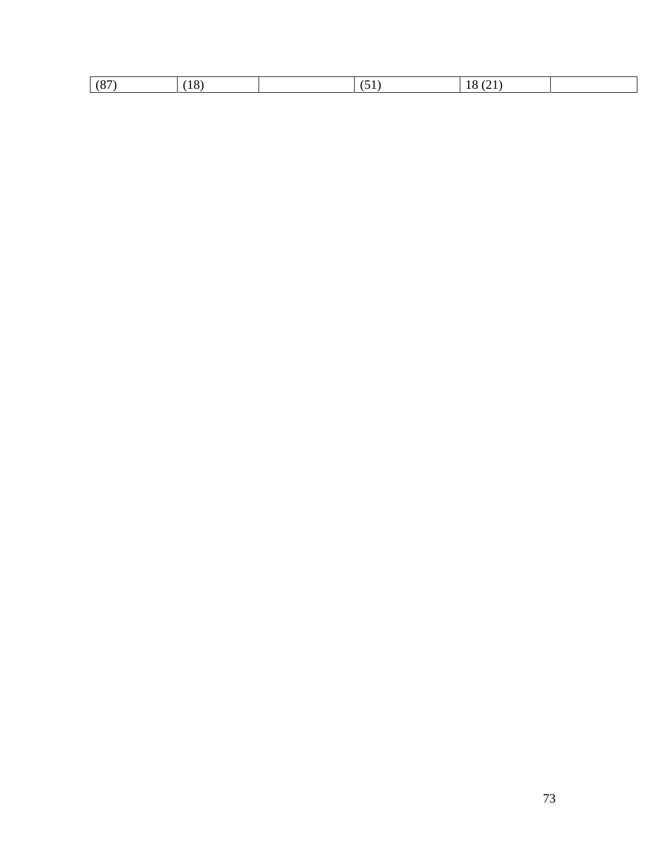| 10<br>. J 1<br>1 V<br>. U<br>.<br>___ |
|---------------------------------------|
|---------------------------------------|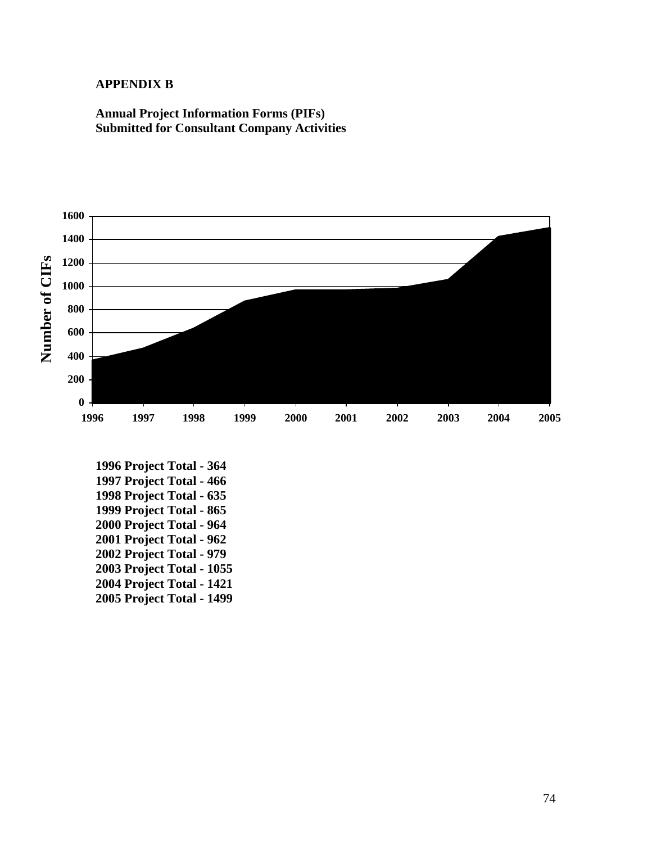# **APPENDIX B**

# **Annual Project Information Forms (PIFs) Submitted for Consultant Company Activities**



**1996 Project Total - 364 1997 Project Total - 466 1998 Project Total - 635 1999 Project Total - 865 2000 Project Total - 964 2001 Project Total - 962 2002 Project Total - 979 2003 Project Total - 1055 2004 Project Total - 1421 2005 Project Total - 1499**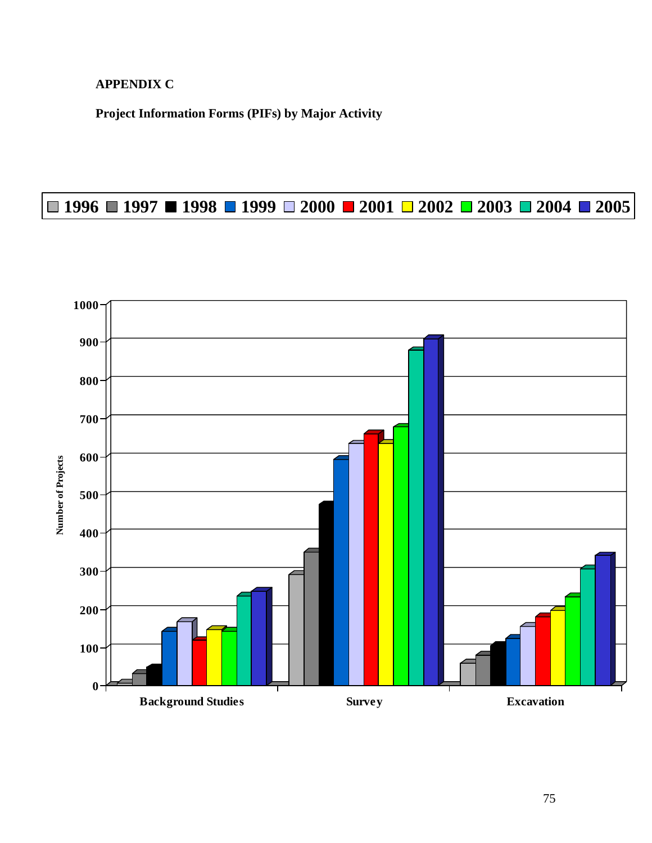# **APPENDIX C**

**Project Information Forms (PIFs) by Major Activity** 

# **1997 1998 1999 2000 2001 2002 2003 2004 2005**

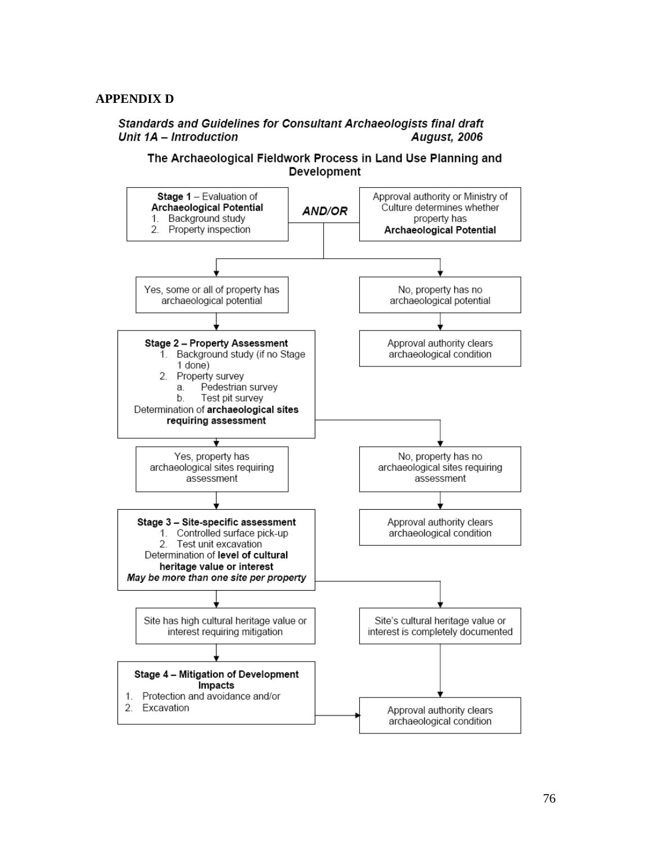# **APPENDIX D**

#### Standards and Guidelines for Consultant Archaeologists final draft Unit 1A - Introduction **August**, 2006



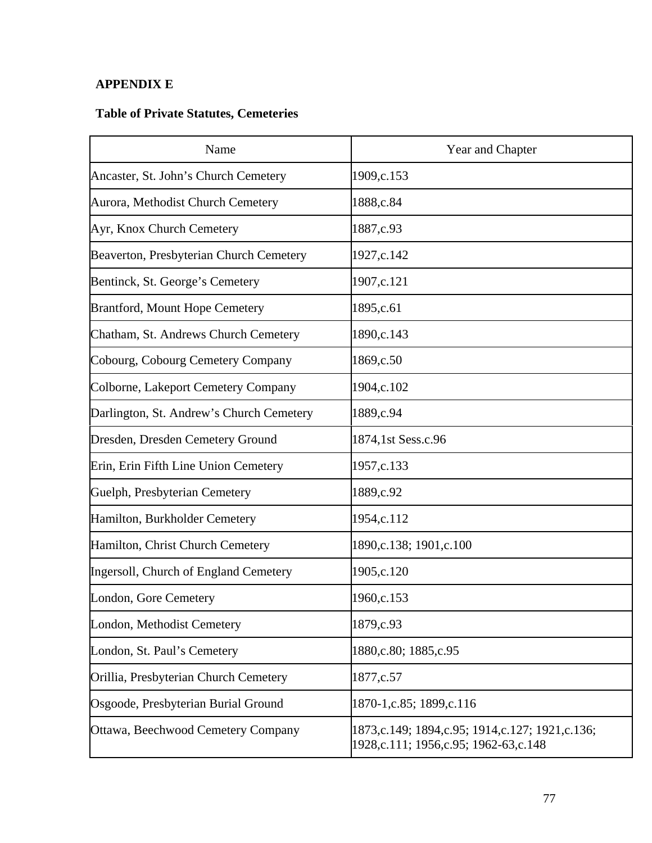# **APPENDIX E**

# **Table of Private Statutes, Cemeteries**

| Name                                     | Year and Chapter                                                                                     |
|------------------------------------------|------------------------------------------------------------------------------------------------------|
| Ancaster, St. John's Church Cemetery     | 1909,c.153                                                                                           |
| Aurora, Methodist Church Cemetery        | 1888,c.84                                                                                            |
| Ayr, Knox Church Cemetery                | 1887,c.93                                                                                            |
| Beaverton, Presbyterian Church Cemetery  | 1927, c. 142                                                                                         |
| Bentinck, St. George's Cemetery          | 1907, c. 121                                                                                         |
| <b>Brantford, Mount Hope Cemetery</b>    | 1895,c.61                                                                                            |
| Chatham, St. Andrews Church Cemetery     | 1890,c.143                                                                                           |
| Cobourg, Cobourg Cemetery Company        | 1869,c.50                                                                                            |
| Colborne, Lakeport Cemetery Company      | 1904,c.102                                                                                           |
| Darlington, St. Andrew's Church Cemetery | 1889,c.94                                                                                            |
| Dresden, Dresden Cemetery Ground         | 1874,1st Sess.c.96                                                                                   |
| Erin, Erin Fifth Line Union Cemetery     | 1957, c. 133                                                                                         |
| Guelph, Presbyterian Cemetery            | 1889,c.92                                                                                            |
| Hamilton, Burkholder Cemetery            | 1954,c.112                                                                                           |
| Hamilton, Christ Church Cemetery         | 1890, c. 138; 1901, c. 100                                                                           |
| Ingersoll, Church of England Cemetery    | 1905,c.120                                                                                           |
| London, Gore Cemetery                    | 1960,c.153                                                                                           |
| London, Methodist Cemetery               | 1879,c.93                                                                                            |
| London, St. Paul's Cemetery              | 1880,c.80; 1885,c.95                                                                                 |
| Orillia, Presbyterian Church Cemetery    | 1877,c.57                                                                                            |
| Osgoode, Presbyterian Burial Ground      | 1870-1, c. 85; 1899, c. 116                                                                          |
| Ottawa, Beechwood Cemetery Company       | 1873, c. 149; 1894, c. 95; 1914, c. 127; 1921, c. 136;<br>1928, c. 111; 1956, c. 95; 1962-63, c. 148 |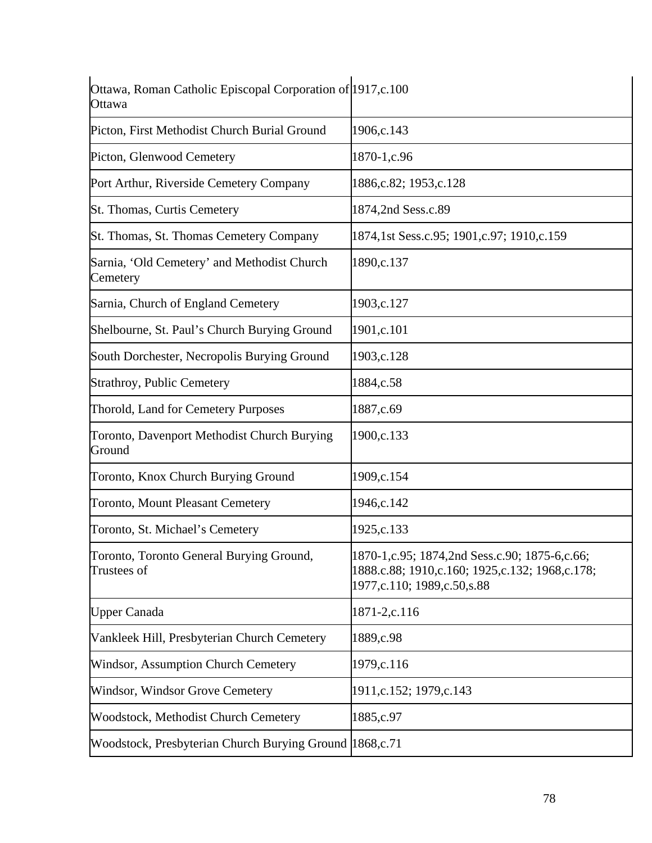| Ottawa, Roman Catholic Episcopal Corporation of 1917, c.100<br>Ottawa |                                                                                                                                            |
|-----------------------------------------------------------------------|--------------------------------------------------------------------------------------------------------------------------------------------|
| Picton, First Methodist Church Burial Ground                          | 1906,c.143                                                                                                                                 |
| Picton, Glenwood Cemetery                                             | 1870-1,c.96                                                                                                                                |
| Port Arthur, Riverside Cemetery Company                               | 1886, c. 82; 1953, c. 128                                                                                                                  |
| St. Thomas, Curtis Cemetery                                           | 1874,2nd Sess.c.89                                                                                                                         |
| St. Thomas, St. Thomas Cemetery Company                               | 1874,1st Sess.c.95; 1901,c.97; 1910,c.159                                                                                                  |
| Sarnia, 'Old Cemetery' and Methodist Church<br>Cemetery               | 1890,c.137                                                                                                                                 |
| Sarnia, Church of England Cemetery                                    | 1903,c.127                                                                                                                                 |
| Shelbourne, St. Paul's Church Burying Ground                          | 1901,c.101                                                                                                                                 |
| South Dorchester, Necropolis Burying Ground                           | 1903, c. 128                                                                                                                               |
| <b>Strathroy, Public Cemetery</b>                                     | 1884,c.58                                                                                                                                  |
| Thorold, Land for Cemetery Purposes                                   | 1887,c.69                                                                                                                                  |
| Toronto, Davenport Methodist Church Burying<br>Ground                 | 1900,c.133                                                                                                                                 |
| Toronto, Knox Church Burying Ground                                   | 1909,c.154                                                                                                                                 |
| <b>Toronto, Mount Pleasant Cemetery</b>                               | 1946,c.142                                                                                                                                 |
| Toronto, St. Michael's Cemetery                                       | 1925, c. 133                                                                                                                               |
| Toronto, Toronto General Burying Ground,<br>Trustees of               | 1870-1, c. 95; 1874, 2nd Sess. c. 90; 1875-6, c. 66;<br>1888.c.88; 1910,c.160; 1925,c.132; 1968,c.178;<br>1977, c. 110; 1989, c. 50, s. 88 |
| <b>Upper Canada</b>                                                   | 1871-2, c. 116                                                                                                                             |
| Vankleek Hill, Presbyterian Church Cemetery                           | 1889,c.98                                                                                                                                  |
| Windsor, Assumption Church Cemetery                                   | 1979,c.116                                                                                                                                 |
| Windsor, Windsor Grove Cemetery                                       | 1911, c. 152; 1979, c. 143                                                                                                                 |
| <b>Woodstock, Methodist Church Cemetery</b>                           | 1885,c.97                                                                                                                                  |
| Woodstock, Presbyterian Church Burying Ground 1868,c.71               |                                                                                                                                            |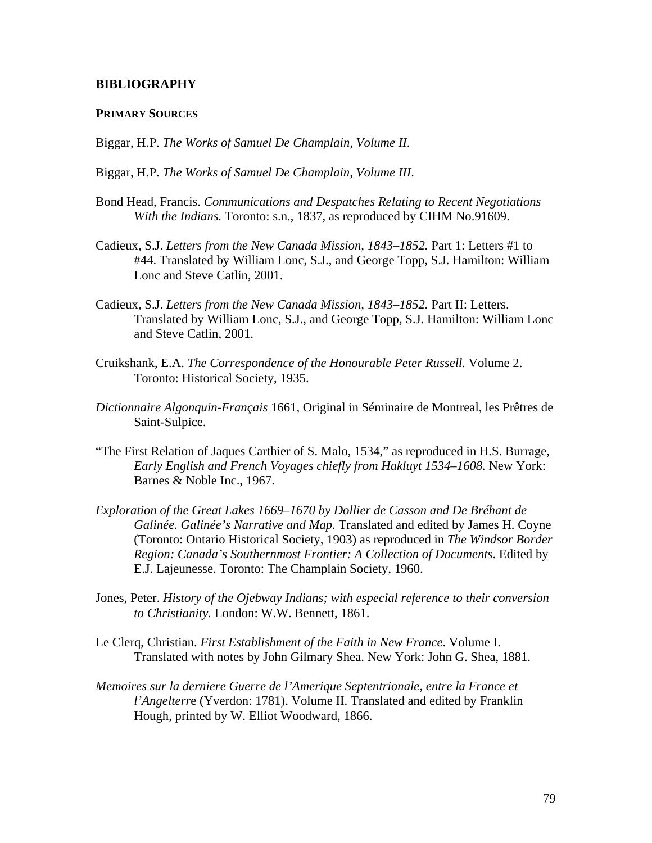# **BIBLIOGRAPHY**

#### **PRIMARY SOURCES**

Biggar, H.P. *The Works of Samuel De Champlain, Volume II*.

- Biggar, H.P. *The Works of Samuel De Champlain, Volume III*.
- Bond Head, Francis. *Communications and Despatches Relating to Recent Negotiations With the Indians.* Toronto: s.n., 1837, as reproduced by CIHM No.91609.
- Cadieux, S.J. *Letters from the New Canada Mission, 1843–1852.* Part 1: Letters #1 to #44. Translated by William Lonc, S.J., and George Topp, S.J. Hamilton: William Lonc and Steve Catlin, 2001.
- Cadieux, S.J. *Letters from the New Canada Mission, 1843–1852.* Part II: Letters. Translated by William Lonc, S.J., and George Topp, S.J. Hamilton: William Lonc and Steve Catlin, 2001.
- Cruikshank, E.A. *The Correspondence of the Honourable Peter Russell.* Volume 2. Toronto: Historical Society, 1935.
- *Dictionnaire Algonquin-Français* 1661, Original in Séminaire de Montreal, les Prêtres de Saint-Sulpice.
- "The First Relation of Jaques Carthier of S. Malo, 1534," as reproduced in H.S. Burrage, *Early English and French Voyages chiefly from Hakluyt 1534–1608.* New York: Barnes & Noble Inc., 1967.
- *Exploration of the Great Lakes 1669–1670 by Dollier de Casson and De Bréhant de Galinée. Galinée's Narrative and Map.* Translated and edited by James H. Coyne (Toronto: Ontario Historical Society, 1903) as reproduced in *The Windsor Border Region: Canada's Southernmost Frontier: A Collection of Documents*. Edited by E.J. Lajeunesse. Toronto: The Champlain Society, 1960.
- Jones, Peter. *History of the Ojebway Indians; with especial reference to their conversion to Christianity.* London: W.W. Bennett, 1861.
- Le Clerq, Christian. *First Establishment of the Faith in New France*. Volume I. Translated with notes by John Gilmary Shea. New York: John G. Shea, 1881.
- *Memoires sur la derniere Guerre de l'Amerique Septentrionale, entre la France et l'Angelterr*e (Yverdon: 1781). Volume II. Translated and edited by Franklin Hough, printed by W. Elliot Woodward, 1866.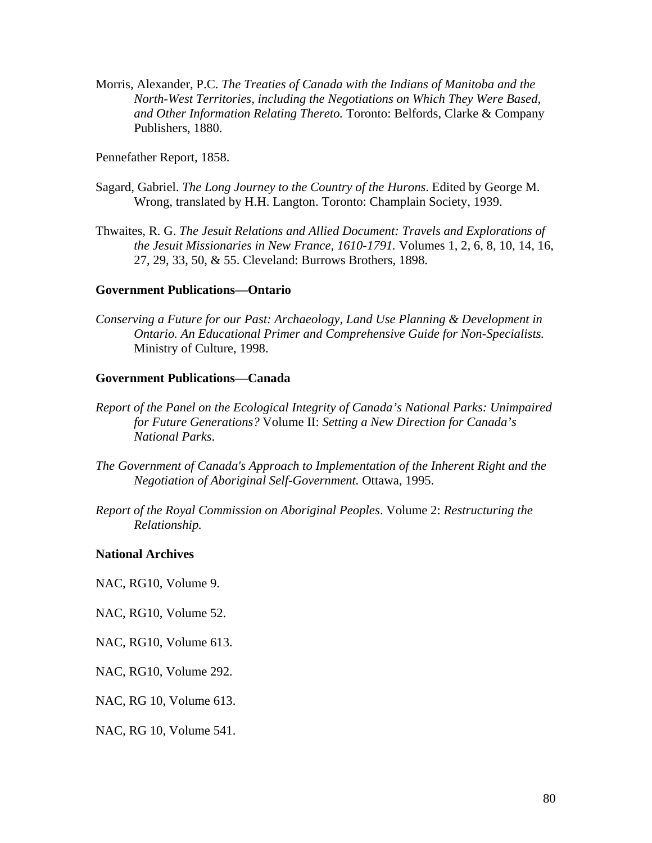Morris, Alexander, P.C. *The Treaties of Canada with the Indians of Manitoba and the North-West Territories, including the Negotiations on Which They Were Based, and Other Information Relating Thereto.* Toronto: Belfords, Clarke & Company Publishers, 1880.

Pennefather Report, 1858.

- Sagard, Gabriel. *The Long Journey to the Country of the Hurons*. Edited by George M. Wrong, translated by H.H. Langton. Toronto: Champlain Society, 1939.
- Thwaites, R. G. *The Jesuit Relations and Allied Document: Travels and Explorations of the Jesuit Missionaries in New France, 1610-1791.* Volumes 1, 2, 6, 8, 10, 14, 16, 27, 29, 33, 50, & 55. Cleveland: Burrows Brothers, 1898.

### **Government Publications—Ontario**

*Conserving a Future for our Past: Archaeology, Land Use Planning & Development in Ontario. An Educational Primer and Comprehensive Guide for Non-Specialists.* Ministry of Culture, 1998.

### **Government Publications—Canada**

- *Report of the Panel on the Ecological Integrity of Canada's National Parks: Unimpaired for Future Generations?* Volume II: *Setting a New Direction for Canada's National Parks*.
- *The Government of Canada's Approach to Implementation of the Inherent Right and the Negotiation of Aboriginal Self-Government.* Ottawa, 1995.
- *Report of the Royal Commission on Aboriginal Peoples*. Volume 2: *Restructuring the Relationship.*

#### **National Archives**

NAC, RG10, Volume 9.

NAC, RG10, Volume 52.

NAC, RG10, Volume 613.

NAC, RG10, Volume 292.

NAC, RG 10, Volume 613.

NAC, RG 10, Volume 541.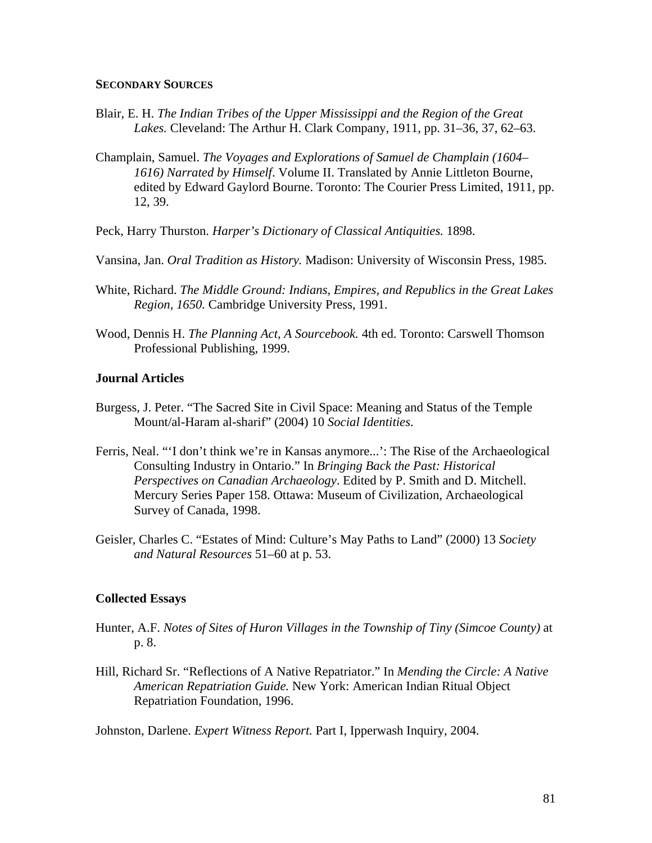# **SECONDARY SOURCES**

- Blair, E. H. *The Indian Tribes of the Upper Mississippi and the Region of the Great Lakes.* Cleveland: The Arthur H. Clark Company, 1911, pp. 31–36, 37, 62–63.
- Champlain, Samuel. *The Voyages and Explorations of Samuel de Champlain (1604– 1616) Narrated by Himself*. Volume II. Translated by Annie Littleton Bourne, edited by Edward Gaylord Bourne. Toronto: The Courier Press Limited, 1911, pp. 12, 39.
- Peck, Harry Thurston. *Harper's Dictionary of Classical Antiquities.* 1898.
- Vansina, Jan. *Oral Tradition as History.* Madison: University of Wisconsin Press, 1985.
- White, Richard. *The Middle Ground: Indians, Empires, and Republics in the Great Lakes Region, 1650.* Cambridge University Press, 1991.
- Wood, Dennis H. *The Planning Act, A Sourcebook.* 4th ed. Toronto: Carswell Thomson Professional Publishing, 1999.

# **Journal Articles**

- Burgess, J. Peter. "The Sacred Site in Civil Space: Meaning and Status of the Temple Mount/al-Haram al-sharif" (2004) 10 *Social Identities*.
- Ferris, Neal. "'I don't think we're in Kansas anymore...': The Rise of the Archaeological Consulting Industry in Ontario." In *Bringing Back the Past: Historical Perspectives on Canadian Archaeology*. Edited by P. Smith and D. Mitchell. Mercury Series Paper 158. Ottawa: Museum of Civilization, Archaeological Survey of Canada, 1998.
- Geisler, Charles C. "Estates of Mind: Culture's May Paths to Land" (2000) 13 *Society and Natural Resources* 51–60 at p. 53.

# **Collected Essays**

- Hunter, A.F. *Notes of Sites of Huron Villages in the Township of Tiny (Simcoe County)* at p. 8.
- Hill, Richard Sr. "Reflections of A Native Repatriator." In *Mending the Circle: A Native American Repatriation Guide.* New York: American Indian Ritual Object Repatriation Foundation, 1996.

Johnston, Darlene. *Expert Witness Report.* Part I, Ipperwash Inquiry, 2004.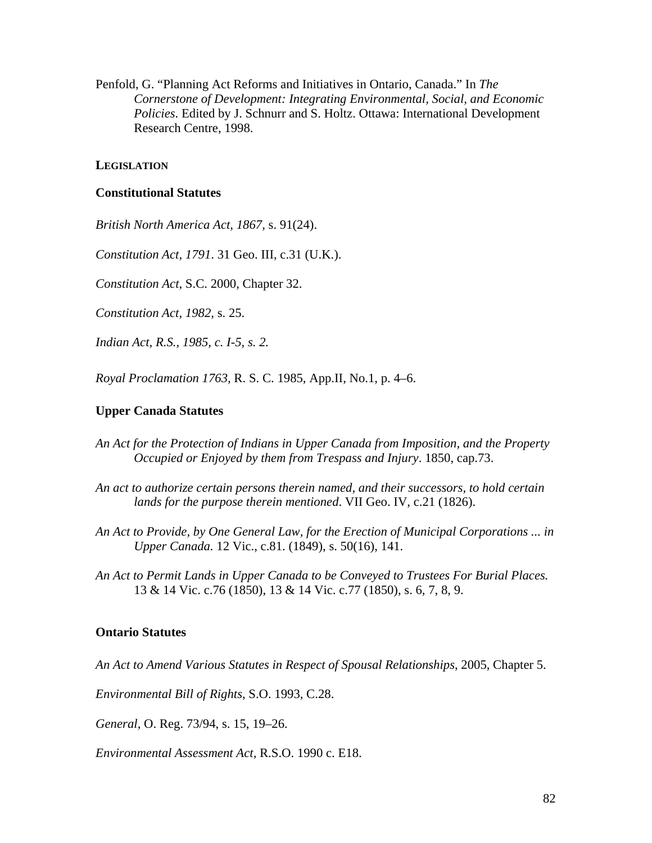Penfold, G. "Planning Act Reforms and Initiatives in Ontario, Canada." In *The Cornerstone of Development: Integrating Environmental, Social, and Economic Policies*. Edited by J. Schnurr and S. Holtz. Ottawa: International Development Research Centre, 1998.

# **LEGISLATION**

### **Constitutional Statutes**

*British North America Act, 1867,* s. 91(24).

*Constitution Act, 1791*. 31 Geo. III, c.31 (U.K.).

*Constitution Act*, S.C. 2000, Chapter 32.

*Constitution Act, 1982,* s. 25.

*Indian Act*, *R.S., 1985, c. I-5, s. 2.* 

*Royal Proclamation 1763,* R. S. C. 1985, App.II, No.1, p. 4–6.

## **Upper Canada Statutes**

- *An Act for the Protection of Indians in Upper Canada from Imposition, and the Property Occupied or Enjoyed by them from Trespass and Injury*. 1850, cap.73.
- *An act to authorize certain persons therein named, and their successors, to hold certain lands for the purpose therein mentioned*. VII Geo. IV, c.21 (1826).
- *An Act to Provide, by One General Law, for the Erection of Municipal Corporations ... in Upper Canada.* 12 Vic., c.81. (1849), s. 50(16), 141.
- *An Act to Permit Lands in Upper Canada to be Conveyed to Trustees For Burial Places.* 13 & 14 Vic. c.76 (1850), 13 & 14 Vic. c.77 (1850), s. 6, 7, 8, 9.

# **Ontario Statutes**

*An Act to Amend Various Statutes in Respect of Spousal Relationships*, 2005, Chapter 5.

*Environmental Bill of Rights*, S.O. 1993, C.28.

*General*, O. Reg. 73/94, s. 15, 19–26.

*Environmental Assessment Act,* R.S.O. 1990 c. E18.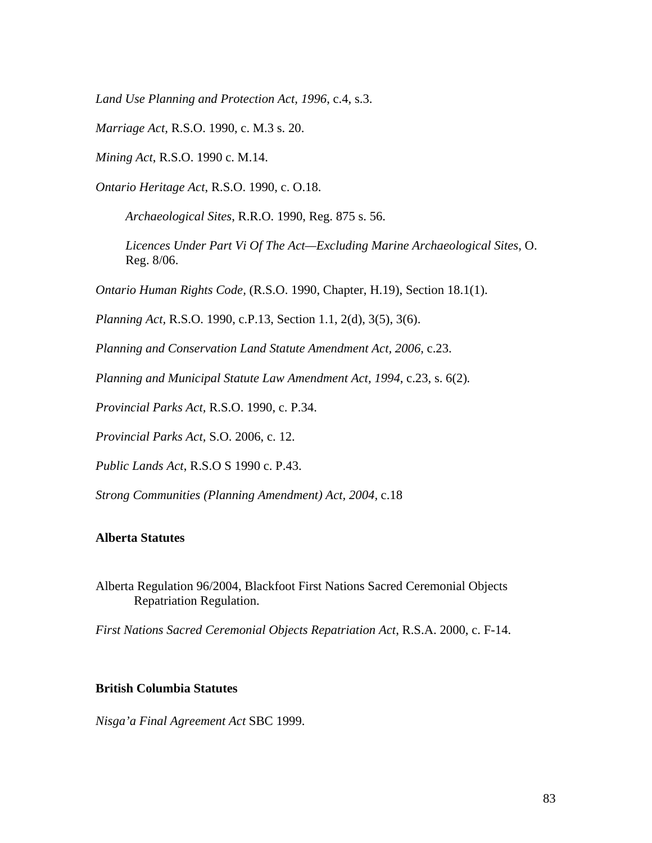*Land Use Planning and Protection Act, 1996*, c.4, s.3.

*Marriage Act,* R.S.O. 1990, c. M.3 s. 20.

*Mining Act*, R.S.O. 1990 c. M.14.

*Ontario Heritage Act*, R.S.O. 1990, c. O.18.

*Archaeological Sites*, R.R.O. 1990, Reg. 875 s. 56.

*Licences Under Part Vi Of The Act—Excluding Marine Archaeological Sites,* O. Reg. 8/06.

*Ontario Human Rights Code,* (R.S.O. 1990, Chapter, H.19), Section 18.1(1).

*Planning Act,* R.S.O. 1990, c.P.13, Section 1.1, 2(d), 3(5), 3(6).

*Planning and Conservation Land Statute Amendment Act, 2006,* c.23.

*Planning and Municipal Statute Law Amendment Act, 1994*, c.23, s. 6(2)*.*

*Provincial Parks Act,* R.S.O. 1990, c. P.34.

*Provincial Parks Act,* S.O. 2006, c. 12.

*Public Lands Act*, R.S.O S 1990 c. P.43.

*Strong Communities (Planning Amendment) Act, 2004,* c.18

# **Alberta Statutes**

Alberta Regulation 96/2004, Blackfoot First Nations Sacred Ceremonial Objects Repatriation Regulation.

*First Nations Sacred Ceremonial Objects Repatriation Act*, R.S.A. 2000, c. F-14.

## **British Columbia Statutes**

*Nisga'a Final Agreement Act* SBC 1999.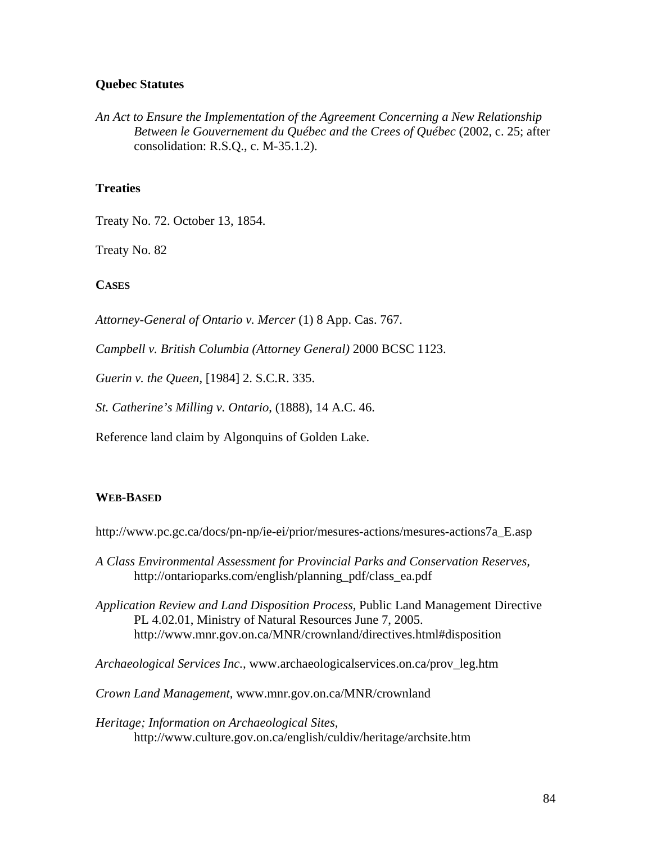# **Quebec Statutes**

*An Act to Ensure the Implementation of the Agreement Concerning a New Relationship Between le Gouvernement du Québec and the Crees of Québec* (2002, c. 25; after consolidation: R.S.Q., c. M-35.1.2).

# **Treaties**

Treaty No. 72. October 13, 1854.

Treaty No. 82

# **CASES**

*Attorney-General of Ontario v. Mercer* (1) 8 App. Cas. 767.

*Campbell v. British Columbia (Attorney General)* 2000 BCSC 1123.

*Guerin v. the Queen*, [1984] 2. S.C.R. 335.

*St. Catherine's Milling v. Ontario*, (1888), 14 A.C. 46.

Reference land claim by Algonquins of Golden Lake.

# **WEB-BASED**

http://www.pc.gc.ca/docs/pn-np/ie-ei/prior/mesures-actions/mesures-actions7a\_E.asp

- *A Class Environmental Assessment for Provincial Parks and Conservation Reserves,*  http://ontarioparks.com/english/planning\_pdf/class\_ea.pdf
- *Application Review and Land Disposition Process,* Public Land Management Directive PL 4.02.01, Ministry of Natural Resources June 7, 2005. http://www.mnr.gov.on.ca/MNR/crownland/directives.html#disposition

*Archaeological Services Inc.,* www.archaeologicalservices.on.ca/prov\_leg.htm

*Crown Land Management,* www.mnr.gov.on.ca/MNR/crownland

*Heritage; Information on Archaeological Sites,* http://www.culture.gov.on.ca/english/culdiv/heritage/archsite.htm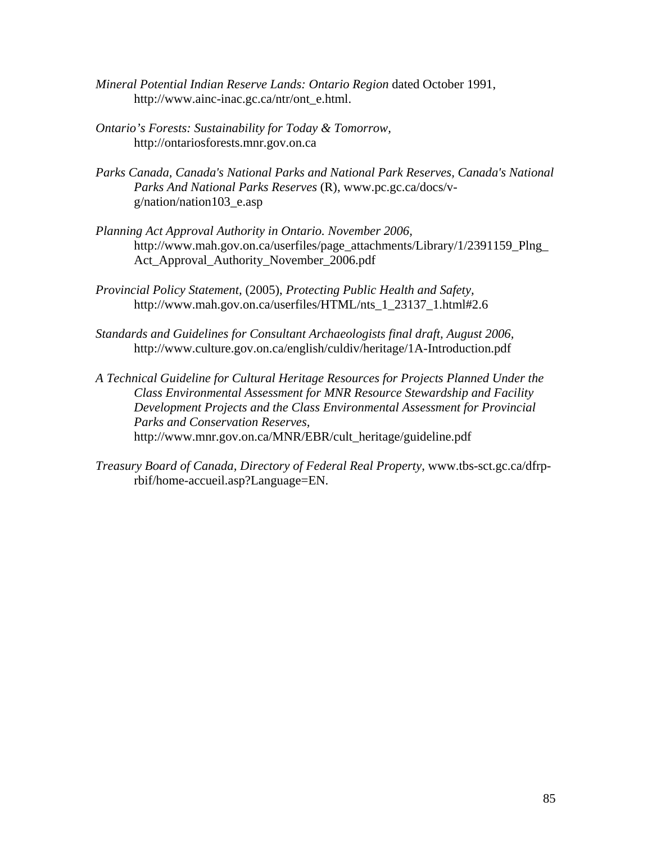- *Mineral Potential Indian Reserve Lands: Ontario Region* dated October 1991, http://www.ainc-inac.gc.ca/ntr/ont\_e.html.
- *Ontario's Forests: Sustainability for Today & Tomorrow,* http://ontariosforests.mnr.gov.on.ca
- *Parks Canada, Canada's National Parks and National Park Reserves, Canada's National Parks And National Parks Reserves* (R), www.pc.gc.ca/docs/vg/nation/nation103\_e.asp
- *Planning Act Approval Authority in Ontario. November 2006,*  http://www.mah.gov.on.ca/userfiles/page\_attachments/Library/1/2391159\_Plng\_ Act\_Approval\_Authority\_November\_2006.pdf
- *Provincial Policy Statement,* (2005), *Protecting Public Health and Safety,* http://www.mah.gov.on.ca/userfiles/HTML/nts\_1\_23137\_1.html#2.6
- *Standards and Guidelines for Consultant Archaeologists final draft, August 2006,* http://www.culture.gov.on.ca/english/culdiv/heritage/1A-Introduction.pdf
- *A Technical Guideline for Cultural Heritage Resources for Projects Planned Under the Class Environmental Assessment for MNR Resource Stewardship and Facility Development Projects and the Class Environmental Assessment for Provincial Parks and Conservation Reserves,*  http://www.mnr.gov.on.ca/MNR/EBR/cult\_heritage/guideline.pdf
- *Treasury Board of Canada, Directory of Federal Real Property,* www.tbs-sct.gc.ca/dfrprbif/home-accueil.asp?Language=EN.